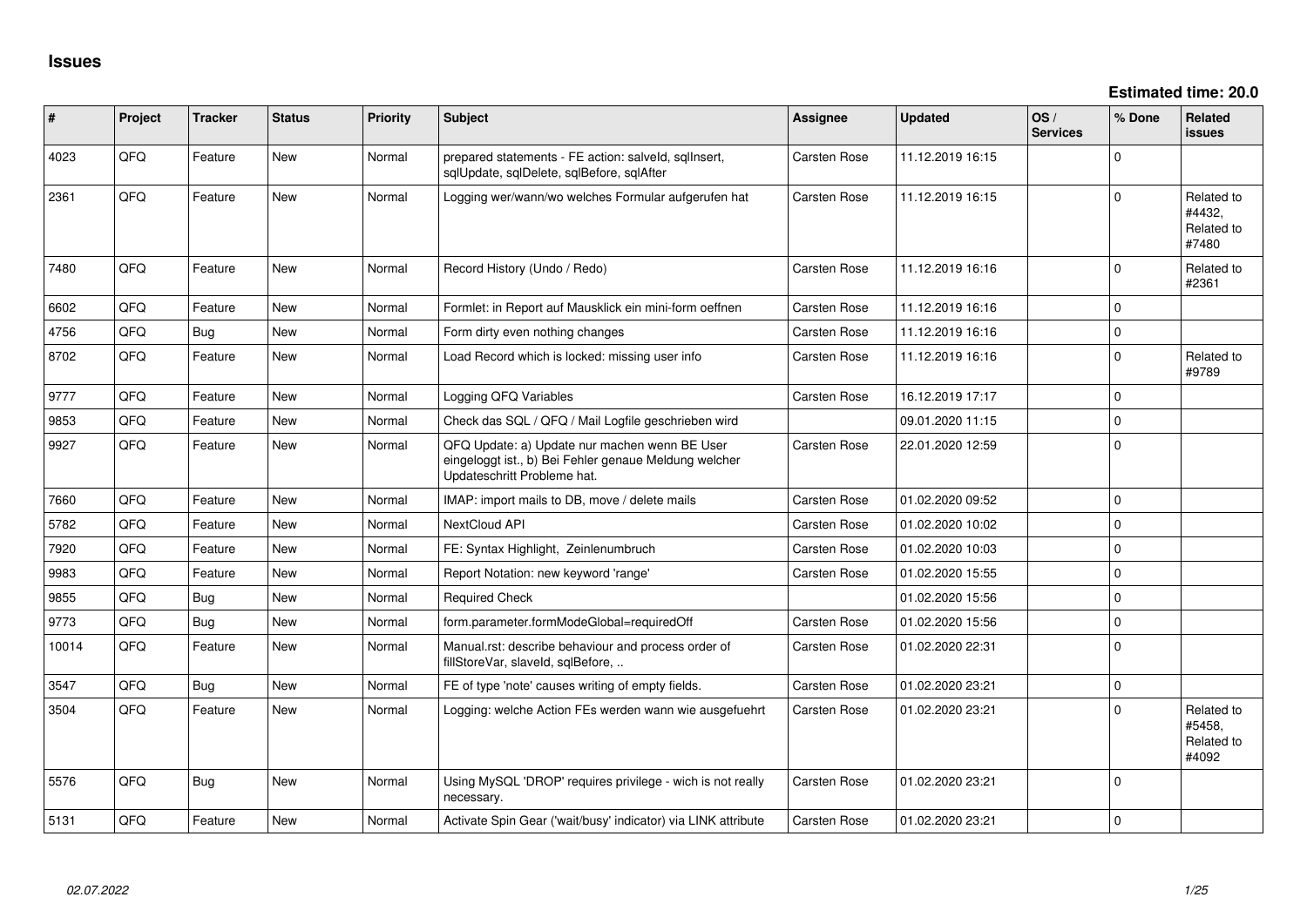**Estimated time: 20.0**

| #     | Project | <b>Tracker</b> | <b>Status</b> | <b>Priority</b> | Subject                                                                                                                               | <b>Assignee</b>     | <b>Updated</b>   | OS/<br><b>Services</b> | % Done         | Related<br><b>issues</b>                    |
|-------|---------|----------------|---------------|-----------------|---------------------------------------------------------------------------------------------------------------------------------------|---------------------|------------------|------------------------|----------------|---------------------------------------------|
| 4023  | QFQ     | Feature        | New           | Normal          | prepared statements - FE action: salveld, sqlInsert,<br>sqlUpdate, sqlDelete, sqlBefore, sqlAfter                                     | Carsten Rose        | 11.12.2019 16:15 |                        | $\Omega$       |                                             |
| 2361  | QFQ     | Feature        | <b>New</b>    | Normal          | Logging wer/wann/wo welches Formular aufgerufen hat                                                                                   | <b>Carsten Rose</b> | 11.12.2019 16:15 |                        | $\Omega$       | Related to<br>#4432,<br>Related to<br>#7480 |
| 7480  | QFQ     | Feature        | <b>New</b>    | Normal          | Record History (Undo / Redo)                                                                                                          | Carsten Rose        | 11.12.2019 16:16 |                        | $\mathbf 0$    | Related to<br>#2361                         |
| 6602  | QFQ     | Feature        | New           | Normal          | Formlet: in Report auf Mausklick ein mini-form oeffnen                                                                                | Carsten Rose        | 11.12.2019 16:16 |                        | $\Omega$       |                                             |
| 4756  | QFQ     | <b>Bug</b>     | New           | Normal          | Form dirty even nothing changes                                                                                                       | <b>Carsten Rose</b> | 11.12.2019 16:16 |                        | $\Omega$       |                                             |
| 8702  | QFQ     | Feature        | New           | Normal          | Load Record which is locked: missing user info                                                                                        | Carsten Rose        | 11.12.2019 16:16 |                        | $\Omega$       | Related to<br>#9789                         |
| 9777  | QFQ     | Feature        | <b>New</b>    | Normal          | Logging QFQ Variables                                                                                                                 | Carsten Rose        | 16.12.2019 17:17 |                        | $\Omega$       |                                             |
| 9853  | QFQ     | Feature        | <b>New</b>    | Normal          | Check das SQL / QFQ / Mail Logfile geschrieben wird                                                                                   |                     | 09.01.2020 11:15 |                        | $\Omega$       |                                             |
| 9927  | QFQ     | Feature        | <b>New</b>    | Normal          | QFQ Update: a) Update nur machen wenn BE User<br>eingeloggt ist., b) Bei Fehler genaue Meldung welcher<br>Updateschritt Probleme hat. | <b>Carsten Rose</b> | 22.01.2020 12:59 |                        | $\Omega$       |                                             |
| 7660  | QFQ     | Feature        | <b>New</b>    | Normal          | IMAP: import mails to DB, move / delete mails                                                                                         | Carsten Rose        | 01.02.2020 09:52 |                        | $\Omega$       |                                             |
| 5782  | QFQ     | Feature        | <b>New</b>    | Normal          | NextCloud API                                                                                                                         | <b>Carsten Rose</b> | 01.02.2020 10:02 |                        | $\Omega$       |                                             |
| 7920  | QFQ     | Feature        | New           | Normal          | FE: Syntax Highlight, Zeinlenumbruch                                                                                                  | Carsten Rose        | 01.02.2020 10:03 |                        | $\Omega$       |                                             |
| 9983  | QFQ     | Feature        | <b>New</b>    | Normal          | Report Notation: new keyword 'range'                                                                                                  | Carsten Rose        | 01.02.2020 15:55 |                        | $\Omega$       |                                             |
| 9855  | QFQ     | <b>Bug</b>     | <b>New</b>    | Normal          | <b>Required Check</b>                                                                                                                 |                     | 01.02.2020 15:56 |                        | $\mathbf{0}$   |                                             |
| 9773  | QFQ     | Bug            | <b>New</b>    | Normal          | form.parameter.formModeGlobal=requiredOff                                                                                             | Carsten Rose        | 01.02.2020 15:56 |                        | $\Omega$       |                                             |
| 10014 | QFQ     | Feature        | New           | Normal          | Manual.rst: describe behaviour and process order of<br>fillStoreVar, slaveId, sqlBefore,                                              | Carsten Rose        | 01.02.2020 22:31 |                        | $\Omega$       |                                             |
| 3547  | QFQ     | Bug            | <b>New</b>    | Normal          | FE of type 'note' causes writing of empty fields.                                                                                     | Carsten Rose        | 01.02.2020 23:21 |                        | $\Omega$       |                                             |
| 3504  | QFQ     | Feature        | <b>New</b>    | Normal          | Logging: welche Action FEs werden wann wie ausgefuehrt                                                                                | Carsten Rose        | 01.02.2020 23:21 |                        | $\Omega$       | Related to<br>#5458,<br>Related to<br>#4092 |
| 5576  | QFQ     | Bug            | New           | Normal          | Using MySQL 'DROP' requires privilege - wich is not really<br>necessary.                                                              | Carsten Rose        | 01.02.2020 23:21 |                        | $\Omega$       |                                             |
| 5131  | QFQ     | Feature        | <b>New</b>    | Normal          | Activate Spin Gear ('wait/busy' indicator) via LINK attribute                                                                         | Carsten Rose        | 01.02.2020 23:21 |                        | $\overline{0}$ |                                             |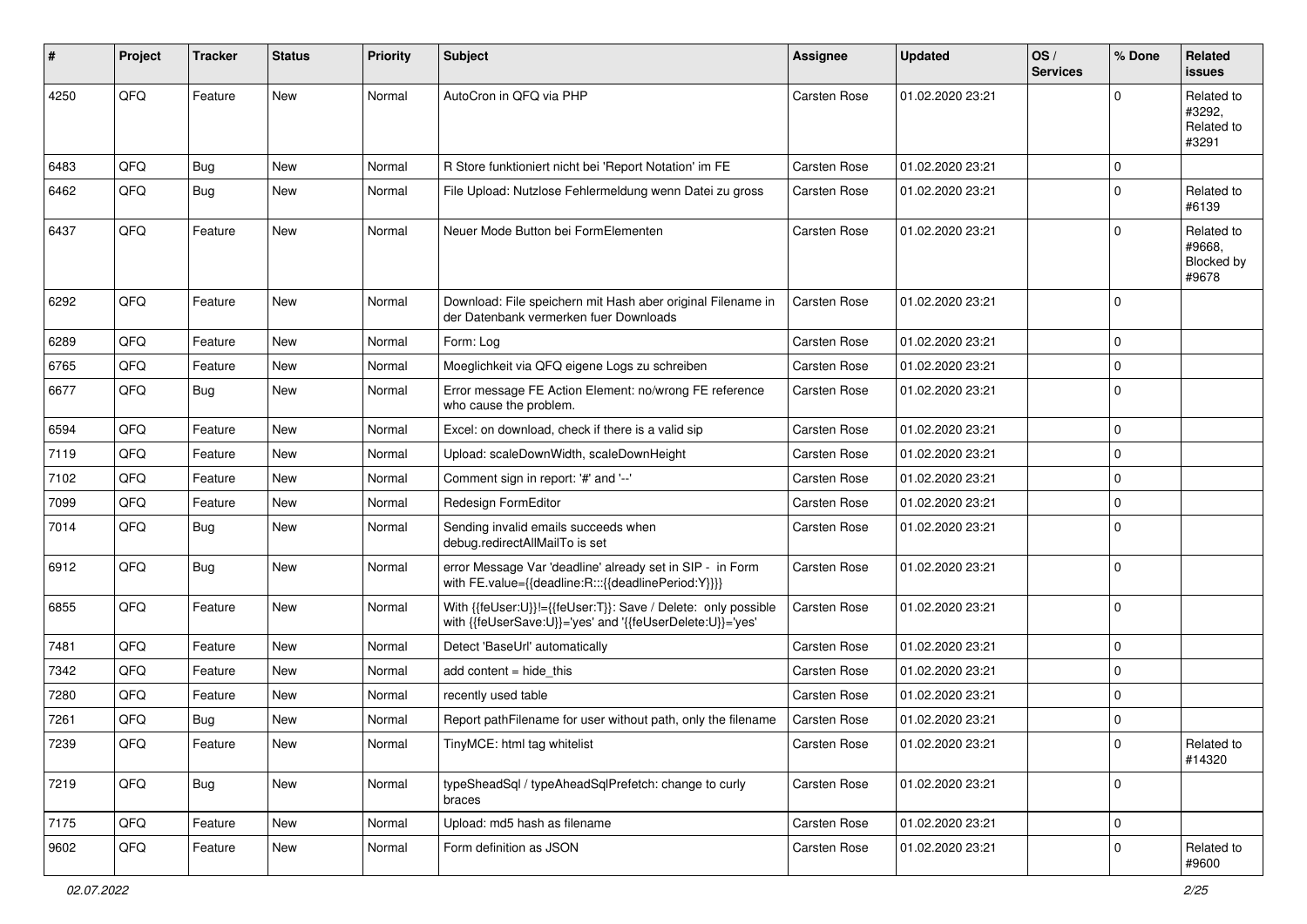| ∦    | Project | <b>Tracker</b> | <b>Status</b> | <b>Priority</b> | Subject                                                                                                                    | <b>Assignee</b> | <b>Updated</b>   | OS/<br><b>Services</b> | % Done      | Related<br><b>issues</b>                    |
|------|---------|----------------|---------------|-----------------|----------------------------------------------------------------------------------------------------------------------------|-----------------|------------------|------------------------|-------------|---------------------------------------------|
| 4250 | QFQ     | Feature        | <b>New</b>    | Normal          | AutoCron in QFQ via PHP                                                                                                    | Carsten Rose    | 01.02.2020 23:21 |                        | $\Omega$    | Related to<br>#3292,<br>Related to<br>#3291 |
| 6483 | QFQ     | <b>Bug</b>     | <b>New</b>    | Normal          | R Store funktioniert nicht bei 'Report Notation' im FE                                                                     | Carsten Rose    | 01.02.2020 23:21 |                        | $\mathbf 0$ |                                             |
| 6462 | QFQ     | Bug            | New           | Normal          | File Upload: Nutzlose Fehlermeldung wenn Datei zu gross                                                                    | Carsten Rose    | 01.02.2020 23:21 |                        | $\mathbf 0$ | Related to<br>#6139                         |
| 6437 | QFQ     | Feature        | <b>New</b>    | Normal          | Neuer Mode Button bei FormElementen                                                                                        | Carsten Rose    | 01.02.2020 23:21 |                        | $\mathbf 0$ | Related to<br>#9668,<br>Blocked by<br>#9678 |
| 6292 | QFQ     | Feature        | New           | Normal          | Download: File speichern mit Hash aber original Filename in<br>der Datenbank vermerken fuer Downloads                      | Carsten Rose    | 01.02.2020 23:21 |                        | $\mathbf 0$ |                                             |
| 6289 | QFQ     | Feature        | <b>New</b>    | Normal          | Form: Log                                                                                                                  | Carsten Rose    | 01.02.2020 23:21 |                        | $\mathbf 0$ |                                             |
| 6765 | QFQ     | Feature        | <b>New</b>    | Normal          | Moeglichkeit via QFQ eigene Logs zu schreiben                                                                              | Carsten Rose    | 01.02.2020 23:21 |                        | $\mathbf 0$ |                                             |
| 6677 | QFQ     | Bug            | New           | Normal          | Error message FE Action Element: no/wrong FE reference<br>who cause the problem.                                           | Carsten Rose    | 01.02.2020 23:21 |                        | $\mathbf 0$ |                                             |
| 6594 | QFQ     | Feature        | <b>New</b>    | Normal          | Excel: on download, check if there is a valid sip                                                                          | Carsten Rose    | 01.02.2020 23:21 |                        | $\mathbf 0$ |                                             |
| 7119 | QFQ     | Feature        | New           | Normal          | Upload: scaleDownWidth, scaleDownHeight                                                                                    | Carsten Rose    | 01.02.2020 23:21 |                        | $\mathbf 0$ |                                             |
| 7102 | QFQ     | Feature        | New           | Normal          | Comment sign in report: '#' and '--'                                                                                       | Carsten Rose    | 01.02.2020 23:21 |                        | $\mathbf 0$ |                                             |
| 7099 | QFQ     | Feature        | New           | Normal          | Redesign FormEditor                                                                                                        | Carsten Rose    | 01.02.2020 23:21 |                        | $\mathbf 0$ |                                             |
| 7014 | QFQ     | <b>Bug</b>     | New           | Normal          | Sending invalid emails succeeds when<br>debug.redirectAllMailTo is set                                                     | Carsten Rose    | 01.02.2020 23:21 |                        | $\mathbf 0$ |                                             |
| 6912 | QFQ     | <b>Bug</b>     | <b>New</b>    | Normal          | error Message Var 'deadline' already set in SIP - in Form<br>with FE.value={{deadline:R:::{{deadlinePeriod:Y}}}}           | Carsten Rose    | 01.02.2020 23:21 |                        | $\mathbf 0$ |                                             |
| 6855 | QFQ     | Feature        | <b>New</b>    | Normal          | With {{feUser:U}}!={{feUser:T}}: Save / Delete: only possible<br>with {{feUserSave:U}}='yes' and '{{feUserDelete:U}}='yes' | Carsten Rose    | 01.02.2020 23:21 |                        | $\mathbf 0$ |                                             |
| 7481 | QFQ     | Feature        | <b>New</b>    | Normal          | Detect 'BaseUrl' automatically                                                                                             | Carsten Rose    | 01.02.2020 23:21 |                        | $\mathbf 0$ |                                             |
| 7342 | QFQ     | Feature        | New           | Normal          | add content = hide_this                                                                                                    | Carsten Rose    | 01.02.2020 23:21 |                        | $\mathbf 0$ |                                             |
| 7280 | QFQ     | Feature        | New           | Normal          | recently used table                                                                                                        | Carsten Rose    | 01.02.2020 23:21 |                        | $\mathbf 0$ |                                             |
| 7261 | QFQ     | Bug            | New           | Normal          | Report pathFilename for user without path, only the filename                                                               | Carsten Rose    | 01.02.2020 23:21 |                        | $\mathbf 0$ |                                             |
| 7239 | QFQ     | Feature        | <b>New</b>    | Normal          | TinyMCE: html tag whitelist                                                                                                | Carsten Rose    | 01.02.2020 23:21 |                        | 0           | Related to<br>#14320                        |
| 7219 | QFQ     | <b>Bug</b>     | New           | Normal          | typeSheadSql / typeAheadSqlPrefetch: change to curly<br>braces                                                             | Carsten Rose    | 01.02.2020 23:21 |                        | $\mathbf 0$ |                                             |
| 7175 | QFQ     | Feature        | New           | Normal          | Upload: md5 hash as filename                                                                                               | Carsten Rose    | 01.02.2020 23:21 |                        | $\mathbf 0$ |                                             |
| 9602 | QFQ     | Feature        | New           | Normal          | Form definition as JSON                                                                                                    | Carsten Rose    | 01.02.2020 23:21 |                        | $\mathbf 0$ | Related to<br>#9600                         |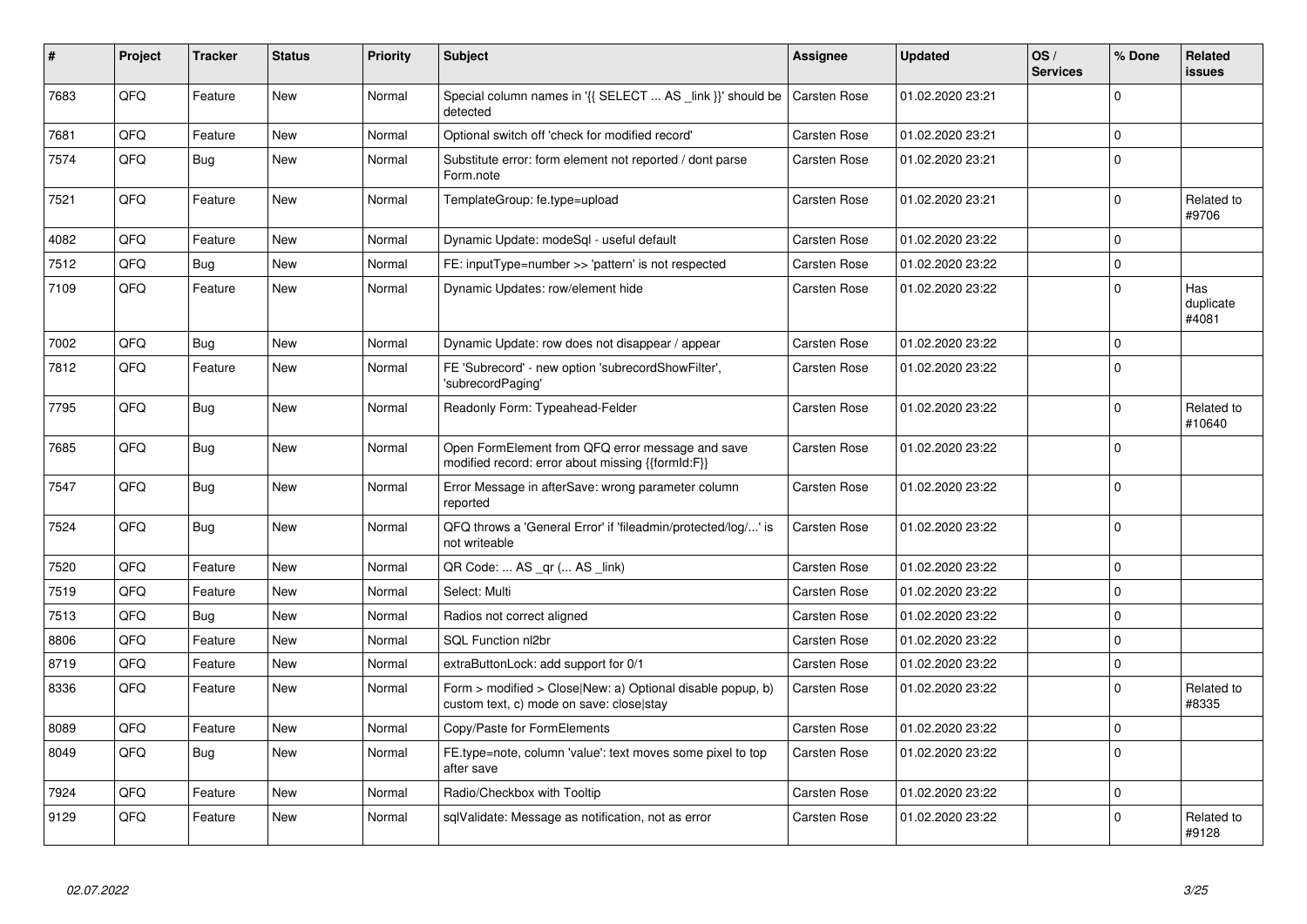| #    | Project | <b>Tracker</b> | <b>Status</b> | <b>Priority</b> | <b>Subject</b>                                                                                         | Assignee            | <b>Updated</b>   | OS/<br><b>Services</b> | % Done         | Related<br><b>issues</b>  |
|------|---------|----------------|---------------|-----------------|--------------------------------------------------------------------------------------------------------|---------------------|------------------|------------------------|----------------|---------------------------|
| 7683 | QFQ     | Feature        | <b>New</b>    | Normal          | Special column names in '{{ SELECT  AS _link }}' should be<br>detected                                 | <b>Carsten Rose</b> | 01.02.2020 23:21 |                        | $\Omega$       |                           |
| 7681 | QFQ     | Feature        | <b>New</b>    | Normal          | Optional switch off 'check for modified record'                                                        | Carsten Rose        | 01.02.2020 23:21 |                        | $\mathbf{0}$   |                           |
| 7574 | QFQ     | <b>Bug</b>     | <b>New</b>    | Normal          | Substitute error: form element not reported / dont parse<br>Form.note                                  | Carsten Rose        | 01.02.2020 23:21 |                        | $\overline{0}$ |                           |
| 7521 | QFQ     | Feature        | <b>New</b>    | Normal          | TemplateGroup: fe.type=upload                                                                          | Carsten Rose        | 01.02.2020 23:21 |                        | $\Omega$       | Related to<br>#9706       |
| 4082 | QFQ     | Feature        | <b>New</b>    | Normal          | Dynamic Update: modeSgl - useful default                                                               | Carsten Rose        | 01.02.2020 23:22 |                        | $\Omega$       |                           |
| 7512 | QFQ     | Bug            | <b>New</b>    | Normal          | FE: inputType=number >> 'pattern' is not respected                                                     | Carsten Rose        | 01.02.2020 23:22 |                        | $\Omega$       |                           |
| 7109 | QFQ     | Feature        | <b>New</b>    | Normal          | Dynamic Updates: row/element hide                                                                      | Carsten Rose        | 01.02.2020 23:22 |                        | $\overline{0}$ | Has<br>duplicate<br>#4081 |
| 7002 | QFQ     | Bug            | New           | Normal          | Dynamic Update: row does not disappear / appear                                                        | <b>Carsten Rose</b> | 01.02.2020 23:22 |                        | $\Omega$       |                           |
| 7812 | QFQ     | Feature        | <b>New</b>    | Normal          | FE 'Subrecord' - new option 'subrecordShowFilter',<br>'subrecordPaging'                                | Carsten Rose        | 01.02.2020 23:22 |                        | $\Omega$       |                           |
| 7795 | QFQ     | Bug            | New           | Normal          | Readonly Form: Typeahead-Felder                                                                        | Carsten Rose        | 01.02.2020 23:22 |                        | $\Omega$       | Related to<br>#10640      |
| 7685 | QFQ     | <b>Bug</b>     | <b>New</b>    | Normal          | Open FormElement from QFQ error message and save<br>modified record: error about missing {{formId:F}}  | Carsten Rose        | 01.02.2020 23:22 |                        | $\Omega$       |                           |
| 7547 | QFQ     | Bug            | <b>New</b>    | Normal          | Error Message in afterSave: wrong parameter column<br>reported                                         | Carsten Rose        | 01.02.2020 23:22 |                        | $\overline{0}$ |                           |
| 7524 | QFQ     | Bug            | <b>New</b>    | Normal          | QFQ throws a 'General Error' if 'fileadmin/protected/log/' is<br>not writeable                         | Carsten Rose        | 01.02.2020 23:22 |                        | $\Omega$       |                           |
| 7520 | QFQ     | Feature        | <b>New</b>    | Normal          | QR Code:  AS _qr ( AS _link)                                                                           | Carsten Rose        | 01.02.2020 23:22 |                        | $\overline{0}$ |                           |
| 7519 | QFQ     | Feature        | New           | Normal          | Select: Multi                                                                                          | Carsten Rose        | 01.02.2020 23:22 |                        | $\mathbf{0}$   |                           |
| 7513 | QFQ     | <b>Bug</b>     | <b>New</b>    | Normal          | Radios not correct aligned                                                                             | Carsten Rose        | 01.02.2020 23:22 |                        | $\Omega$       |                           |
| 8806 | QFQ     | Feature        | <b>New</b>    | Normal          | <b>SQL Function nl2br</b>                                                                              | <b>Carsten Rose</b> | 01.02.2020 23:22 |                        | $\Omega$       |                           |
| 8719 | QFQ     | Feature        | <b>New</b>    | Normal          | extraButtonLock: add support for 0/1                                                                   | Carsten Rose        | 01.02.2020 23:22 |                        | $\Omega$       |                           |
| 8336 | QFQ     | Feature        | New           | Normal          | Form > modified > Close New: a) Optional disable popup, b)<br>custom text, c) mode on save: close stay | <b>Carsten Rose</b> | 01.02.2020 23:22 |                        | $\Omega$       | Related to<br>#8335       |
| 8089 | QFQ     | Feature        | <b>New</b>    | Normal          | Copy/Paste for FormElements                                                                            | Carsten Rose        | 01.02.2020 23:22 |                        | $\Omega$       |                           |
| 8049 | QFQ     | <b>Bug</b>     | <b>New</b>    | Normal          | FE.type=note, column 'value': text moves some pixel to top<br>after save                               | Carsten Rose        | 01.02.2020 23:22 |                        | $\Omega$       |                           |
| 7924 | QFQ     | Feature        | <b>New</b>    | Normal          | Radio/Checkbox with Tooltip                                                                            | <b>Carsten Rose</b> | 01.02.2020 23:22 |                        | $\overline{0}$ |                           |
| 9129 | QFQ     | Feature        | New           | Normal          | sqlValidate: Message as notification, not as error                                                     | Carsten Rose        | 01.02.2020 23:22 |                        | $\Omega$       | Related to<br>#9128       |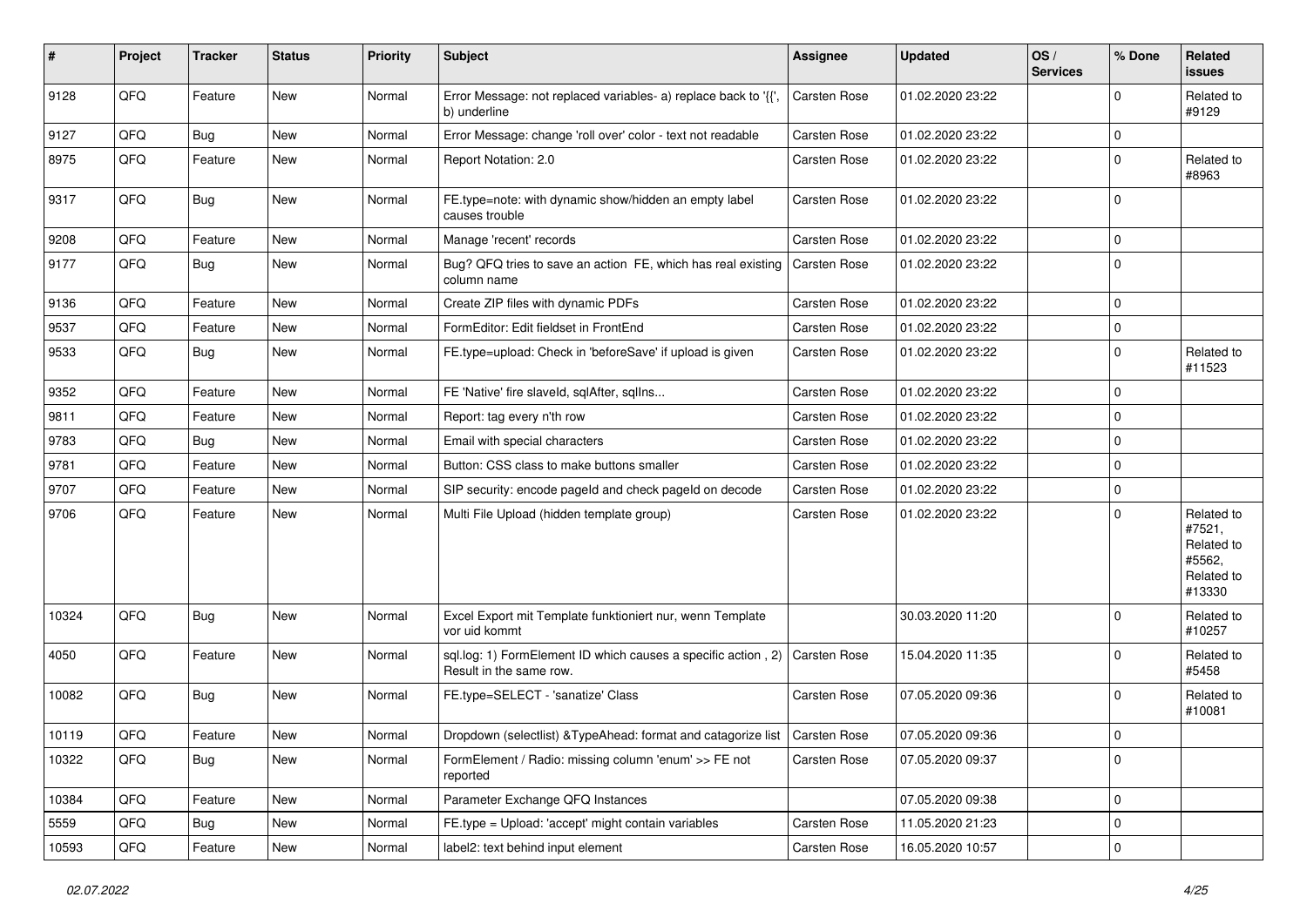| $\sharp$ | Project | <b>Tracker</b> | <b>Status</b> | <b>Priority</b> | <b>Subject</b>                                                                           | <b>Assignee</b>     | <b>Updated</b>   | OS/<br><b>Services</b> | % Done       | Related<br>issues                                                    |
|----------|---------|----------------|---------------|-----------------|------------------------------------------------------------------------------------------|---------------------|------------------|------------------------|--------------|----------------------------------------------------------------------|
| 9128     | QFQ     | Feature        | New           | Normal          | Error Message: not replaced variables- a) replace back to '{{',<br>b) underline          | Carsten Rose        | 01.02.2020 23:22 |                        | <sup>0</sup> | Related to<br>#9129                                                  |
| 9127     | QFQ     | <b>Bug</b>     | New           | Normal          | Error Message: change 'roll over' color - text not readable                              | Carsten Rose        | 01.02.2020 23:22 |                        | 0            |                                                                      |
| 8975     | QFQ     | Feature        | New           | Normal          | Report Notation: 2.0                                                                     | <b>Carsten Rose</b> | 01.02.2020 23:22 |                        | $\Omega$     | Related to<br>#8963                                                  |
| 9317     | QFQ     | Bug            | New           | Normal          | FE.type=note: with dynamic show/hidden an empty label<br>causes trouble                  | <b>Carsten Rose</b> | 01.02.2020 23:22 |                        | $\Omega$     |                                                                      |
| 9208     | QFQ     | Feature        | <b>New</b>    | Normal          | Manage 'recent' records                                                                  | Carsten Rose        | 01.02.2020 23:22 |                        | $\Omega$     |                                                                      |
| 9177     | QFQ     | Bug            | New           | Normal          | Bug? QFQ tries to save an action FE, which has real existing<br>column name              | <b>Carsten Rose</b> | 01.02.2020 23:22 |                        | 0            |                                                                      |
| 9136     | QFQ     | Feature        | New           | Normal          | Create ZIP files with dynamic PDFs                                                       | Carsten Rose        | 01.02.2020 23:22 |                        | 0            |                                                                      |
| 9537     | QFQ     | Feature        | New           | Normal          | FormEditor: Edit fieldset in FrontEnd                                                    | <b>Carsten Rose</b> | 01.02.2020 23:22 |                        | 0            |                                                                      |
| 9533     | QFQ     | <b>Bug</b>     | New           | Normal          | FE.type=upload: Check in 'beforeSave' if upload is given                                 | <b>Carsten Rose</b> | 01.02.2020 23:22 |                        | $\Omega$     | Related to<br>#11523                                                 |
| 9352     | QFQ     | Feature        | <b>New</b>    | Normal          | FE 'Native' fire slaveld, sqlAfter, sqlIns                                               | <b>Carsten Rose</b> | 01.02.2020 23:22 |                        | $\mathbf 0$  |                                                                      |
| 9811     | QFQ     | Feature        | New           | Normal          | Report: tag every n'th row                                                               | <b>Carsten Rose</b> | 01.02.2020 23:22 |                        | 0            |                                                                      |
| 9783     | QFQ     | Bug            | New           | Normal          | Email with special characters                                                            | <b>Carsten Rose</b> | 01.02.2020 23:22 |                        | 0            |                                                                      |
| 9781     | QFQ     | Feature        | New           | Normal          | Button: CSS class to make buttons smaller                                                | <b>Carsten Rose</b> | 01.02.2020 23:22 |                        | 0            |                                                                      |
| 9707     | QFQ     | Feature        | New           | Normal          | SIP security: encode pageld and check pageld on decode                                   | Carsten Rose        | 01.02.2020 23:22 |                        | 0            |                                                                      |
| 9706     | QFQ     | Feature        | New           | Normal          | Multi File Upload (hidden template group)                                                | <b>Carsten Rose</b> | 01.02.2020 23:22 |                        | $\Omega$     | Related to<br>#7521,<br>Related to<br>#5562,<br>Related to<br>#13330 |
| 10324    | QFQ     | Bug            | New           | Normal          | Excel Export mit Template funktioniert nur, wenn Template<br>vor uid kommt               |                     | 30.03.2020 11:20 |                        | $\Omega$     | Related to<br>#10257                                                 |
| 4050     | QFQ     | Feature        | <b>New</b>    | Normal          | sql.log: 1) FormElement ID which causes a specific action, 2)<br>Result in the same row. | Carsten Rose        | 15.04.2020 11:35 |                        | $\Omega$     | Related to<br>#5458                                                  |
| 10082    | QFQ     | Bug            | New           | Normal          | FE.type=SELECT - 'sanatize' Class                                                        | <b>Carsten Rose</b> | 07.05.2020 09:36 |                        | $\Omega$     | Related to<br>#10081                                                 |
| 10119    | QFQ     | Feature        | New           | Normal          | Dropdown (selectlist) & TypeAhead: format and catagorize list   Carsten Rose             |                     | 07.05.2020 09:36 |                        | 0            |                                                                      |
| 10322    | QFQ     | Bug            | New           | Normal          | FormElement / Radio: missing column 'enum' >> FE not<br>reported                         | Carsten Rose        | 07.05.2020 09:37 |                        | $\mathbf 0$  |                                                                      |
| 10384    | QFQ     | Feature        | New           | Normal          | Parameter Exchange QFQ Instances                                                         |                     | 07.05.2020 09:38 |                        | 0            |                                                                      |
| 5559     | QFQ     | <b>Bug</b>     | New           | Normal          | FE.type = Upload: 'accept' might contain variables                                       | Carsten Rose        | 11.05.2020 21:23 |                        | 0            |                                                                      |
| 10593    | QFQ     | Feature        | New           | Normal          | label2: text behind input element                                                        | Carsten Rose        | 16.05.2020 10:57 |                        | 0            |                                                                      |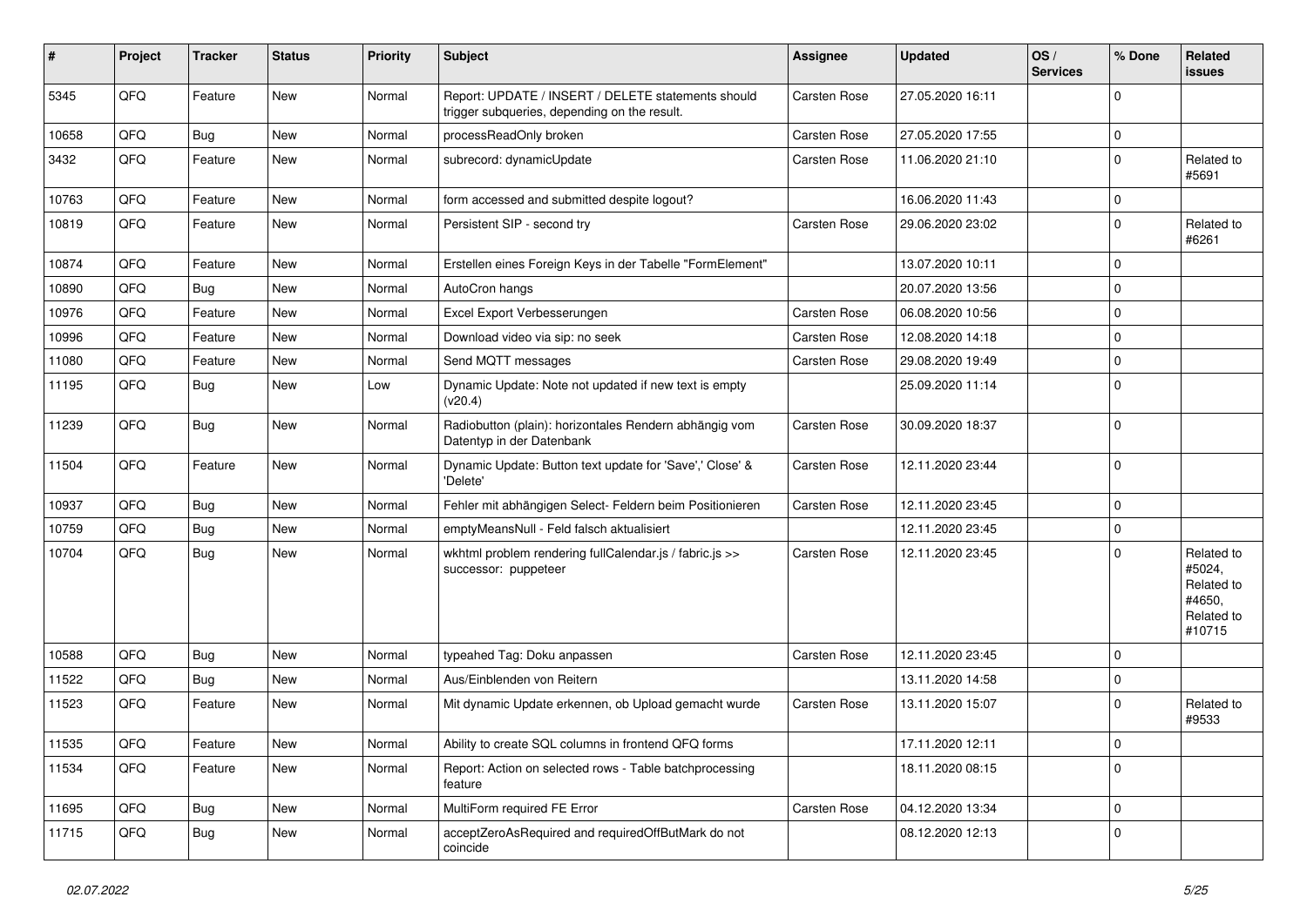| #     | Project | <b>Tracker</b> | <b>Status</b> | <b>Priority</b> | <b>Subject</b>                                                                                     | <b>Assignee</b>     | <b>Updated</b>   | OS/<br><b>Services</b> | % Done         | Related<br><b>issues</b>                                             |
|-------|---------|----------------|---------------|-----------------|----------------------------------------------------------------------------------------------------|---------------------|------------------|------------------------|----------------|----------------------------------------------------------------------|
| 5345  | QFQ     | Feature        | New           | Normal          | Report: UPDATE / INSERT / DELETE statements should<br>trigger subqueries, depending on the result. | Carsten Rose        | 27.05.2020 16:11 |                        | $\Omega$       |                                                                      |
| 10658 | QFQ     | <b>Bug</b>     | New           | Normal          | processReadOnly broken                                                                             | <b>Carsten Rose</b> | 27.05.2020 17:55 |                        | $\mathbf{0}$   |                                                                      |
| 3432  | QFQ     | Feature        | New           | Normal          | subrecord: dynamicUpdate                                                                           | Carsten Rose        | 11.06.2020 21:10 |                        | $\Omega$       | Related to<br>#5691                                                  |
| 10763 | QFQ     | Feature        | New           | Normal          | form accessed and submitted despite logout?                                                        |                     | 16.06.2020 11:43 |                        | $\mathbf{0}$   |                                                                      |
| 10819 | QFQ     | Feature        | New           | Normal          | Persistent SIP - second try                                                                        | <b>Carsten Rose</b> | 29.06.2020 23:02 |                        | $\mathbf{0}$   | Related to<br>#6261                                                  |
| 10874 | QFQ     | Feature        | <b>New</b>    | Normal          | Erstellen eines Foreign Keys in der Tabelle "FormElement"                                          |                     | 13.07.2020 10:11 |                        | $\mathbf{0}$   |                                                                      |
| 10890 | QFQ     | <b>Bug</b>     | New           | Normal          | AutoCron hangs                                                                                     |                     | 20.07.2020 13:56 |                        | $\Omega$       |                                                                      |
| 10976 | QFQ     | Feature        | <b>New</b>    | Normal          | Excel Export Verbesserungen                                                                        | <b>Carsten Rose</b> | 06.08.2020 10:56 |                        | $\Omega$       |                                                                      |
| 10996 | QFQ     | Feature        | New           | Normal          | Download video via sip: no seek                                                                    | <b>Carsten Rose</b> | 12.08.2020 14:18 |                        | $\Omega$       |                                                                      |
| 11080 | QFQ     | Feature        | New           | Normal          | Send MQTT messages                                                                                 | <b>Carsten Rose</b> | 29.08.2020 19:49 |                        | 0              |                                                                      |
| 11195 | QFQ     | <b>Bug</b>     | New           | Low             | Dynamic Update: Note not updated if new text is empty<br>(v20.4)                                   |                     | 25.09.2020 11:14 |                        | $\Omega$       |                                                                      |
| 11239 | QFQ     | Bug            | New           | Normal          | Radiobutton (plain): horizontales Rendern abhängig vom<br>Datentyp in der Datenbank                | <b>Carsten Rose</b> | 30.09.2020 18:37 |                        | $\Omega$       |                                                                      |
| 11504 | QFQ     | Feature        | New           | Normal          | Dynamic Update: Button text update for 'Save',' Close' &<br>'Delete'                               | Carsten Rose        | 12.11.2020 23:44 |                        | $\Omega$       |                                                                      |
| 10937 | QFQ     | Bug            | New           | Normal          | Fehler mit abhängigen Select- Feldern beim Positionieren                                           | <b>Carsten Rose</b> | 12.11.2020 23:45 |                        | $\mathbf 0$    |                                                                      |
| 10759 | QFQ     | Bug            | New           | Normal          | emptyMeansNull - Feld falsch aktualisiert                                                          |                     | 12.11.2020 23:45 |                        | $\mathbf 0$    |                                                                      |
| 10704 | QFQ     | <b>Bug</b>     | New           | Normal          | wkhtml problem rendering fullCalendar.js / fabric.js >><br>successor: puppeteer                    | <b>Carsten Rose</b> | 12.11.2020 23:45 |                        | $\Omega$       | Related to<br>#5024,<br>Related to<br>#4650,<br>Related to<br>#10715 |
| 10588 | QFQ     | <b>Bug</b>     | New           | Normal          | typeahed Tag: Doku anpassen                                                                        | <b>Carsten Rose</b> | 12.11.2020 23:45 |                        | $\overline{0}$ |                                                                      |
| 11522 | QFQ     | <b>Bug</b>     | New           | Normal          | Aus/Einblenden von Reitern                                                                         |                     | 13.11.2020 14:58 |                        | $\mathbf 0$    |                                                                      |
| 11523 | QFQ     | Feature        | New           | Normal          | Mit dynamic Update erkennen, ob Upload gemacht wurde                                               | <b>Carsten Rose</b> | 13.11.2020 15:07 |                        | $\Omega$       | Related to<br>#9533                                                  |
| 11535 | QFQ     | Feature        | <b>New</b>    | Normal          | Ability to create SQL columns in frontend QFQ forms                                                |                     | 17.11.2020 12:11 |                        | 0              |                                                                      |
| 11534 | QFQ     | Feature        | New           | Normal          | Report: Action on selected rows - Table batchprocessing<br>feature                                 |                     | 18.11.2020 08:15 |                        | $\mathbf{0}$   |                                                                      |
| 11695 | QFQ     | <b>Bug</b>     | New           | Normal          | MultiForm required FE Error                                                                        | Carsten Rose        | 04.12.2020 13:34 |                        | $\mathbf 0$    |                                                                      |
| 11715 | QFQ     | Bug            | New           | Normal          | acceptZeroAsRequired and requiredOffButMark do not<br>coincide                                     |                     | 08.12.2020 12:13 |                        | $\mathbf{0}$   |                                                                      |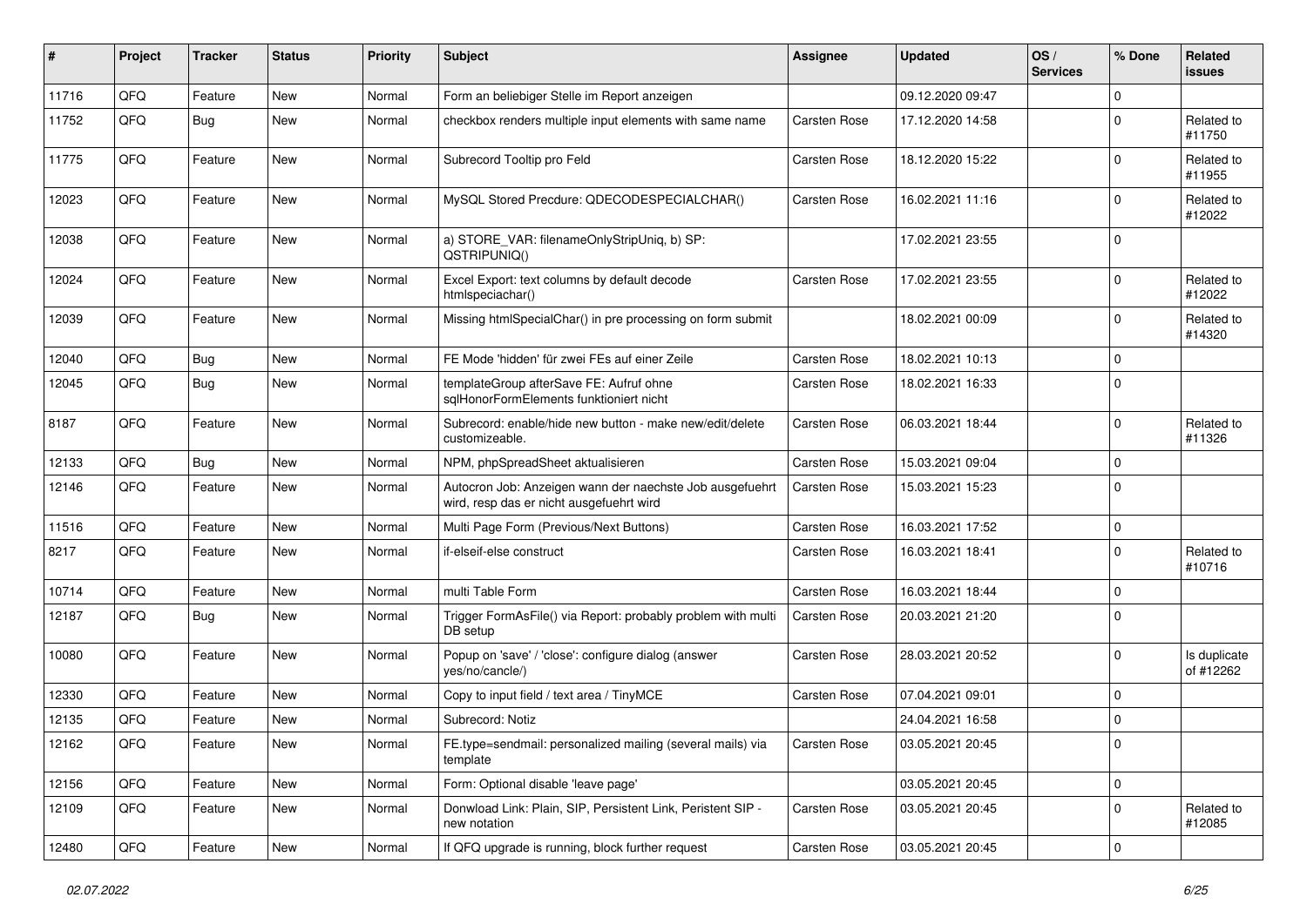| #     | Project | <b>Tracker</b> | <b>Status</b> | <b>Priority</b> | Subject                                                                                              | Assignee            | <b>Updated</b>   | OS/<br><b>Services</b> | % Done         | Related<br><b>issues</b>  |
|-------|---------|----------------|---------------|-----------------|------------------------------------------------------------------------------------------------------|---------------------|------------------|------------------------|----------------|---------------------------|
| 11716 | QFQ     | Feature        | <b>New</b>    | Normal          | Form an beliebiger Stelle im Report anzeigen                                                         |                     | 09.12.2020 09:47 |                        | $\Omega$       |                           |
| 11752 | QFQ     | Bug            | <b>New</b>    | Normal          | checkbox renders multiple input elements with same name                                              | Carsten Rose        | 17.12.2020 14:58 |                        | $\Omega$       | Related to<br>#11750      |
| 11775 | QFQ     | Feature        | <b>New</b>    | Normal          | Subrecord Tooltip pro Feld                                                                           | Carsten Rose        | 18.12.2020 15:22 |                        | $\Omega$       | Related to<br>#11955      |
| 12023 | QFQ     | Feature        | <b>New</b>    | Normal          | MySQL Stored Precdure: QDECODESPECIALCHAR()                                                          | Carsten Rose        | 16.02.2021 11:16 |                        | $\Omega$       | Related to<br>#12022      |
| 12038 | QFQ     | Feature        | <b>New</b>    | Normal          | a) STORE_VAR: filenameOnlyStripUniq, b) SP:<br>QSTRIPUNIQ()                                          |                     | 17.02.2021 23:55 |                        | $\Omega$       |                           |
| 12024 | QFQ     | Feature        | <b>New</b>    | Normal          | Excel Export: text columns by default decode<br>htmlspeciachar()                                     | Carsten Rose        | 17.02.2021 23:55 |                        | $\Omega$       | Related to<br>#12022      |
| 12039 | QFQ     | Feature        | <b>New</b>    | Normal          | Missing htmlSpecialChar() in pre processing on form submit                                           |                     | 18.02.2021 00:09 |                        | $\Omega$       | Related to<br>#14320      |
| 12040 | QFQ     | Bug            | <b>New</b>    | Normal          | FE Mode 'hidden' für zwei FEs auf einer Zeile                                                        | <b>Carsten Rose</b> | 18.02.2021 10:13 |                        | $\mathbf 0$    |                           |
| 12045 | QFQ     | <b>Bug</b>     | <b>New</b>    | Normal          | templateGroup afterSave FE: Aufruf ohne<br>salHonorFormElements funktioniert nicht                   | Carsten Rose        | 18.02.2021 16:33 |                        | $\Omega$       |                           |
| 8187  | QFQ     | Feature        | <b>New</b>    | Normal          | Subrecord: enable/hide new button - make new/edit/delete<br>customizeable.                           | Carsten Rose        | 06.03.2021 18:44 |                        | $\Omega$       | Related to<br>#11326      |
| 12133 | QFQ     | <b>Bug</b>     | New           | Normal          | NPM, phpSpreadSheet aktualisieren                                                                    | Carsten Rose        | 15.03.2021 09:04 |                        | $\Omega$       |                           |
| 12146 | QFQ     | Feature        | <b>New</b>    | Normal          | Autocron Job: Anzeigen wann der naechste Job ausgefuehrt<br>wird, resp das er nicht ausgefuehrt wird | Carsten Rose        | 15.03.2021 15:23 |                        | $\overline{0}$ |                           |
| 11516 | QFQ     | Feature        | <b>New</b>    | Normal          | Multi Page Form (Previous/Next Buttons)                                                              | Carsten Rose        | 16.03.2021 17:52 |                        | $\mathbf{0}$   |                           |
| 8217  | QFQ     | Feature        | <b>New</b>    | Normal          | if-elseif-else construct                                                                             | Carsten Rose        | 16.03.2021 18:41 |                        | $\Omega$       | Related to<br>#10716      |
| 10714 | QFQ     | Feature        | <b>New</b>    | Normal          | multi Table Form                                                                                     | Carsten Rose        | 16.03.2021 18:44 |                        | $\Omega$       |                           |
| 12187 | QFQ     | Bug            | <b>New</b>    | Normal          | Trigger FormAsFile() via Report: probably problem with multi<br>DB setup                             | <b>Carsten Rose</b> | 20.03.2021 21:20 |                        | $\Omega$       |                           |
| 10080 | QFQ     | Feature        | <b>New</b>    | Normal          | Popup on 'save' / 'close': configure dialog (answer<br>yes/no/cancle/)                               | Carsten Rose        | 28.03.2021 20:52 |                        | $\mathbf 0$    | Is duplicate<br>of #12262 |
| 12330 | QFQ     | Feature        | <b>New</b>    | Normal          | Copy to input field / text area / TinyMCE                                                            | Carsten Rose        | 07.04.2021 09:01 |                        | $\Omega$       |                           |
| 12135 | QFQ     | Feature        | <b>New</b>    | Normal          | Subrecord: Notiz                                                                                     |                     | 24.04.2021 16:58 |                        | $\Omega$       |                           |
| 12162 | QFQ     | Feature        | New           | Normal          | FE.type=sendmail: personalized mailing (several mails) via<br>template                               | Carsten Rose        | 03.05.2021 20:45 |                        | 0              |                           |
| 12156 | QFQ     | Feature        | New           | Normal          | Form: Optional disable 'leave page'                                                                  |                     | 03.05.2021 20:45 |                        | $\mathbf 0$    |                           |
| 12109 | QFQ     | Feature        | New           | Normal          | Donwload Link: Plain, SIP, Persistent Link, Peristent SIP -<br>new notation                          | Carsten Rose        | 03.05.2021 20:45 |                        | $\mathbf 0$    | Related to<br>#12085      |
| 12480 | QFQ     | Feature        | New           | Normal          | If QFQ upgrade is running, block further request                                                     | Carsten Rose        | 03.05.2021 20:45 |                        | $\mathbf 0$    |                           |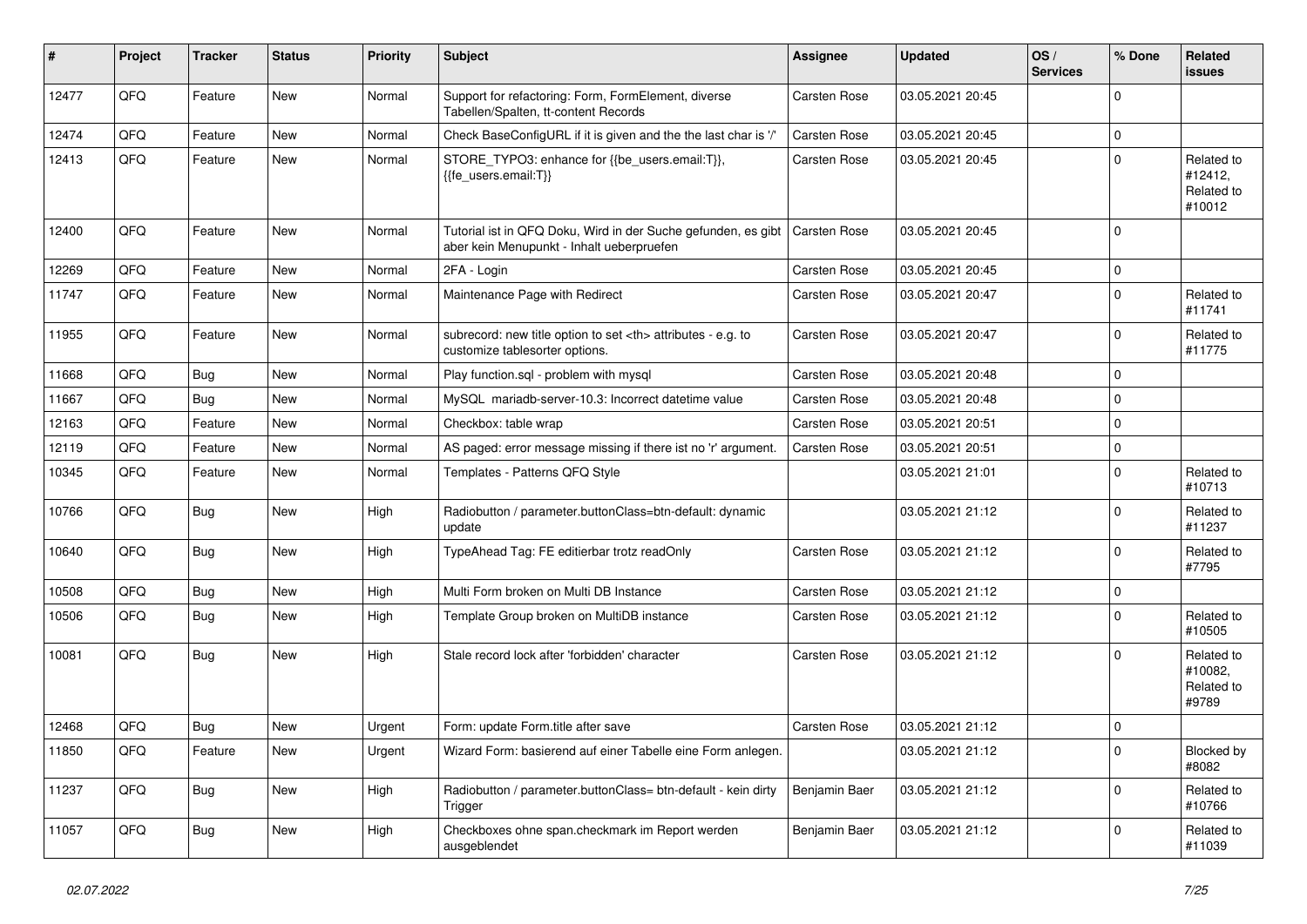| #     | Project | <b>Tracker</b> | <b>Status</b> | <b>Priority</b> | <b>Subject</b>                                                                                             | Assignee                                               | <b>Updated</b>   | OS/<br><b>Services</b> | % Done       | Related<br><b>issues</b>                      |                      |
|-------|---------|----------------|---------------|-----------------|------------------------------------------------------------------------------------------------------------|--------------------------------------------------------|------------------|------------------------|--------------|-----------------------------------------------|----------------------|
| 12477 | QFQ     | Feature        | <b>New</b>    | Normal          | Support for refactoring: Form, FormElement, diverse<br>Tabellen/Spalten, tt-content Records                | Carsten Rose                                           | 03.05.2021 20:45 |                        | $\Omega$     |                                               |                      |
| 12474 | QFQ     | Feature        | <b>New</b>    | Normal          | Check BaseConfigURL if it is given and the the last char is '/'                                            | Carsten Rose                                           | 03.05.2021 20:45 |                        | $\Omega$     |                                               |                      |
| 12413 | QFQ     | Feature        | <b>New</b>    | Normal          | STORE_TYPO3: enhance for {{be_users.email:T}},<br>{{fe users.email:T}}                                     | Carsten Rose                                           | 03.05.2021 20:45 |                        | $\Omega$     | Related to<br>#12412,<br>Related to<br>#10012 |                      |
| 12400 | QFQ     | Feature        | <b>New</b>    | Normal          | Tutorial ist in QFQ Doku, Wird in der Suche gefunden, es gibt<br>aber kein Menupunkt - Inhalt ueberpruefen | <b>Carsten Rose</b>                                    | 03.05.2021 20:45 |                        | $\Omega$     |                                               |                      |
| 12269 | QFQ     | Feature        | <b>New</b>    | Normal          | 2FA - Login                                                                                                | <b>Carsten Rose</b>                                    | 03.05.2021 20:45 |                        | $\mathbf{0}$ |                                               |                      |
| 11747 | QFQ     | Feature        | <b>New</b>    | Normal          | Maintenance Page with Redirect                                                                             | Carsten Rose                                           | 03.05.2021 20:47 |                        | $\Omega$     | Related to<br>#11741                          |                      |
| 11955 | QFQ     | Feature        | New           | Normal          | subrecord: new title option to set <th> attributes - e.g. to<br/>customize tablesorter options.</th>       | attributes - e.g. to<br>customize tablesorter options. | Carsten Rose     | 03.05.2021 20:47       |              | $\Omega$                                      | Related to<br>#11775 |
| 11668 | QFQ     | Bug            | <b>New</b>    | Normal          | Play function.sql - problem with mysql                                                                     | Carsten Rose                                           | 03.05.2021 20:48 |                        | $\Omega$     |                                               |                      |
| 11667 | QFQ     | Bug            | <b>New</b>    | Normal          | MySQL mariadb-server-10.3: Incorrect datetime value                                                        | <b>Carsten Rose</b>                                    | 03.05.2021 20:48 |                        | $\Omega$     |                                               |                      |
| 12163 | QFQ     | Feature        | <b>New</b>    | Normal          | Checkbox: table wrap                                                                                       | Carsten Rose                                           | 03.05.2021 20:51 |                        | $\Omega$     |                                               |                      |
| 12119 | QFQ     | Feature        | <b>New</b>    | Normal          | AS paged: error message missing if there ist no 'r' argument.                                              | <b>Carsten Rose</b>                                    | 03.05.2021 20:51 |                        | $\Omega$     |                                               |                      |
| 10345 | QFQ     | Feature        | <b>New</b>    | Normal          | Templates - Patterns QFQ Style                                                                             |                                                        | 03.05.2021 21:01 |                        | $\Omega$     | Related to<br>#10713                          |                      |
| 10766 | QFQ     | <b>Bug</b>     | <b>New</b>    | High            | Radiobutton / parameter.buttonClass=btn-default: dynamic<br>update                                         |                                                        | 03.05.2021 21:12 |                        | $\Omega$     | Related to<br>#11237                          |                      |
| 10640 | QFQ     | <b>Bug</b>     | New           | High            | TypeAhead Tag: FE editierbar trotz readOnly                                                                | Carsten Rose                                           | 03.05.2021 21:12 |                        | $\Omega$     | Related to<br>#7795                           |                      |
| 10508 | QFQ     | <b>Bug</b>     | <b>New</b>    | High            | Multi Form broken on Multi DB Instance                                                                     | <b>Carsten Rose</b>                                    | 03.05.2021 21:12 |                        | $\mathbf{0}$ |                                               |                      |
| 10506 | QFQ     | <b>Bug</b>     | <b>New</b>    | High            | Template Group broken on MultiDB instance                                                                  | Carsten Rose                                           | 03.05.2021 21:12 |                        | $\Omega$     | Related to<br>#10505                          |                      |
| 10081 | QFQ     | Bug            | <b>New</b>    | High            | Stale record lock after 'forbidden' character                                                              | Carsten Rose                                           | 03.05.2021 21:12 |                        | $\Omega$     | Related to<br>#10082,<br>Related to<br>#9789  |                      |
| 12468 | QFQ     | Bug            | <b>New</b>    | Urgent          | Form: update Form.title after save                                                                         | <b>Carsten Rose</b>                                    | 03.05.2021 21:12 |                        | $\mathbf{0}$ |                                               |                      |
| 11850 | QFQ     | Feature        | <b>New</b>    | Urgent          | Wizard Form: basierend auf einer Tabelle eine Form anlegen.                                                |                                                        | 03.05.2021 21:12 |                        | $\Omega$     | Blocked by<br>#8082                           |                      |
| 11237 | QFQ     | Bug            | New           | High            | Radiobutton / parameter.buttonClass= btn-default - kein dirty<br>Trigger                                   | Benjamin Baer                                          | 03.05.2021 21:12 |                        | $\Omega$     | Related to<br>#10766                          |                      |
| 11057 | QFQ     | Bug            | <b>New</b>    | High            | Checkboxes ohne span.checkmark im Report werden<br>ausgeblendet                                            | Benjamin Baer                                          | 03.05.2021 21:12 |                        | $\Omega$     | Related to<br>#11039                          |                      |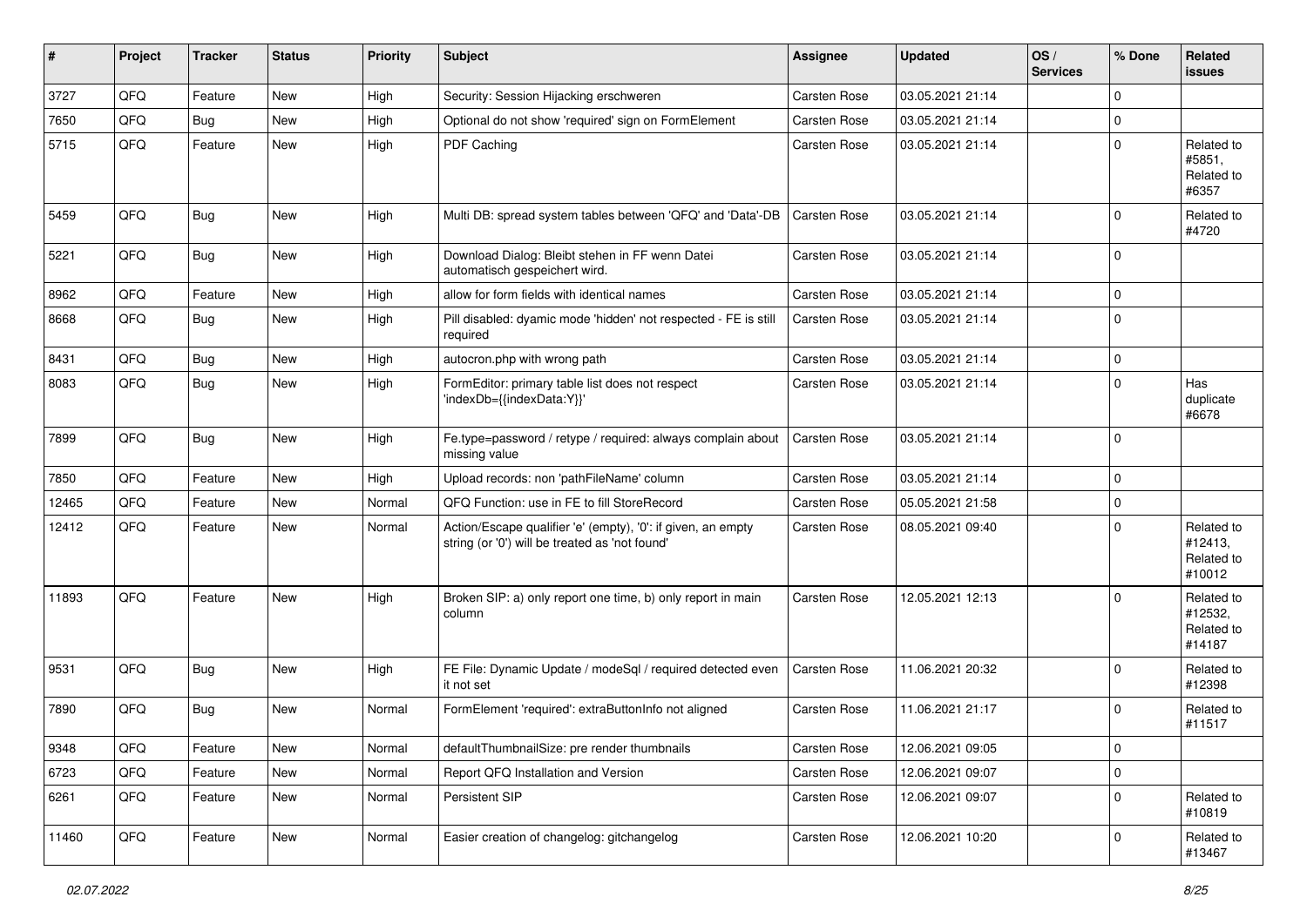| #     | Project | <b>Tracker</b> | <b>Status</b> | <b>Priority</b> | <b>Subject</b>                                                                                                 | <b>Assignee</b>     | <b>Updated</b>   | OS/<br><b>Services</b> | % Done         | Related<br><b>issues</b>                      |
|-------|---------|----------------|---------------|-----------------|----------------------------------------------------------------------------------------------------------------|---------------------|------------------|------------------------|----------------|-----------------------------------------------|
| 3727  | QFQ     | Feature        | <b>New</b>    | High            | Security: Session Hijacking erschweren                                                                         | Carsten Rose        | 03.05.2021 21:14 |                        | $\Omega$       |                                               |
| 7650  | QFQ     | Bug            | <b>New</b>    | High            | Optional do not show 'required' sign on FormElement                                                            | <b>Carsten Rose</b> | 03.05.2021 21:14 |                        | $\mathbf{0}$   |                                               |
| 5715  | QFQ     | Feature        | New           | High            | PDF Caching                                                                                                    | Carsten Rose        | 03.05.2021 21:14 |                        | $\overline{0}$ | Related to<br>#5851,<br>Related to<br>#6357   |
| 5459  | QFQ     | Bug            | New           | High            | Multi DB: spread system tables between 'QFQ' and 'Data'-DB                                                     | <b>Carsten Rose</b> | 03.05.2021 21:14 |                        | $\mathbf{0}$   | Related to<br>#4720                           |
| 5221  | QFQ     | Bug            | <b>New</b>    | High            | Download Dialog: Bleibt stehen in FF wenn Datei<br>automatisch gespeichert wird.                               | <b>Carsten Rose</b> | 03.05.2021 21:14 |                        | $\overline{0}$ |                                               |
| 8962  | QFQ     | Feature        | <b>New</b>    | High            | allow for form fields with identical names                                                                     | Carsten Rose        | 03.05.2021 21:14 |                        | $\Omega$       |                                               |
| 8668  | QFQ     | Bug            | New           | High            | Pill disabled: dyamic mode 'hidden' not respected - FE is still<br>required                                    | <b>Carsten Rose</b> | 03.05.2021 21:14 |                        | $\overline{0}$ |                                               |
| 8431  | QFQ     | <b>Bug</b>     | <b>New</b>    | High            | autocron.php with wrong path                                                                                   | Carsten Rose        | 03.05.2021 21:14 |                        | $\mathbf{0}$   |                                               |
| 8083  | QFQ     | <b>Bug</b>     | <b>New</b>    | High            | FormEditor: primary table list does not respect<br>'indexDb={{indexData:Y}}'                                   | <b>Carsten Rose</b> | 03.05.2021 21:14 |                        | $\Omega$       | Has<br>duplicate<br>#6678                     |
| 7899  | QFQ     | Bug            | New           | High            | Fe.type=password / retype / required: always complain about<br>missing value                                   | Carsten Rose        | 03.05.2021 21:14 |                        | $\overline{0}$ |                                               |
| 7850  | QFQ     | Feature        | <b>New</b>    | High            | Upload records: non 'pathFileName' column                                                                      | Carsten Rose        | 03.05.2021 21:14 |                        | $\Omega$       |                                               |
| 12465 | QFQ     | Feature        | New           | Normal          | QFQ Function: use in FE to fill StoreRecord                                                                    | Carsten Rose        | 05.05.2021 21:58 |                        | $\mathbf{0}$   |                                               |
| 12412 | QFQ     | Feature        | New           | Normal          | Action/Escape qualifier 'e' (empty), '0': if given, an empty<br>string (or '0') will be treated as 'not found' | Carsten Rose        | 08.05.2021 09:40 |                        | $\Omega$       | Related to<br>#12413,<br>Related to<br>#10012 |
| 11893 | QFQ     | Feature        | <b>New</b>    | High            | Broken SIP: a) only report one time, b) only report in main<br>column                                          | Carsten Rose        | 12.05.2021 12:13 |                        | $\Omega$       | Related to<br>#12532,<br>Related to<br>#14187 |
| 9531  | QFQ     | Bug            | <b>New</b>    | High            | FE File: Dynamic Update / modeSql / required detected even<br>it not set                                       | Carsten Rose        | 11.06.2021 20:32 |                        | $\Omega$       | Related to<br>#12398                          |
| 7890  | QFQ     | Bug            | <b>New</b>    | Normal          | FormElement 'required': extraButtonInfo not aligned                                                            | <b>Carsten Rose</b> | 11.06.2021 21:17 |                        | $\mathbf{0}$   | Related to<br>#11517                          |
| 9348  | QFQ     | Feature        | New           | Normal          | defaultThumbnailSize: pre render thumbnails                                                                    | Carsten Rose        | 12.06.2021 09:05 |                        | $\overline{0}$ |                                               |
| 6723  | QFQ     | Feature        | New           | Normal          | Report QFQ Installation and Version                                                                            | Carsten Rose        | 12.06.2021 09:07 |                        | $\mathbf 0$    |                                               |
| 6261  | QFQ     | Feature        | New           | Normal          | Persistent SIP                                                                                                 | Carsten Rose        | 12.06.2021 09:07 |                        | $\mathbf{0}$   | Related to<br>#10819                          |
| 11460 | QFQ     | Feature        | New           | Normal          | Easier creation of changelog: gitchangelog                                                                     | Carsten Rose        | 12.06.2021 10:20 |                        | $\mathbf 0$    | Related to<br>#13467                          |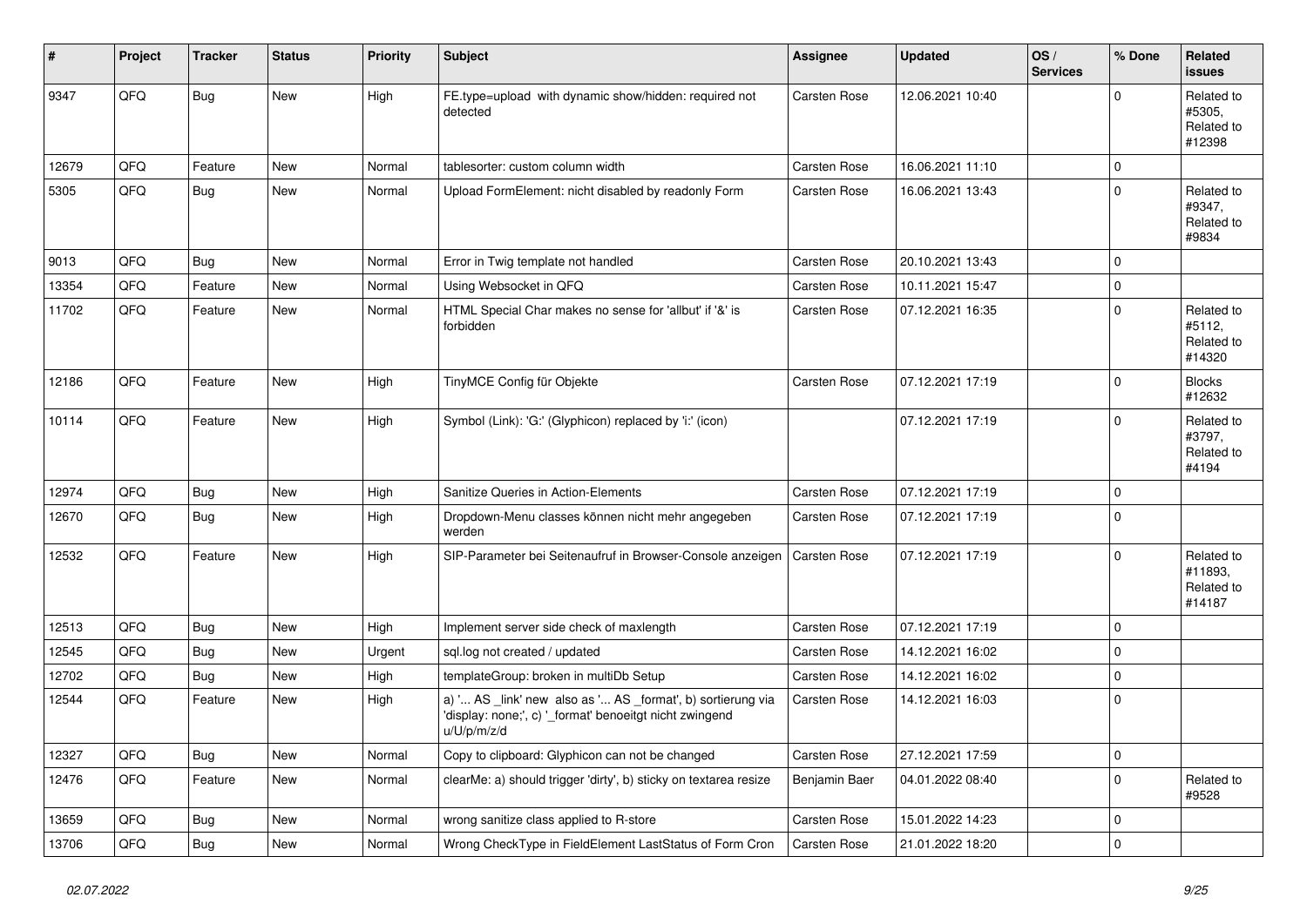| #     | Project | <b>Tracker</b> | <b>Status</b> | <b>Priority</b> | <b>Subject</b>                                                                                                                        | Assignee            | <b>Updated</b>   | OS/<br><b>Services</b> | % Done      | Related<br><b>issues</b>                      |
|-------|---------|----------------|---------------|-----------------|---------------------------------------------------------------------------------------------------------------------------------------|---------------------|------------------|------------------------|-------------|-----------------------------------------------|
| 9347  | QFQ     | Bug            | <b>New</b>    | High            | FE.type=upload with dynamic show/hidden: required not<br>detected                                                                     | Carsten Rose        | 12.06.2021 10:40 |                        | $\Omega$    | Related to<br>#5305,<br>Related to<br>#12398  |
| 12679 | QFQ     | Feature        | <b>New</b>    | Normal          | tablesorter: custom column width                                                                                                      | Carsten Rose        | 16.06.2021 11:10 |                        | $\mathbf 0$ |                                               |
| 5305  | QFQ     | Bug            | <b>New</b>    | Normal          | Upload FormElement: nicht disabled by readonly Form                                                                                   | Carsten Rose        | 16.06.2021 13:43 |                        | $\Omega$    | Related to<br>#9347,<br>Related to<br>#9834   |
| 9013  | QFQ     | Bug            | <b>New</b>    | Normal          | Error in Twig template not handled                                                                                                    | Carsten Rose        | 20.10.2021 13:43 |                        | $\Omega$    |                                               |
| 13354 | QFQ     | Feature        | <b>New</b>    | Normal          | Using Websocket in QFQ                                                                                                                | Carsten Rose        | 10.11.2021 15:47 |                        | $\mathbf 0$ |                                               |
| 11702 | QFQ     | Feature        | <b>New</b>    | Normal          | HTML Special Char makes no sense for 'allbut' if '&' is<br>forbidden                                                                  | Carsten Rose        | 07.12.2021 16:35 |                        | $\Omega$    | Related to<br>#5112,<br>Related to<br>#14320  |
| 12186 | QFQ     | Feature        | New           | High            | TinyMCE Config für Objekte                                                                                                            | Carsten Rose        | 07.12.2021 17:19 |                        | $\Omega$    | <b>Blocks</b><br>#12632                       |
| 10114 | QFQ     | Feature        | <b>New</b>    | High            | Symbol (Link): 'G:' (Glyphicon) replaced by 'i:' (icon)                                                                               |                     | 07.12.2021 17:19 |                        | $\Omega$    | Related to<br>#3797.<br>Related to<br>#4194   |
| 12974 | QFQ     | Bug            | <b>New</b>    | High            | Sanitize Queries in Action-Elements                                                                                                   | Carsten Rose        | 07.12.2021 17:19 |                        | $\mathbf 0$ |                                               |
| 12670 | QFQ     | Bug            | <b>New</b>    | High            | Dropdown-Menu classes können nicht mehr angegeben<br>werden                                                                           | Carsten Rose        | 07.12.2021 17:19 |                        | $\Omega$    |                                               |
| 12532 | QFQ     | Feature        | New           | High            | SIP-Parameter bei Seitenaufruf in Browser-Console anzeigen                                                                            | Carsten Rose        | 07.12.2021 17:19 |                        | $\Omega$    | Related to<br>#11893,<br>Related to<br>#14187 |
| 12513 | QFQ     | Bug            | <b>New</b>    | High            | Implement server side check of maxlength                                                                                              | Carsten Rose        | 07.12.2021 17:19 |                        | $\mathbf 0$ |                                               |
| 12545 | QFQ     | Bug            | <b>New</b>    | Urgent          | sql.log not created / updated                                                                                                         | Carsten Rose        | 14.12.2021 16:02 |                        | $\mathbf 0$ |                                               |
| 12702 | QFQ     | Bug            | New           | High            | templateGroup: broken in multiDb Setup                                                                                                | Carsten Rose        | 14.12.2021 16:02 |                        | $\Omega$    |                                               |
| 12544 | QFQ     | Feature        | New           | High            | a) ' AS _link' new also as ' AS _format', b) sortierung via<br>'display: none;', c) '_format' benoeitgt nicht zwingend<br>u/U/p/m/z/d | Carsten Rose        | 14.12.2021 16:03 |                        | $\Omega$    |                                               |
| 12327 | QFQ     | Bug            | <b>New</b>    | Normal          | Copy to clipboard: Glyphicon can not be changed                                                                                       | Carsten Rose        | 27.12.2021 17:59 |                        | $\mathbf 0$ |                                               |
| 12476 | QFQ     | Feature        | <b>New</b>    | Normal          | clearMe: a) should trigger 'dirty', b) sticky on textarea resize                                                                      | Benjamin Baer       | 04.01.2022 08:40 |                        | $\Omega$    | Related to<br>#9528                           |
| 13659 | QFQ     | Bug            | <b>New</b>    | Normal          | wrong sanitize class applied to R-store                                                                                               | Carsten Rose        | 15.01.2022 14:23 |                        | $\mathbf 0$ |                                               |
| 13706 | QFQ     | Bug            | <b>New</b>    | Normal          | Wrong CheckType in FieldElement LastStatus of Form Cron                                                                               | <b>Carsten Rose</b> | 21.01.2022 18:20 |                        | $\mathbf 0$ |                                               |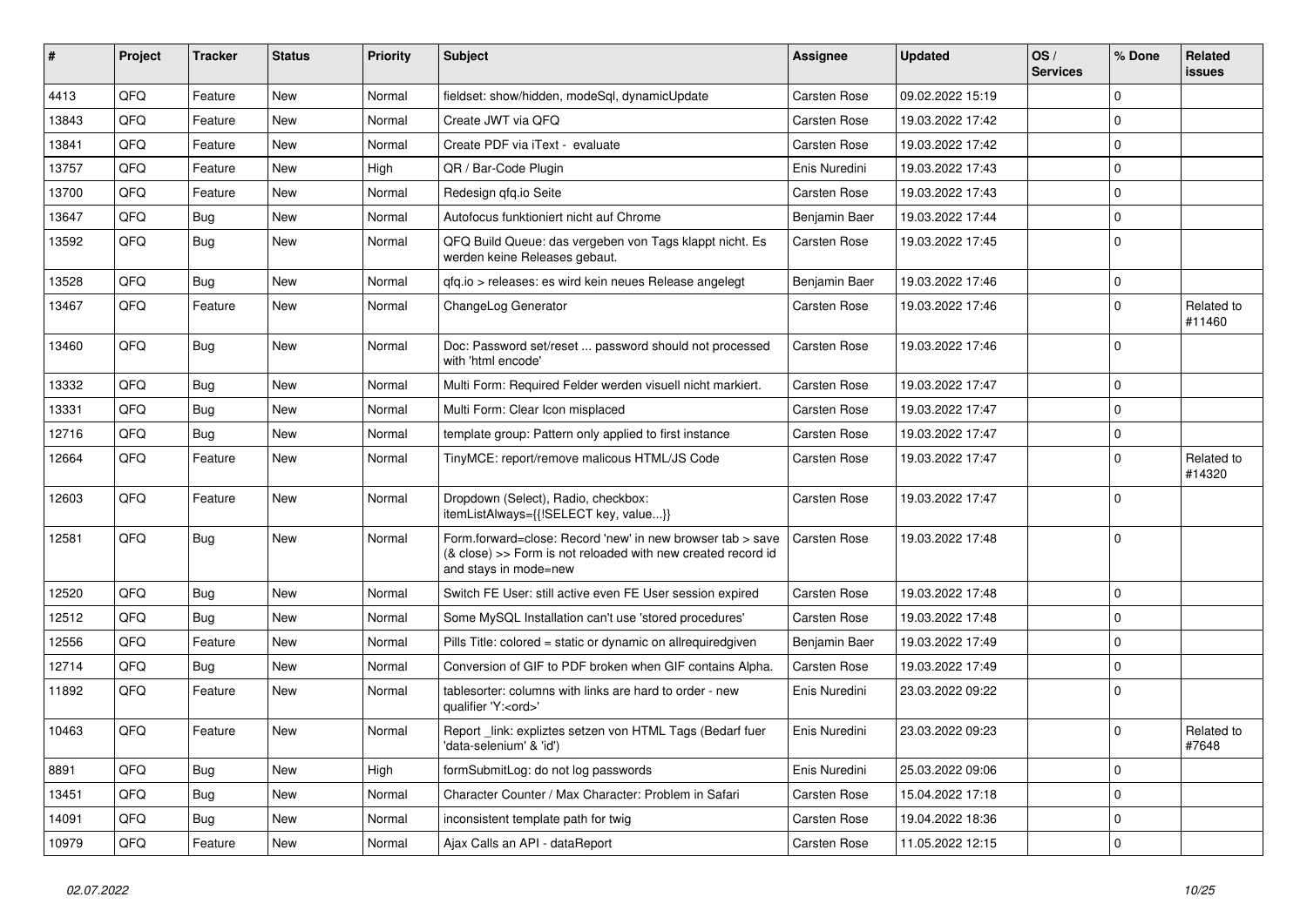| #     | Project | <b>Tracker</b> | <b>Status</b> | <b>Priority</b> | Subject                                                                                                                                             | <b>Assignee</b>     | <b>Updated</b>   | OS/<br><b>Services</b> | % Done         | Related<br>issues    |
|-------|---------|----------------|---------------|-----------------|-----------------------------------------------------------------------------------------------------------------------------------------------------|---------------------|------------------|------------------------|----------------|----------------------|
| 4413  | QFQ     | Feature        | <b>New</b>    | Normal          | fieldset: show/hidden, modeSql, dynamicUpdate                                                                                                       | Carsten Rose        | 09.02.2022 15:19 |                        | $\mathbf 0$    |                      |
| 13843 | QFQ     | Feature        | New           | Normal          | Create JWT via QFQ                                                                                                                                  | Carsten Rose        | 19.03.2022 17:42 |                        | $\mathbf 0$    |                      |
| 13841 | QFQ     | Feature        | New           | Normal          | Create PDF via iText - evaluate                                                                                                                     | <b>Carsten Rose</b> | 19.03.2022 17:42 |                        | $\Omega$       |                      |
| 13757 | QFQ     | Feature        | <b>New</b>    | High            | QR / Bar-Code Plugin                                                                                                                                | Enis Nuredini       | 19.03.2022 17:43 |                        | $\Omega$       |                      |
| 13700 | QFQ     | Feature        | <b>New</b>    | Normal          | Redesign gfg.io Seite                                                                                                                               | <b>Carsten Rose</b> | 19.03.2022 17:43 |                        | $\mathbf 0$    |                      |
| 13647 | QFQ     | <b>Bug</b>     | <b>New</b>    | Normal          | Autofocus funktioniert nicht auf Chrome                                                                                                             | Benjamin Baer       | 19.03.2022 17:44 |                        | $\mathbf 0$    |                      |
| 13592 | QFQ     | Bug            | <b>New</b>    | Normal          | QFQ Build Queue: das vergeben von Tags klappt nicht. Es<br>werden keine Releases gebaut.                                                            | Carsten Rose        | 19.03.2022 17:45 |                        | $\mathbf{0}$   |                      |
| 13528 | QFQ     | Bug            | <b>New</b>    | Normal          | qfq.io > releases: es wird kein neues Release angelegt                                                                                              | Benjamin Baer       | 19.03.2022 17:46 |                        | $\mathbf 0$    |                      |
| 13467 | QFQ     | Feature        | <b>New</b>    | Normal          | ChangeLog Generator                                                                                                                                 | <b>Carsten Rose</b> | 19.03.2022 17:46 |                        | $\Omega$       | Related to<br>#11460 |
| 13460 | QFQ     | Bug            | New           | Normal          | Doc: Password set/reset  password should not processed<br>with 'html encode'                                                                        | <b>Carsten Rose</b> | 19.03.2022 17:46 |                        | $\Omega$       |                      |
| 13332 | QFQ     | <b>Bug</b>     | <b>New</b>    | Normal          | Multi Form: Required Felder werden visuell nicht markiert.                                                                                          | <b>Carsten Rose</b> | 19.03.2022 17:47 |                        | $\mathbf{0}$   |                      |
| 13331 | QFQ     | <b>Bug</b>     | <b>New</b>    | Normal          | Multi Form: Clear Icon misplaced                                                                                                                    | <b>Carsten Rose</b> | 19.03.2022 17:47 |                        | $\mathbf{0}$   |                      |
| 12716 | QFQ     | <b>Bug</b>     | <b>New</b>    | Normal          | template group: Pattern only applied to first instance                                                                                              | <b>Carsten Rose</b> | 19.03.2022 17:47 |                        | $\mathbf 0$    |                      |
| 12664 | QFQ     | Feature        | <b>New</b>    | Normal          | TinyMCE: report/remove malicous HTML/JS Code                                                                                                        | <b>Carsten Rose</b> | 19.03.2022 17:47 |                        | $\Omega$       | Related to<br>#14320 |
| 12603 | QFQ     | Feature        | <b>New</b>    | Normal          | Dropdown (Select), Radio, checkbox:<br>itemListAlways={{!SELECT key, value}}                                                                        | <b>Carsten Rose</b> | 19.03.2022 17:47 |                        | $\Omega$       |                      |
| 12581 | QFQ     | Bug            | <b>New</b>    | Normal          | Form.forward=close: Record 'new' in new browser tab > save<br>(& close) >> Form is not reloaded with new created record id<br>and stays in mode=new | Carsten Rose        | 19.03.2022 17:48 |                        | $\overline{0}$ |                      |
| 12520 | QFQ     | <b>Bug</b>     | <b>New</b>    | Normal          | Switch FE User: still active even FE User session expired                                                                                           | <b>Carsten Rose</b> | 19.03.2022 17:48 |                        | $\mathbf 0$    |                      |
| 12512 | QFQ     | Bug            | <b>New</b>    | Normal          | Some MySQL Installation can't use 'stored procedures'                                                                                               | <b>Carsten Rose</b> | 19.03.2022 17:48 |                        | $\mathbf{0}$   |                      |
| 12556 | QFQ     | Feature        | <b>New</b>    | Normal          | Pills Title: colored = static or dynamic on allrequiredgiven                                                                                        | Benjamin Baer       | 19.03.2022 17:49 |                        | $\mathbf 0$    |                      |
| 12714 | QFQ     | <b>Bug</b>     | <b>New</b>    | Normal          | Conversion of GIF to PDF broken when GIF contains Alpha.                                                                                            | <b>Carsten Rose</b> | 19.03.2022 17:49 |                        | $\mathbf 0$    |                      |
| 11892 | QFQ     | Feature        | New           | Normal          | tablesorter: columns with links are hard to order - new<br>qualifier 'Y: <ord>'</ord>                                                               | Enis Nuredini       | 23.03.2022 09:22 |                        | $\mathbf{0}$   |                      |
| 10463 | QFQ     | Feature        | New           | Normal          | Report link: expliztes setzen von HTML Tags (Bedarf fuer<br>'data-selenium' & 'id')                                                                 | Enis Nuredini       | 23.03.2022 09:23 |                        | 0              | Related to<br>#7648  |
| 8891  | QFQ     | Bug            | New           | High            | formSubmitLog: do not log passwords                                                                                                                 | Enis Nuredini       | 25.03.2022 09:06 |                        | $\mathbf 0$    |                      |
| 13451 | QFQ     | Bug            | New           | Normal          | Character Counter / Max Character: Problem in Safari                                                                                                | Carsten Rose        | 15.04.2022 17:18 |                        | $\mathbf 0$    |                      |
| 14091 | QFQ     | Bug            | New           | Normal          | inconsistent template path for twig                                                                                                                 | Carsten Rose        | 19.04.2022 18:36 |                        | $\mathbf 0$    |                      |
| 10979 | QFQ     | Feature        | New           | Normal          | Ajax Calls an API - dataReport                                                                                                                      | Carsten Rose        | 11.05.2022 12:15 |                        | $\mathbf 0$    |                      |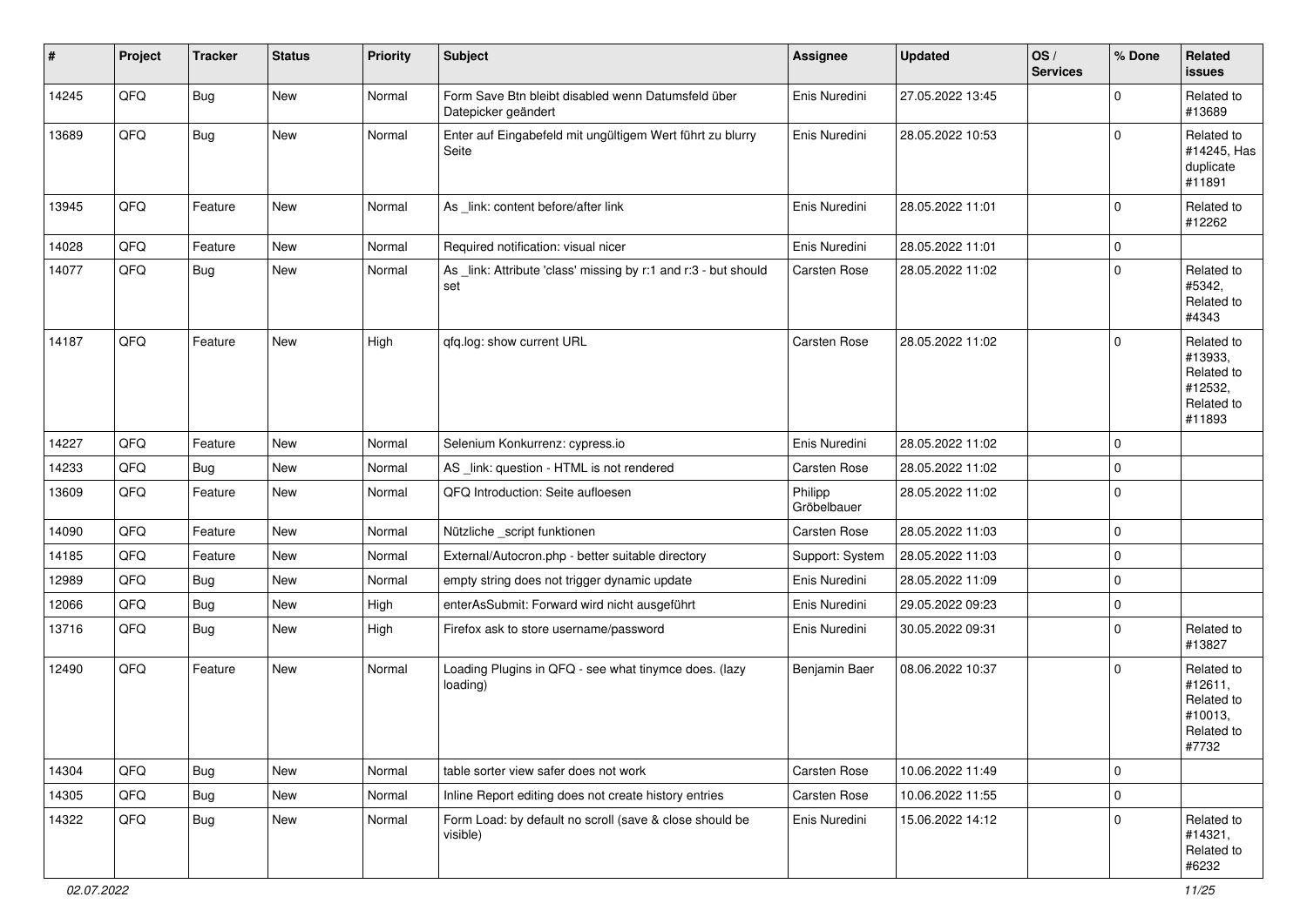| #     | Project | <b>Tracker</b> | <b>Status</b> | <b>Priority</b> | <b>Subject</b>                                                            | Assignee               | <b>Updated</b>   | OS/<br><b>Services</b> | % Done      | Related<br><b>issues</b>                                               |
|-------|---------|----------------|---------------|-----------------|---------------------------------------------------------------------------|------------------------|------------------|------------------------|-------------|------------------------------------------------------------------------|
| 14245 | QFQ     | <b>Bug</b>     | New           | Normal          | Form Save Btn bleibt disabled wenn Datumsfeld über<br>Datepicker geändert | Enis Nuredini          | 27.05.2022 13:45 |                        | $\mathbf 0$ | Related to<br>#13689                                                   |
| 13689 | QFQ     | Bug            | New           | Normal          | Enter auf Eingabefeld mit ungültigem Wert führt zu blurry<br>Seite        | Enis Nuredini          | 28.05.2022 10:53 |                        | $\mathbf 0$ | Related to<br>#14245, Has<br>duplicate<br>#11891                       |
| 13945 | QFQ     | Feature        | New           | Normal          | As _link: content before/after link                                       | Enis Nuredini          | 28.05.2022 11:01 |                        | $\mathbf 0$ | Related to<br>#12262                                                   |
| 14028 | QFQ     | Feature        | <b>New</b>    | Normal          | Required notification: visual nicer                                       | Enis Nuredini          | 28.05.2022 11:01 |                        | $\mathbf 0$ |                                                                        |
| 14077 | QFQ     | Bug            | New           | Normal          | As link: Attribute 'class' missing by r:1 and r:3 - but should<br>set     | Carsten Rose           | 28.05.2022 11:02 |                        | $\mathbf 0$ | Related to<br>#5342,<br>Related to<br>#4343                            |
| 14187 | QFQ     | Feature        | New           | High            | qfq.log: show current URL                                                 | Carsten Rose           | 28.05.2022 11:02 |                        | $\mathbf 0$ | Related to<br>#13933,<br>Related to<br>#12532,<br>Related to<br>#11893 |
| 14227 | QFQ     | Feature        | <b>New</b>    | Normal          | Selenium Konkurrenz: cypress.io                                           | Enis Nuredini          | 28.05.2022 11:02 |                        | $\mathbf 0$ |                                                                        |
| 14233 | QFQ     | <b>Bug</b>     | <b>New</b>    | Normal          | AS_link: question - HTML is not rendered                                  | Carsten Rose           | 28.05.2022 11:02 |                        | $\mathbf 0$ |                                                                        |
| 13609 | QFQ     | Feature        | New           | Normal          | QFQ Introduction: Seite aufloesen                                         | Philipp<br>Gröbelbauer | 28.05.2022 11:02 |                        | $\mathbf 0$ |                                                                        |
| 14090 | QFQ     | Feature        | <b>New</b>    | Normal          | Nützliche _script funktionen                                              | Carsten Rose           | 28.05.2022 11:03 |                        | $\mathbf 0$ |                                                                        |
| 14185 | QFQ     | Feature        | New           | Normal          | External/Autocron.php - better suitable directory                         | Support: System        | 28.05.2022 11:03 |                        | $\pmb{0}$   |                                                                        |
| 12989 | QFQ     | Bug            | New           | Normal          | empty string does not trigger dynamic update                              | Enis Nuredini          | 28.05.2022 11:09 |                        | $\mathbf 0$ |                                                                        |
| 12066 | QFQ     | <b>Bug</b>     | New           | High            | enterAsSubmit: Forward wird nicht ausgeführt                              | Enis Nuredini          | 29.05.2022 09:23 |                        | $\mathbf 0$ |                                                                        |
| 13716 | QFQ     | Bug            | <b>New</b>    | High            | Firefox ask to store username/password                                    | Enis Nuredini          | 30.05.2022 09:31 |                        | $\mathbf 0$ | Related to<br>#13827                                                   |
| 12490 | QFQ     | Feature        | New           | Normal          | Loading Plugins in QFQ - see what tinymce does. (lazy<br>loading)         | Benjamin Baer          | 08.06.2022 10:37 |                        | $\mathbf 0$ | Related to<br>#12611,<br>Related to<br>#10013,<br>Related to<br>#7732  |
| 14304 | QFQ     | <b>Bug</b>     | New           | Normal          | table sorter view safer does not work                                     | Carsten Rose           | 10.06.2022 11:49 |                        | $\mathbf 0$ |                                                                        |
| 14305 | QFQ     | <b>Bug</b>     | New           | Normal          | Inline Report editing does not create history entries                     | Carsten Rose           | 10.06.2022 11:55 |                        | $\pmb{0}$   |                                                                        |
| 14322 | QFQ     | <b>Bug</b>     | New           | Normal          | Form Load: by default no scroll (save & close should be<br>visible)       | Enis Nuredini          | 15.06.2022 14:12 |                        | $\mathbf 0$ | Related to<br>#14321,<br>Related to<br>#6232                           |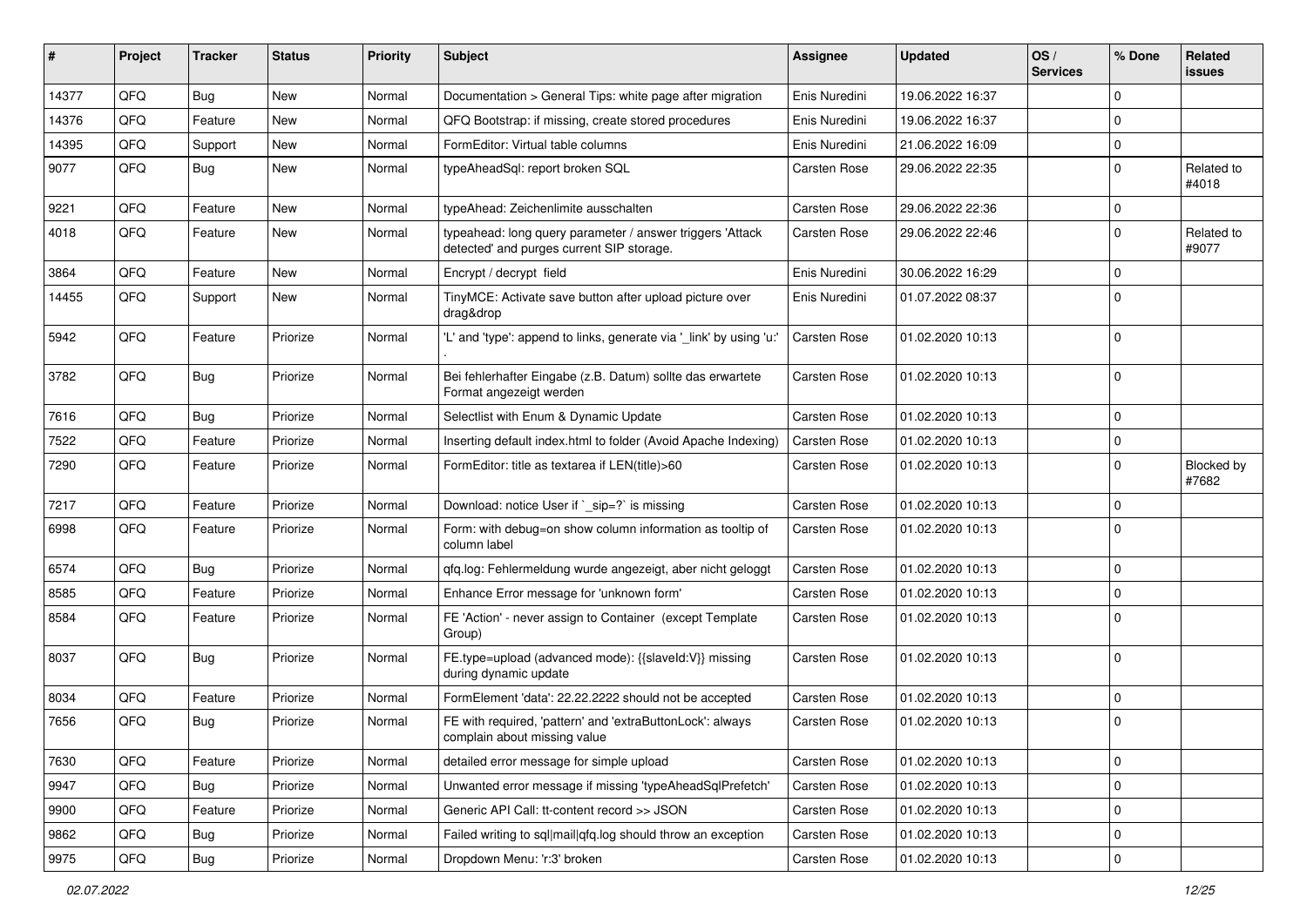| ∦     | Project | <b>Tracker</b> | <b>Status</b> | <b>Priority</b> | <b>Subject</b>                                                                                         | <b>Assignee</b>     | <b>Updated</b>   | OS/<br><b>Services</b> | % Done         | Related<br>issues   |
|-------|---------|----------------|---------------|-----------------|--------------------------------------------------------------------------------------------------------|---------------------|------------------|------------------------|----------------|---------------------|
| 14377 | QFQ     | Bug            | <b>New</b>    | Normal          | Documentation > General Tips: white page after migration                                               | Enis Nuredini       | 19.06.2022 16:37 |                        | $\Omega$       |                     |
| 14376 | QFQ     | Feature        | <b>New</b>    | Normal          | QFQ Bootstrap: if missing, create stored procedures                                                    | Enis Nuredini       | 19.06.2022 16:37 |                        | $\Omega$       |                     |
| 14395 | QFQ     | Support        | <b>New</b>    | Normal          | FormEditor: Virtual table columns                                                                      | Enis Nuredini       | 21.06.2022 16:09 |                        | $\Omega$       |                     |
| 9077  | QFQ     | <b>Bug</b>     | New           | Normal          | typeAheadSql: report broken SQL                                                                        | Carsten Rose        | 29.06.2022 22:35 |                        | $\Omega$       | Related to<br>#4018 |
| 9221  | QFQ     | Feature        | New           | Normal          | typeAhead: Zeichenlimite ausschalten                                                                   | Carsten Rose        | 29.06.2022 22:36 |                        | $\mathbf 0$    |                     |
| 4018  | QFQ     | Feature        | New           | Normal          | typeahead: long query parameter / answer triggers 'Attack<br>detected' and purges current SIP storage. | <b>Carsten Rose</b> | 29.06.2022 22:46 |                        | $\Omega$       | Related to<br>#9077 |
| 3864  | QFQ     | Feature        | <b>New</b>    | Normal          | Encrypt / decrypt field                                                                                | Enis Nuredini       | 30.06.2022 16:29 |                        | $\Omega$       |                     |
| 14455 | QFQ     | Support        | New           | Normal          | TinyMCE: Activate save button after upload picture over<br>drag&drop                                   | Enis Nuredini       | 01.07.2022 08:37 |                        | $\Omega$       |                     |
| 5942  | QFQ     | Feature        | Priorize      | Normal          | 'L' and 'type': append to links, generate via '_link' by using 'u:'                                    | <b>Carsten Rose</b> | 01.02.2020 10:13 |                        | $\Omega$       |                     |
| 3782  | QFQ     | Bug            | Priorize      | Normal          | Bei fehlerhafter Eingabe (z.B. Datum) sollte das erwartete<br>Format angezeigt werden                  | <b>Carsten Rose</b> | 01.02.2020 10:13 |                        | $\Omega$       |                     |
| 7616  | QFQ     | Bug            | Priorize      | Normal          | Selectlist with Enum & Dynamic Update                                                                  | <b>Carsten Rose</b> | 01.02.2020 10:13 |                        | $\mathbf 0$    |                     |
| 7522  | QFQ     | Feature        | Priorize      | Normal          | Inserting default index.html to folder (Avoid Apache Indexing)                                         | Carsten Rose        | 01.02.2020 10:13 |                        | $\mathbf 0$    |                     |
| 7290  | QFQ     | Feature        | Priorize      | Normal          | FormEditor: title as textarea if LEN(title)>60                                                         | Carsten Rose        | 01.02.2020 10:13 |                        | $\Omega$       | Blocked by<br>#7682 |
| 7217  | QFQ     | Feature        | Priorize      | Normal          | Download: notice User if `_sip=?` is missing                                                           | <b>Carsten Rose</b> | 01.02.2020 10:13 |                        | $\mathbf 0$    |                     |
| 6998  | QFQ     | Feature        | Priorize      | Normal          | Form: with debug=on show column information as tooltip of<br>column label                              | Carsten Rose        | 01.02.2020 10:13 |                        | $\Omega$       |                     |
| 6574  | QFQ     | <b>Bug</b>     | Priorize      | Normal          | qfq.log: Fehlermeldung wurde angezeigt, aber nicht geloggt                                             | <b>Carsten Rose</b> | 01.02.2020 10:13 |                        | $\Omega$       |                     |
| 8585  | QFQ     | Feature        | Priorize      | Normal          | Enhance Error message for 'unknown form'                                                               | <b>Carsten Rose</b> | 01.02.2020 10:13 |                        | $\Omega$       |                     |
| 8584  | QFQ     | Feature        | Priorize      | Normal          | FE 'Action' - never assign to Container (except Template<br>Group)                                     | Carsten Rose        | 01.02.2020 10:13 |                        | $\Omega$       |                     |
| 8037  | QFQ     | Bug            | Priorize      | Normal          | FE.type=upload (advanced mode): {{slaveld:V}} missing<br>during dynamic update                         | Carsten Rose        | 01.02.2020 10:13 |                        | $\Omega$       |                     |
| 8034  | QFQ     | Feature        | Priorize      | Normal          | FormElement 'data': 22.22.2222 should not be accepted                                                  | <b>Carsten Rose</b> | 01.02.2020 10:13 |                        | $\mathbf 0$    |                     |
| 7656  | QFQ     | Bug            | Priorize      | Normal          | FE with required, 'pattern' and 'extraButtonLock': always<br>complain about missing value              | <b>Carsten Rose</b> | 01.02.2020 10:13 |                        | $\Omega$       |                     |
| 7630  | QFQ     | Feature        | Priorize      | Normal          | detailed error message for simple upload                                                               | Carsten Rose        | 01.02.2020 10:13 |                        | $\overline{0}$ |                     |
| 9947  | QFQ     | <b>Bug</b>     | Priorize      | Normal          | Unwanted error message if missing 'typeAheadSqlPrefetch'                                               | <b>Carsten Rose</b> | 01.02.2020 10:13 |                        | $\overline{0}$ |                     |
| 9900  | QFQ     | Feature        | Priorize      | Normal          | Generic API Call: tt-content record >> JSON                                                            | Carsten Rose        | 01.02.2020 10:13 |                        | $\mathbf 0$    |                     |
| 9862  | QFQ     | <b>Bug</b>     | Priorize      | Normal          | Failed writing to sql mail qfq.log should throw an exception                                           | Carsten Rose        | 01.02.2020 10:13 |                        | 0              |                     |
| 9975  | QFQ     | <b>Bug</b>     | Priorize      | Normal          | Dropdown Menu: 'r:3' broken                                                                            | Carsten Rose        | 01.02.2020 10:13 |                        | $\overline{0}$ |                     |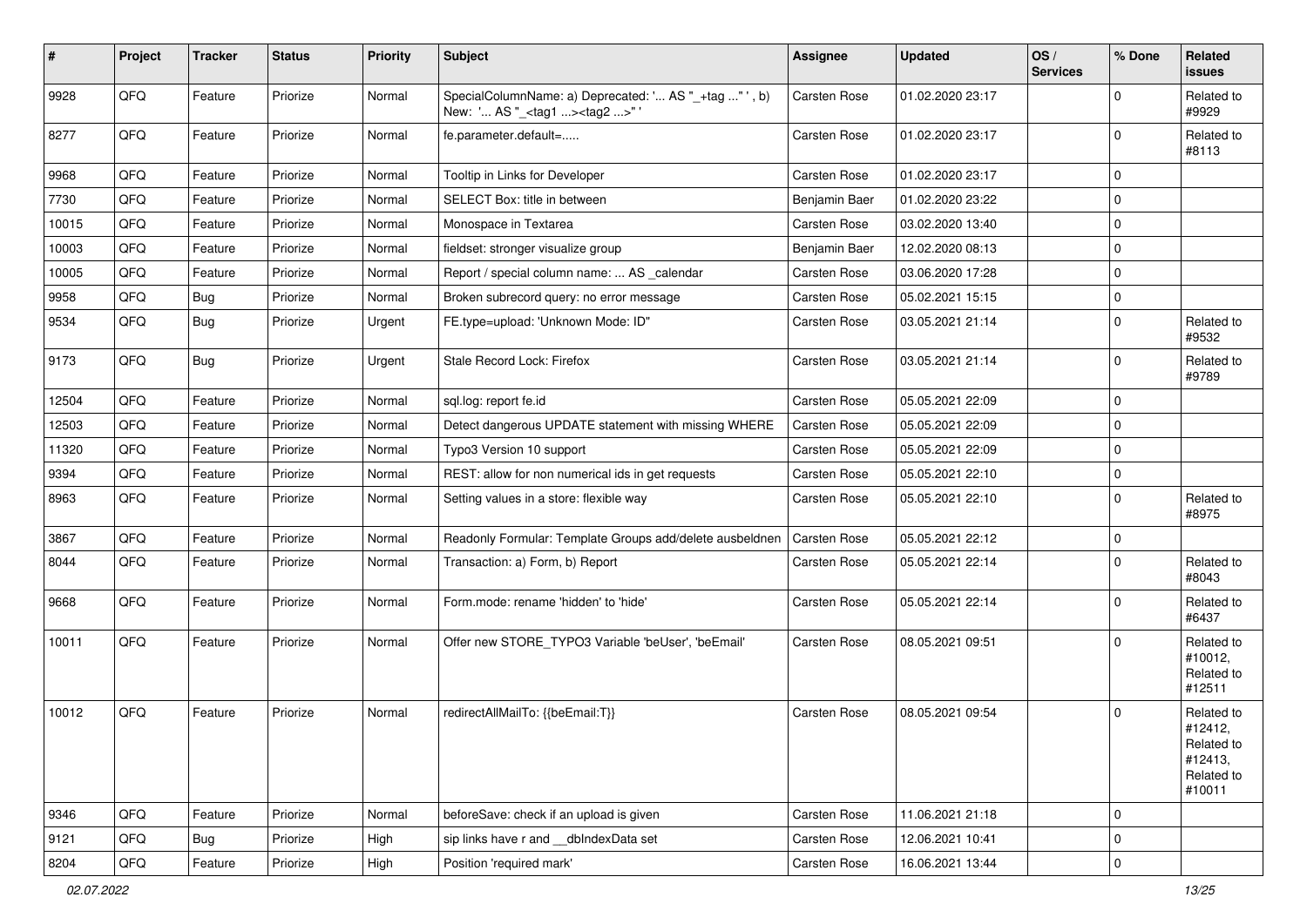| $\sharp$ | Project | <b>Tracker</b> | <b>Status</b> | <b>Priority</b> | <b>Subject</b>                                                                                     | <b>Assignee</b>     | <b>Updated</b>   | OS/<br><b>Services</b> | % Done       | Related<br>issues                                                      |
|----------|---------|----------------|---------------|-----------------|----------------------------------------------------------------------------------------------------|---------------------|------------------|------------------------|--------------|------------------------------------------------------------------------|
| 9928     | QFQ     | Feature        | Priorize      | Normal          | SpecialColumnName: a) Deprecated: ' AS "_+tag " ', b)<br>New: ' AS "_ <tag1><tag2>"'</tag2></tag1> | <b>Carsten Rose</b> | 01.02.2020 23:17 |                        | $\Omega$     | Related to<br>#9929                                                    |
| 8277     | QFQ     | Feature        | Priorize      | Normal          | fe.parameter.default=                                                                              | <b>Carsten Rose</b> | 01.02.2020 23:17 |                        | $\Omega$     | Related to<br>#8113                                                    |
| 9968     | QFQ     | Feature        | Priorize      | Normal          | Tooltip in Links for Developer                                                                     | <b>Carsten Rose</b> | 01.02.2020 23:17 |                        | $\mathbf{0}$ |                                                                        |
| 7730     | QFQ     | Feature        | Priorize      | Normal          | SELECT Box: title in between                                                                       | Benjamin Baer       | 01.02.2020 23:22 |                        | $\mathbf 0$  |                                                                        |
| 10015    | QFQ     | Feature        | Priorize      | Normal          | Monospace in Textarea                                                                              | <b>Carsten Rose</b> | 03.02.2020 13:40 |                        | $\mathbf 0$  |                                                                        |
| 10003    | QFQ     | Feature        | Priorize      | Normal          | fieldset: stronger visualize group                                                                 | Benjamin Baer       | 12.02.2020 08:13 |                        | $\mathbf{0}$ |                                                                        |
| 10005    | QFQ     | Feature        | Priorize      | Normal          | Report / special column name:  AS _calendar                                                        | <b>Carsten Rose</b> | 03.06.2020 17:28 |                        | $\Omega$     |                                                                        |
| 9958     | QFQ     | <b>Bug</b>     | Priorize      | Normal          | Broken subrecord query: no error message                                                           | Carsten Rose        | 05.02.2021 15:15 |                        | $\Omega$     |                                                                        |
| 9534     | QFQ     | Bug            | Priorize      | Urgent          | FE.type=upload: 'Unknown Mode: ID"                                                                 | Carsten Rose        | 03.05.2021 21:14 |                        | $\mathbf 0$  | Related to<br>#9532                                                    |
| 9173     | QFQ     | <b>Bug</b>     | Priorize      | Urgent          | Stale Record Lock: Firefox                                                                         | <b>Carsten Rose</b> | 03.05.2021 21:14 |                        | $\Omega$     | Related to<br>#9789                                                    |
| 12504    | QFQ     | Feature        | Priorize      | Normal          | sql.log: report fe.id                                                                              | <b>Carsten Rose</b> | 05.05.2021 22:09 |                        | $\mathbf{0}$ |                                                                        |
| 12503    | QFQ     | Feature        | Priorize      | Normal          | Detect dangerous UPDATE statement with missing WHERE                                               | Carsten Rose        | 05.05.2021 22:09 |                        | $\mathbf{0}$ |                                                                        |
| 11320    | QFQ     | Feature        | Priorize      | Normal          | Typo3 Version 10 support                                                                           | <b>Carsten Rose</b> | 05.05.2021 22:09 |                        | $\mathbf 0$  |                                                                        |
| 9394     | QFQ     | Feature        | Priorize      | Normal          | REST: allow for non numerical ids in get requests                                                  | Carsten Rose        | 05.05.2021 22:10 |                        | $\mathbf 0$  |                                                                        |
| 8963     | QFQ     | Feature        | Priorize      | Normal          | Setting values in a store: flexible way                                                            | Carsten Rose        | 05.05.2021 22:10 |                        | $\Omega$     | Related to<br>#8975                                                    |
| 3867     | QFQ     | Feature        | Priorize      | Normal          | Readonly Formular: Template Groups add/delete ausbeldnen                                           | Carsten Rose        | 05.05.2021 22:12 |                        | $\mathbf{0}$ |                                                                        |
| 8044     | QFQ     | Feature        | Priorize      | Normal          | Transaction: a) Form, b) Report                                                                    | Carsten Rose        | 05.05.2021 22:14 |                        | $\Omega$     | Related to<br>#8043                                                    |
| 9668     | QFQ     | Feature        | Priorize      | Normal          | Form.mode: rename 'hidden' to 'hide'                                                               | Carsten Rose        | 05.05.2021 22:14 |                        | $\Omega$     | Related to<br>#6437                                                    |
| 10011    | QFQ     | Feature        | Priorize      | Normal          | Offer new STORE TYPO3 Variable 'beUser', 'beEmail'                                                 | <b>Carsten Rose</b> | 08.05.2021 09:51 |                        | $\Omega$     | Related to<br>#10012,<br>Related to<br>#12511                          |
| 10012    | QFQ     | Feature        | Priorize      | Normal          | redirectAllMailTo: {{beEmail:T}}                                                                   | <b>Carsten Rose</b> | 08.05.2021 09:54 |                        | $\Omega$     | Related to<br>#12412,<br>Related to<br>#12413,<br>Related to<br>#10011 |
| 9346     | QFQ     | Feature        | Priorize      | Normal          | beforeSave: check if an upload is given                                                            | Carsten Rose        | 11.06.2021 21:18 |                        | $\mathbf 0$  |                                                                        |
| 9121     | QFQ     | <b>Bug</b>     | Priorize      | High            | sip links have r and __dbIndexData set                                                             | Carsten Rose        | 12.06.2021 10:41 |                        | $\mathbf{0}$ |                                                                        |
| 8204     | QFQ     | Feature        | Priorize      | High            | Position 'required mark'                                                                           | Carsten Rose        | 16.06.2021 13:44 |                        | $\mathbf 0$  |                                                                        |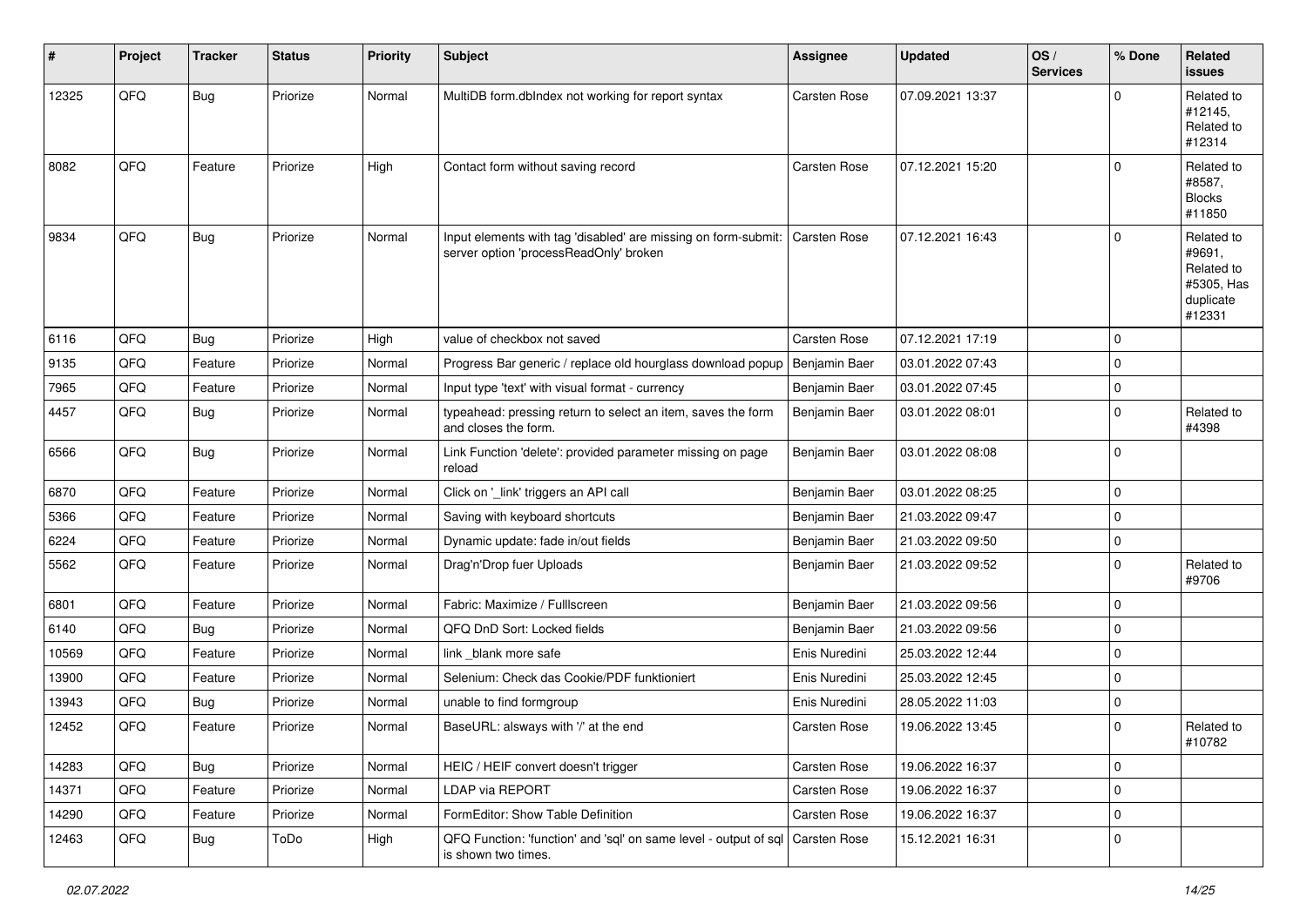| #     | Project | <b>Tracker</b> | <b>Status</b> | <b>Priority</b> | <b>Subject</b>                                                                                           | Assignee      | <b>Updated</b>   | OS/<br><b>Services</b> | % Done         | <b>Related</b><br><b>issues</b>                                         |
|-------|---------|----------------|---------------|-----------------|----------------------------------------------------------------------------------------------------------|---------------|------------------|------------------------|----------------|-------------------------------------------------------------------------|
| 12325 | QFQ     | Bug            | Priorize      | Normal          | MultiDB form.dbIndex not working for report syntax                                                       | Carsten Rose  | 07.09.2021 13:37 |                        | $\mathbf 0$    | Related to<br>#12145,<br>Related to<br>#12314                           |
| 8082  | QFQ     | Feature        | Priorize      | High            | Contact form without saving record                                                                       | Carsten Rose  | 07.12.2021 15:20 |                        | $\mathbf{0}$   | Related to<br>#8587,<br><b>Blocks</b><br>#11850                         |
| 9834  | QFQ     | Bug            | Priorize      | Normal          | Input elements with tag 'disabled' are missing on form-submit:<br>server option 'processReadOnly' broken | Carsten Rose  | 07.12.2021 16:43 |                        | $\overline{0}$ | Related to<br>#9691,<br>Related to<br>#5305, Has<br>duplicate<br>#12331 |
| 6116  | QFQ     | Bug            | Priorize      | High            | value of checkbox not saved                                                                              | Carsten Rose  | 07.12.2021 17:19 |                        | $\mathbf 0$    |                                                                         |
| 9135  | QFQ     | Feature        | Priorize      | Normal          | Progress Bar generic / replace old hourglass download popup                                              | Benjamin Baer | 03.01.2022 07:43 |                        | $\mathbf 0$    |                                                                         |
| 7965  | QFQ     | Feature        | Priorize      | Normal          | Input type 'text' with visual format - currency                                                          | Benjamin Baer | 03.01.2022 07:45 |                        | $\overline{0}$ |                                                                         |
| 4457  | QFQ     | Bug            | Priorize      | Normal          | typeahead: pressing return to select an item, saves the form<br>and closes the form.                     | Benjamin Baer | 03.01.2022 08:01 |                        | $\overline{0}$ | Related to<br>#4398                                                     |
| 6566  | QFQ     | <b>Bug</b>     | Priorize      | Normal          | Link Function 'delete': provided parameter missing on page<br>reload                                     | Benjamin Baer | 03.01.2022 08:08 |                        | $\overline{0}$ |                                                                         |
| 6870  | QFQ     | Feature        | Priorize      | Normal          | Click on '_link' triggers an API call                                                                    | Benjamin Baer | 03.01.2022 08:25 |                        | $\mathbf 0$    |                                                                         |
| 5366  | QFQ     | Feature        | Priorize      | Normal          | Saving with keyboard shortcuts                                                                           | Benjamin Baer | 21.03.2022 09:47 |                        | $\mathbf 0$    |                                                                         |
| 6224  | QFQ     | Feature        | Priorize      | Normal          | Dynamic update: fade in/out fields                                                                       | Benjamin Baer | 21.03.2022 09:50 |                        | $\mathbf 0$    |                                                                         |
| 5562  | QFQ     | Feature        | Priorize      | Normal          | Drag'n'Drop fuer Uploads                                                                                 | Benjamin Baer | 21.03.2022 09:52 |                        | $\overline{0}$ | Related to<br>#9706                                                     |
| 6801  | QFQ     | Feature        | Priorize      | Normal          | Fabric: Maximize / FullIscreen                                                                           | Benjamin Baer | 21.03.2022 09:56 |                        | $\mathbf 0$    |                                                                         |
| 6140  | QFQ     | <b>Bug</b>     | Priorize      | Normal          | QFQ DnD Sort: Locked fields                                                                              | Benjamin Baer | 21.03.2022 09:56 |                        | $\overline{0}$ |                                                                         |
| 10569 | QFQ     | Feature        | Priorize      | Normal          | link _blank more safe                                                                                    | Enis Nuredini | 25.03.2022 12:44 |                        | $\mathbf 0$    |                                                                         |
| 13900 | QFQ     | Feature        | Priorize      | Normal          | Selenium: Check das Cookie/PDF funktioniert                                                              | Enis Nuredini | 25.03.2022 12:45 |                        | $\overline{0}$ |                                                                         |
| 13943 | QFQ     | Bug            | Priorize      | Normal          | unable to find formgroup                                                                                 | Enis Nuredini | 28.05.2022 11:03 |                        | $\overline{0}$ |                                                                         |
| 12452 | QFQ     | Feature        | Priorize      | Normal          | BaseURL: alsways with '/' at the end                                                                     | Carsten Rose  | 19.06.2022 13:45 |                        | $\overline{0}$ | Related to<br>#10782                                                    |
| 14283 | QFQ     | Bug            | Priorize      | Normal          | HEIC / HEIF convert doesn't trigger                                                                      | Carsten Rose  | 19.06.2022 16:37 |                        | $\mathbf 0$    |                                                                         |
| 14371 | QFQ     | Feature        | Priorize      | Normal          | <b>LDAP via REPORT</b>                                                                                   | Carsten Rose  | 19.06.2022 16:37 |                        | $\mathbf 0$    |                                                                         |
| 14290 | QFQ     | Feature        | Priorize      | Normal          | FormEditor: Show Table Definition                                                                        | Carsten Rose  | 19.06.2022 16:37 |                        | $\overline{0}$ |                                                                         |
| 12463 | QFQ     | Bug            | ToDo          | High            | QFQ Function: 'function' and 'sql' on same level - output of sql   Carsten Rose<br>is shown two times.   |               | 15.12.2021 16:31 |                        | $\mathbf 0$    |                                                                         |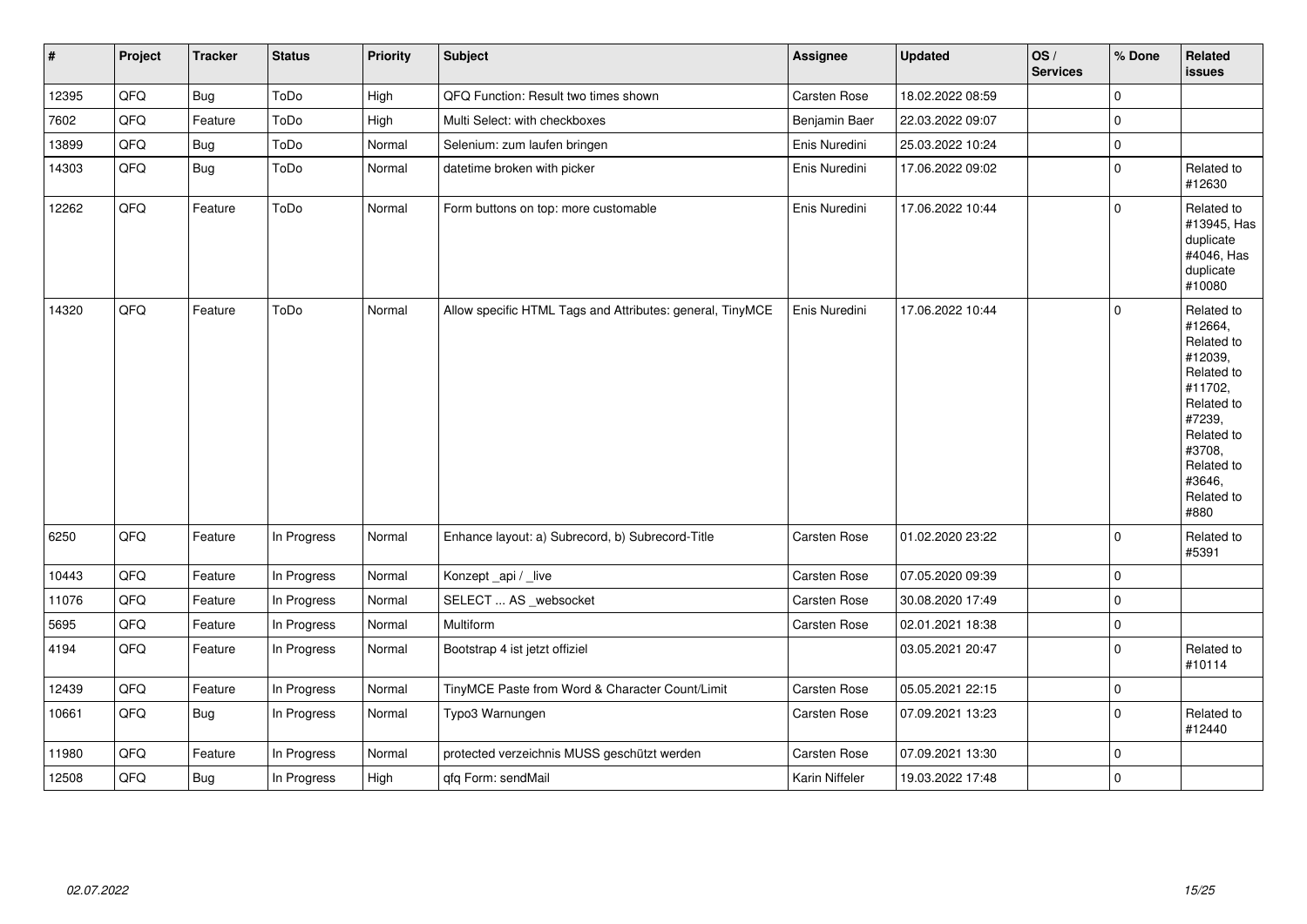| $\vert$ # | Project | <b>Tracker</b> | <b>Status</b> | <b>Priority</b> | <b>Subject</b>                                            | Assignee            | <b>Updated</b>   | OS/<br><b>Services</b> | % Done         | Related<br><b>issues</b>                                                                                                                                              |
|-----------|---------|----------------|---------------|-----------------|-----------------------------------------------------------|---------------------|------------------|------------------------|----------------|-----------------------------------------------------------------------------------------------------------------------------------------------------------------------|
| 12395     | QFQ     | <b>Bug</b>     | ToDo          | High            | QFQ Function: Result two times shown                      | Carsten Rose        | 18.02.2022 08:59 |                        | $\mathbf 0$    |                                                                                                                                                                       |
| 7602      | QFQ     | Feature        | ToDo          | High            | Multi Select: with checkboxes                             | Benjamin Baer       | 22.03.2022 09:07 |                        | $\pmb{0}$      |                                                                                                                                                                       |
| 13899     | QFQ     | Bug            | ToDo          | Normal          | Selenium: zum laufen bringen                              | Enis Nuredini       | 25.03.2022 10:24 |                        | $\mathbf 0$    |                                                                                                                                                                       |
| 14303     | QFQ     | <b>Bug</b>     | ToDo          | Normal          | datetime broken with picker                               | Enis Nuredini       | 17.06.2022 09:02 |                        | $\pmb{0}$      | Related to<br>#12630                                                                                                                                                  |
| 12262     | QFQ     | Feature        | ToDo          | Normal          | Form buttons on top: more customable                      | Enis Nuredini       | 17.06.2022 10:44 |                        | $\overline{0}$ | Related to<br>#13945, Has<br>duplicate<br>#4046, Has<br>duplicate<br>#10080                                                                                           |
| 14320     | QFQ     | Feature        | ToDo          | Normal          | Allow specific HTML Tags and Attributes: general, TinyMCE | Enis Nuredini       | 17.06.2022 10:44 |                        | $\mathbf 0$    | Related to<br>#12664,<br>Related to<br>#12039,<br>Related to<br>#11702,<br>Related to<br>#7239,<br>Related to<br>#3708,<br>Related to<br>#3646,<br>Related to<br>#880 |
| 6250      | QFQ     | Feature        | In Progress   | Normal          | Enhance layout: a) Subrecord, b) Subrecord-Title          | Carsten Rose        | 01.02.2020 23:22 |                        | $\mathbf 0$    | Related to<br>#5391                                                                                                                                                   |
| 10443     | QFQ     | Feature        | In Progress   | Normal          | Konzept_api / _live                                       | Carsten Rose        | 07.05.2020 09:39 |                        | $\mathbf 0$    |                                                                                                                                                                       |
| 11076     | QFQ     | Feature        | In Progress   | Normal          | SELECT  AS _websocket                                     | <b>Carsten Rose</b> | 30.08.2020 17:49 |                        | $\mathbf 0$    |                                                                                                                                                                       |
| 5695      | QFQ     | Feature        | In Progress   | Normal          | Multiform                                                 | Carsten Rose        | 02.01.2021 18:38 |                        | $\pmb{0}$      |                                                                                                                                                                       |
| 4194      | QFQ     | Feature        | In Progress   | Normal          | Bootstrap 4 ist jetzt offiziel                            |                     | 03.05.2021 20:47 |                        | $\mathbf 0$    | Related to<br>#10114                                                                                                                                                  |
| 12439     | QFQ     | Feature        | In Progress   | Normal          | TinyMCE Paste from Word & Character Count/Limit           | Carsten Rose        | 05.05.2021 22:15 |                        | $\mathbf 0$    |                                                                                                                                                                       |
| 10661     | QFQ     | Bug            | In Progress   | Normal          | Typo3 Warnungen                                           | Carsten Rose        | 07.09.2021 13:23 |                        | $\mathbf 0$    | Related to<br>#12440                                                                                                                                                  |
| 11980     | QFQ     | Feature        | In Progress   | Normal          | protected verzeichnis MUSS geschützt werden               | Carsten Rose        | 07.09.2021 13:30 |                        | $\mathbf{0}$   |                                                                                                                                                                       |
| 12508     | QFQ     | <b>Bug</b>     | In Progress   | High            | qfq Form: sendMail                                        | Karin Niffeler      | 19.03.2022 17:48 |                        | $\mathbf 0$    |                                                                                                                                                                       |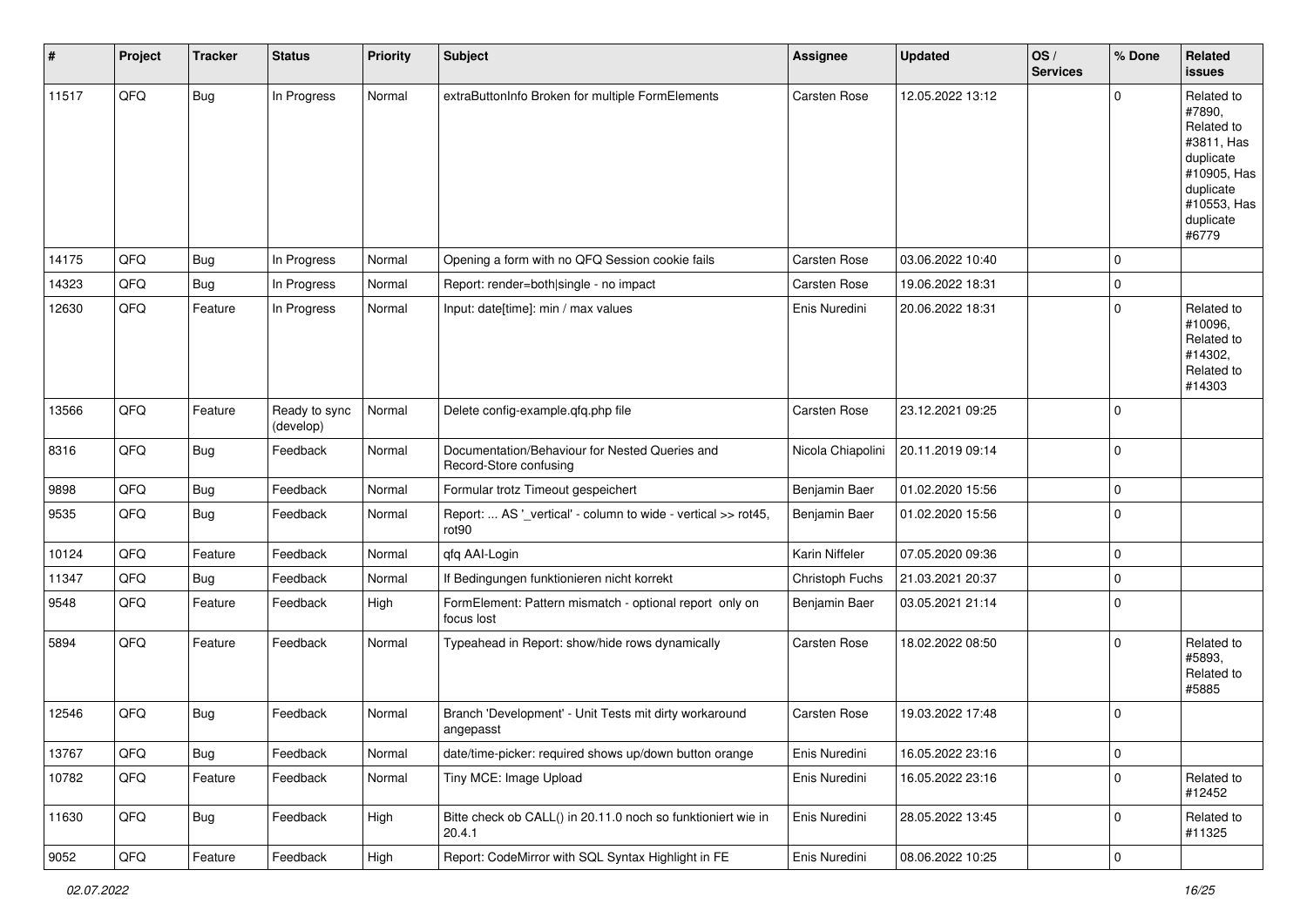| #     | Project | <b>Tracker</b> | <b>Status</b>              | <b>Priority</b> | <b>Subject</b>                                                                     | Assignee          | <b>Updated</b>   | OS/<br><b>Services</b> | % Done         | Related<br><b>issues</b>                                                                                                       |
|-------|---------|----------------|----------------------------|-----------------|------------------------------------------------------------------------------------|-------------------|------------------|------------------------|----------------|--------------------------------------------------------------------------------------------------------------------------------|
| 11517 | QFQ     | <b>Bug</b>     | In Progress                | Normal          | extraButtonInfo Broken for multiple FormElements                                   | Carsten Rose      | 12.05.2022 13:12 |                        | $\Omega$       | Related to<br>#7890,<br>Related to<br>#3811, Has<br>duplicate<br>#10905, Has<br>duplicate<br>#10553, Has<br>duplicate<br>#6779 |
| 14175 | QFQ     | <b>Bug</b>     | In Progress                | Normal          | Opening a form with no QFQ Session cookie fails                                    | Carsten Rose      | 03.06.2022 10:40 |                        | $\mathbf{0}$   |                                                                                                                                |
| 14323 | QFQ     | Bug            | In Progress                | Normal          | Report: render=both single - no impact                                             | Carsten Rose      | 19.06.2022 18:31 |                        | $\mathbf{0}$   |                                                                                                                                |
| 12630 | QFQ     | Feature        | In Progress                | Normal          | Input: date[time]: min / max values                                                | Enis Nuredini     | 20.06.2022 18:31 |                        | $\mathbf{0}$   | Related to<br>#10096,<br>Related to<br>#14302,<br>Related to<br>#14303                                                         |
| 13566 | QFQ     | Feature        | Ready to sync<br>(develop) | Normal          | Delete config-example.qfq.php file                                                 | Carsten Rose      | 23.12.2021 09:25 |                        | $\overline{0}$ |                                                                                                                                |
| 8316  | QFQ     | Bug            | Feedback                   | Normal          | Documentation/Behaviour for Nested Queries and<br>Record-Store confusing           | Nicola Chiapolini | 20.11.2019 09:14 |                        | $\overline{0}$ |                                                                                                                                |
| 9898  | QFQ     | <b>Bug</b>     | Feedback                   | Normal          | Formular trotz Timeout gespeichert                                                 | Benjamin Baer     | 01.02.2020 15:56 |                        | $\mathbf{0}$   |                                                                                                                                |
| 9535  | QFQ     | Bug            | Feedback                   | Normal          | Report:  AS '_vertical' - column to wide - vertical >> rot45,<br>rot <sub>90</sub> | Benjamin Baer     | 01.02.2020 15:56 |                        | $\overline{0}$ |                                                                                                                                |
| 10124 | QFQ     | Feature        | Feedback                   | Normal          | qfq AAI-Login                                                                      | Karin Niffeler    | 07.05.2020 09:36 |                        | $\overline{0}$ |                                                                                                                                |
| 11347 | QFQ     | <b>Bug</b>     | Feedback                   | Normal          | If Bedingungen funktionieren nicht korrekt                                         | Christoph Fuchs   | 21.03.2021 20:37 |                        | $\mathbf{0}$   |                                                                                                                                |
| 9548  | QFQ     | Feature        | Feedback                   | High            | FormElement: Pattern mismatch - optional report only on<br>focus lost              | Benjamin Baer     | 03.05.2021 21:14 |                        | $\Omega$       |                                                                                                                                |
| 5894  | QFQ     | Feature        | Feedback                   | Normal          | Typeahead in Report: show/hide rows dynamically                                    | Carsten Rose      | 18.02.2022 08:50 |                        | $\Omega$       | Related to<br>#5893,<br>Related to<br>#5885                                                                                    |
| 12546 | QFQ     | Bug            | Feedback                   | Normal          | Branch 'Development' - Unit Tests mit dirty workaround<br>angepasst                | Carsten Rose      | 19.03.2022 17:48 |                        | $\overline{0}$ |                                                                                                                                |
| 13767 | QFQ     | <b>Bug</b>     | Feedback                   | Normal          | date/time-picker: required shows up/down button orange                             | Enis Nuredini     | 16.05.2022 23:16 |                        | $\overline{0}$ |                                                                                                                                |
| 10782 | QFQ     | Feature        | Feedback                   | Normal          | Tiny MCE: Image Upload                                                             | Enis Nuredini     | 16.05.2022 23:16 |                        | $\mathbf 0$    | Related to<br>#12452                                                                                                           |
| 11630 | QFQ     | Bug            | Feedback                   | High            | Bitte check ob CALL() in 20.11.0 noch so funktioniert wie in<br>20.4.1             | Enis Nuredini     | 28.05.2022 13:45 |                        | $\mathbf{0}$   | Related to<br>#11325                                                                                                           |
| 9052  | QFQ     | Feature        | Feedback                   | High            | Report: CodeMirror with SQL Syntax Highlight in FE                                 | Enis Nuredini     | 08.06.2022 10:25 |                        | $\overline{0}$ |                                                                                                                                |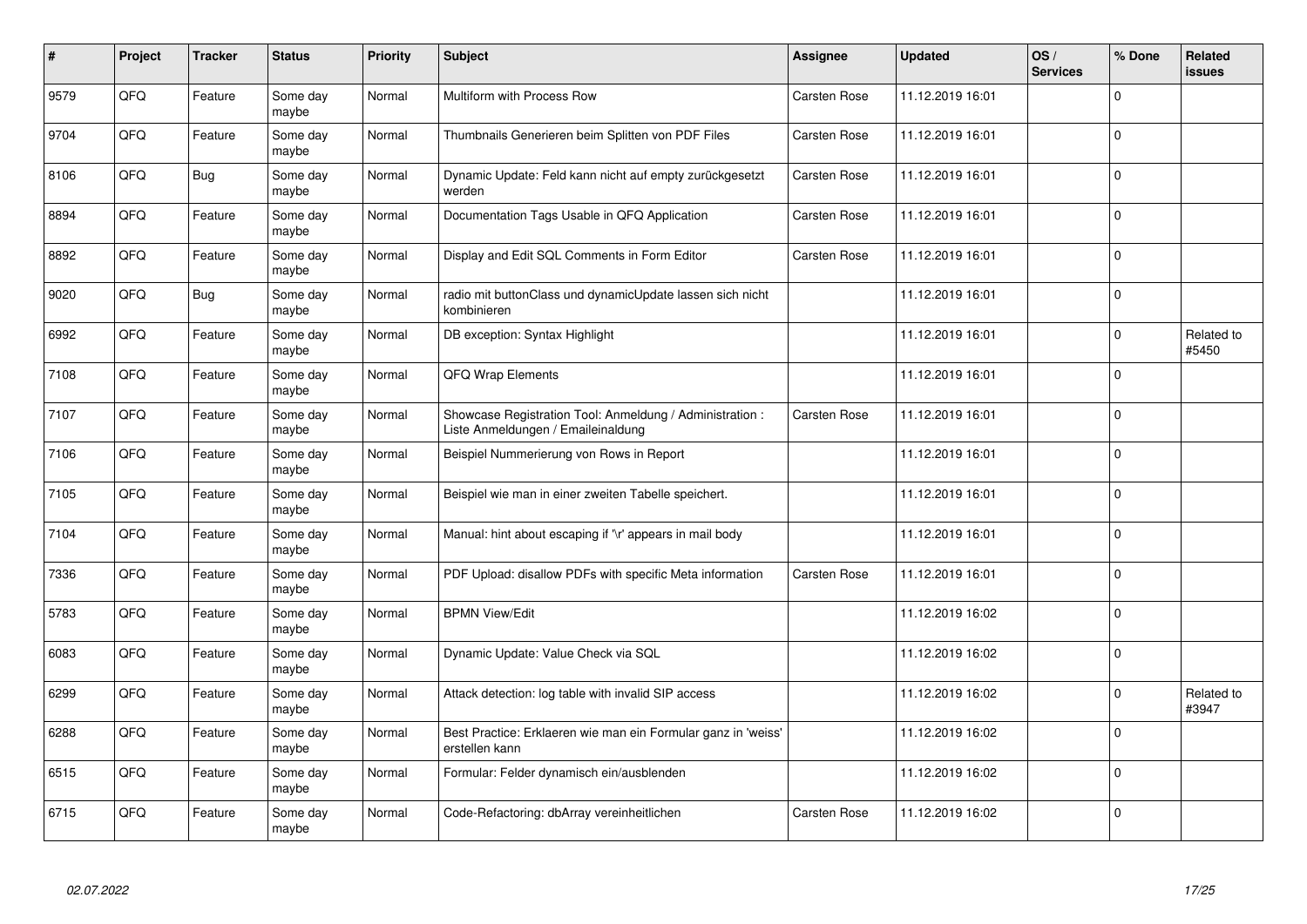| #    | Project | <b>Tracker</b> | <b>Status</b>     | <b>Priority</b> | <b>Subject</b>                                                                                 | <b>Assignee</b>     | <b>Updated</b>   | OS/<br><b>Services</b> | % Done         | Related<br><b>issues</b> |
|------|---------|----------------|-------------------|-----------------|------------------------------------------------------------------------------------------------|---------------------|------------------|------------------------|----------------|--------------------------|
| 9579 | QFQ     | Feature        | Some day<br>maybe | Normal          | Multiform with Process Row                                                                     | <b>Carsten Rose</b> | 11.12.2019 16:01 |                        | $\Omega$       |                          |
| 9704 | QFQ     | Feature        | Some day<br>maybe | Normal          | Thumbnails Generieren beim Splitten von PDF Files                                              | Carsten Rose        | 11.12.2019 16:01 |                        | $\Omega$       |                          |
| 8106 | QFQ     | Bug            | Some day<br>maybe | Normal          | Dynamic Update: Feld kann nicht auf empty zurückgesetzt<br>werden                              | <b>Carsten Rose</b> | 11.12.2019 16:01 |                        | $\overline{0}$ |                          |
| 8894 | QFQ     | Feature        | Some day<br>maybe | Normal          | Documentation Tags Usable in QFQ Application                                                   | <b>Carsten Rose</b> | 11.12.2019 16:01 |                        | $\Omega$       |                          |
| 8892 | QFQ     | Feature        | Some day<br>maybe | Normal          | Display and Edit SQL Comments in Form Editor                                                   | Carsten Rose        | 11.12.2019 16:01 |                        | $\overline{0}$ |                          |
| 9020 | QFQ     | Bug            | Some day<br>maybe | Normal          | radio mit buttonClass und dynamicUpdate lassen sich nicht<br>kombinieren                       |                     | 11.12.2019 16:01 |                        | $\mathbf{0}$   |                          |
| 6992 | QFQ     | Feature        | Some day<br>maybe | Normal          | DB exception: Syntax Highlight                                                                 |                     | 11.12.2019 16:01 |                        | $\Omega$       | Related to<br>#5450      |
| 7108 | QFQ     | Feature        | Some day<br>maybe | Normal          | QFQ Wrap Elements                                                                              |                     | 11.12.2019 16:01 |                        | $\Omega$       |                          |
| 7107 | QFQ     | Feature        | Some day<br>maybe | Normal          | Showcase Registration Tool: Anmeldung / Administration :<br>Liste Anmeldungen / Emaileinaldung | Carsten Rose        | 11.12.2019 16:01 |                        | $\Omega$       |                          |
| 7106 | QFQ     | Feature        | Some day<br>maybe | Normal          | Beispiel Nummerierung von Rows in Report                                                       |                     | 11.12.2019 16:01 |                        | $\mathbf 0$    |                          |
| 7105 | QFQ     | Feature        | Some day<br>maybe | Normal          | Beispiel wie man in einer zweiten Tabelle speichert.                                           |                     | 11.12.2019 16:01 |                        | $\Omega$       |                          |
| 7104 | QFQ     | Feature        | Some day<br>maybe | Normal          | Manual: hint about escaping if '\r' appears in mail body                                       |                     | 11.12.2019 16:01 |                        | $\Omega$       |                          |
| 7336 | QFQ     | Feature        | Some day<br>maybe | Normal          | PDF Upload: disallow PDFs with specific Meta information                                       | <b>Carsten Rose</b> | 11.12.2019 16:01 |                        | $\Omega$       |                          |
| 5783 | QFQ     | Feature        | Some day<br>maybe | Normal          | <b>BPMN View/Edit</b>                                                                          |                     | 11.12.2019 16:02 |                        | $\Omega$       |                          |
| 6083 | QFQ     | Feature        | Some day<br>maybe | Normal          | Dynamic Update: Value Check via SQL                                                            |                     | 11.12.2019 16:02 |                        | $\Omega$       |                          |
| 6299 | QFQ     | Feature        | Some day<br>maybe | Normal          | Attack detection: log table with invalid SIP access                                            |                     | 11.12.2019 16:02 |                        | $\Omega$       | Related to<br>#3947      |
| 6288 | QFQ     | Feature        | Some day<br>maybe | Normal          | Best Practice: Erklaeren wie man ein Formular ganz in 'weiss'<br>erstellen kann                |                     | 11.12.2019 16:02 |                        | $\Omega$       |                          |
| 6515 | QFQ     | Feature        | Some day<br>maybe | Normal          | Formular: Felder dynamisch ein/ausblenden                                                      |                     | 11.12.2019 16:02 |                        | $\Omega$       |                          |
| 6715 | QFQ     | Feature        | Some day<br>maybe | Normal          | Code-Refactoring: dbArray vereinheitlichen                                                     | Carsten Rose        | 11.12.2019 16:02 |                        | $\Omega$       |                          |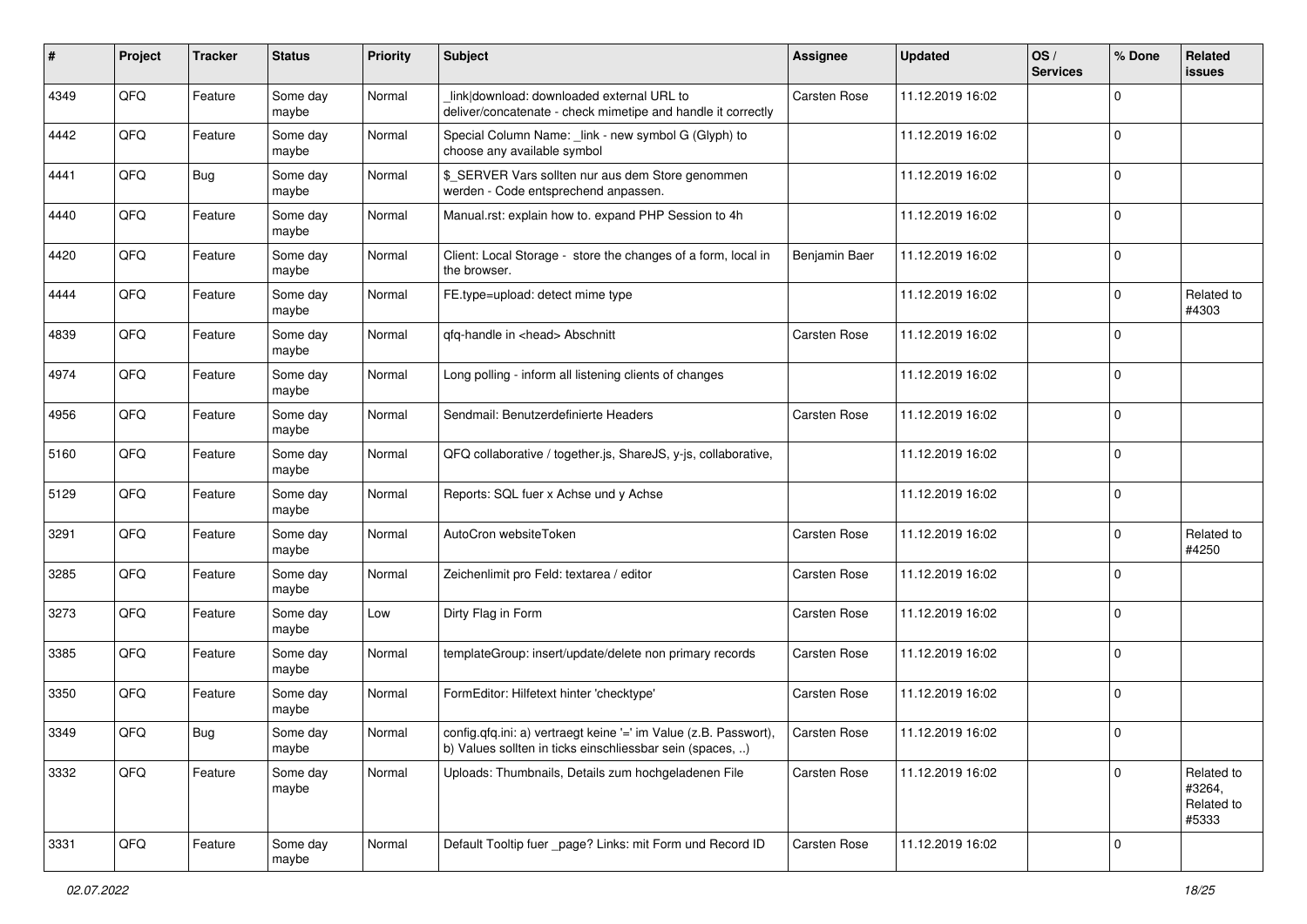| #    | Project | <b>Tracker</b> | <b>Status</b>     | <b>Priority</b> | <b>Subject</b>                                                                                                                | <b>Assignee</b>     | <b>Updated</b>   | OS/<br><b>Services</b> | % Done         | Related<br>issues                           |
|------|---------|----------------|-------------------|-----------------|-------------------------------------------------------------------------------------------------------------------------------|---------------------|------------------|------------------------|----------------|---------------------------------------------|
| 4349 | QFQ     | Feature        | Some day<br>maybe | Normal          | link download: downloaded external URL to<br>deliver/concatenate - check mimetipe and handle it correctly                     | <b>Carsten Rose</b> | 11.12.2019 16:02 |                        | $\Omega$       |                                             |
| 4442 | QFQ     | Feature        | Some day<br>maybe | Normal          | Special Column Name: _link - new symbol G (Glyph) to<br>choose any available symbol                                           |                     | 11.12.2019 16:02 |                        | $\Omega$       |                                             |
| 4441 | QFQ     | Bug            | Some day<br>maybe | Normal          | \$ SERVER Vars sollten nur aus dem Store genommen<br>werden - Code entsprechend anpassen.                                     |                     | 11.12.2019 16:02 |                        | $\Omega$       |                                             |
| 4440 | QFQ     | Feature        | Some day<br>maybe | Normal          | Manual.rst: explain how to. expand PHP Session to 4h                                                                          |                     | 11.12.2019 16:02 |                        | $\mathbf 0$    |                                             |
| 4420 | QFQ     | Feature        | Some day<br>maybe | Normal          | Client: Local Storage - store the changes of a form, local in<br>the browser.                                                 | Benjamin Baer       | 11.12.2019 16:02 |                        | $\Omega$       |                                             |
| 4444 | QFQ     | Feature        | Some day<br>maybe | Normal          | FE.type=upload: detect mime type                                                                                              |                     | 11.12.2019 16:02 |                        | $\Omega$       | Related to<br>#4303                         |
| 4839 | QFQ     | Feature        | Some day<br>maybe | Normal          | qfq-handle in <head> Abschnitt</head>                                                                                         | Carsten Rose        | 11.12.2019 16:02 |                        | $\Omega$       |                                             |
| 4974 | QFQ     | Feature        | Some day<br>maybe | Normal          | Long polling - inform all listening clients of changes                                                                        |                     | 11.12.2019 16:02 |                        | $\overline{0}$ |                                             |
| 4956 | QFQ     | Feature        | Some day<br>maybe | Normal          | Sendmail: Benutzerdefinierte Headers                                                                                          | Carsten Rose        | 11.12.2019 16:02 |                        | 0              |                                             |
| 5160 | QFQ     | Feature        | Some day<br>maybe | Normal          | QFQ collaborative / together.js, ShareJS, y-js, collaborative,                                                                |                     | 11.12.2019 16:02 |                        | $\Omega$       |                                             |
| 5129 | QFQ     | Feature        | Some day<br>maybe | Normal          | Reports: SQL fuer x Achse und y Achse                                                                                         |                     | 11.12.2019 16:02 |                        | $\Omega$       |                                             |
| 3291 | QFQ     | Feature        | Some day<br>maybe | Normal          | AutoCron websiteToken                                                                                                         | <b>Carsten Rose</b> | 11.12.2019 16:02 |                        | $\Omega$       | Related to<br>#4250                         |
| 3285 | QFQ     | Feature        | Some day<br>maybe | Normal          | Zeichenlimit pro Feld: textarea / editor                                                                                      | <b>Carsten Rose</b> | 11.12.2019 16:02 |                        | $\Omega$       |                                             |
| 3273 | QFQ     | Feature        | Some day<br>maybe | Low             | Dirty Flag in Form                                                                                                            | Carsten Rose        | 11.12.2019 16:02 |                        | $\Omega$       |                                             |
| 3385 | QFQ     | Feature        | Some day<br>maybe | Normal          | templateGroup: insert/update/delete non primary records                                                                       | Carsten Rose        | 11.12.2019 16:02 |                        | $\mathbf 0$    |                                             |
| 3350 | QFQ     | Feature        | Some day<br>maybe | Normal          | FormEditor: Hilfetext hinter 'checktype'                                                                                      | Carsten Rose        | 11.12.2019 16:02 |                        | $\overline{0}$ |                                             |
| 3349 | QFQ     | Bug            | Some day<br>maybe | Normal          | config.qfq.ini: a) vertraegt keine '=' im Value (z.B. Passwort),<br>b) Values sollten in ticks einschliessbar sein (spaces, ) | <b>Carsten Rose</b> | 11.12.2019 16:02 |                        | 0              |                                             |
| 3332 | QFQ     | Feature        | Some day<br>maybe | Normal          | Uploads: Thumbnails, Details zum hochgeladenen File                                                                           | Carsten Rose        | 11.12.2019 16:02 |                        | $\Omega$       | Related to<br>#3264,<br>Related to<br>#5333 |
| 3331 | QFQ     | Feature        | Some day<br>maybe | Normal          | Default Tooltip fuer _page? Links: mit Form und Record ID                                                                     | <b>Carsten Rose</b> | 11.12.2019 16:02 |                        | $\overline{0}$ |                                             |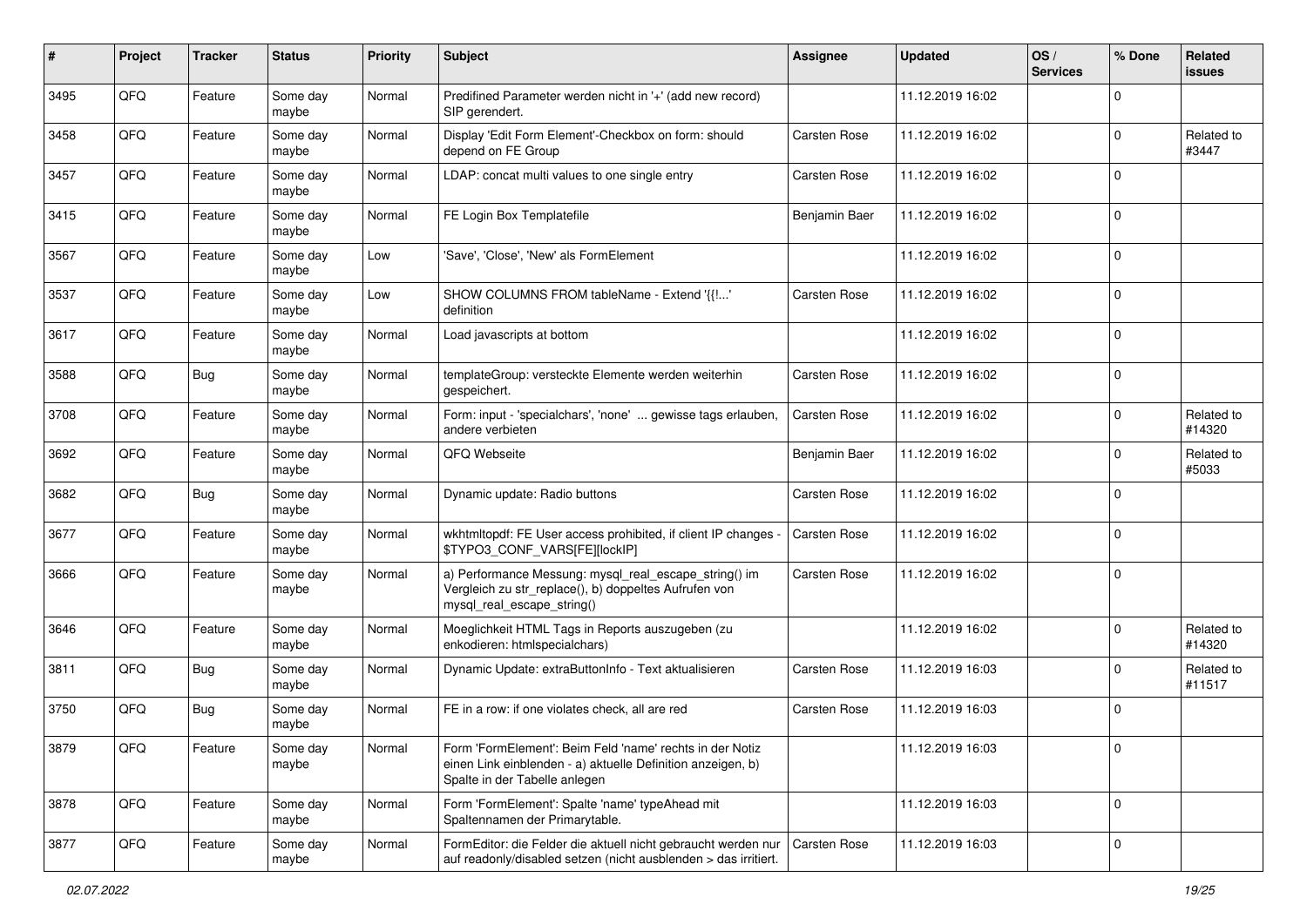| #    | Project | <b>Tracker</b> | <b>Status</b>     | <b>Priority</b> | Subject                                                                                                                                                  | <b>Assignee</b>     | <b>Updated</b>   | OS/<br><b>Services</b> | % Done         | Related<br>issues    |
|------|---------|----------------|-------------------|-----------------|----------------------------------------------------------------------------------------------------------------------------------------------------------|---------------------|------------------|------------------------|----------------|----------------------|
| 3495 | QFQ     | Feature        | Some day<br>maybe | Normal          | Predifined Parameter werden nicht in '+' (add new record)<br>SIP gerendert.                                                                              |                     | 11.12.2019 16:02 |                        | $\Omega$       |                      |
| 3458 | QFQ     | Feature        | Some day<br>maybe | Normal          | Display 'Edit Form Element'-Checkbox on form: should<br>depend on FE Group                                                                               | <b>Carsten Rose</b> | 11.12.2019 16:02 |                        | $\Omega$       | Related to<br>#3447  |
| 3457 | QFQ     | Feature        | Some day<br>maybe | Normal          | LDAP: concat multi values to one single entry                                                                                                            | <b>Carsten Rose</b> | 11.12.2019 16:02 |                        | $\Omega$       |                      |
| 3415 | QFQ     | Feature        | Some day<br>maybe | Normal          | FE Login Box Templatefile                                                                                                                                | Benjamin Baer       | 11.12.2019 16:02 |                        | $\mathbf 0$    |                      |
| 3567 | QFQ     | Feature        | Some day<br>maybe | Low             | 'Save', 'Close', 'New' als FormElement                                                                                                                   |                     | 11.12.2019 16:02 |                        | $\mathbf 0$    |                      |
| 3537 | QFQ     | Feature        | Some day<br>maybe | Low             | SHOW COLUMNS FROM tableName - Extend '{{!'<br>definition                                                                                                 | <b>Carsten Rose</b> | 11.12.2019 16:02 |                        | $\Omega$       |                      |
| 3617 | QFQ     | Feature        | Some day<br>maybe | Normal          | Load javascripts at bottom                                                                                                                               |                     | 11.12.2019 16:02 |                        | $\Omega$       |                      |
| 3588 | QFQ     | Bug            | Some day<br>maybe | Normal          | templateGroup: versteckte Elemente werden weiterhin<br>gespeichert.                                                                                      | Carsten Rose        | 11.12.2019 16:02 |                        | $\Omega$       |                      |
| 3708 | QFQ     | Feature        | Some day<br>maybe | Normal          | Form: input - 'specialchars', 'none'  gewisse tags erlauben,<br>andere verbieten                                                                         | <b>Carsten Rose</b> | 11.12.2019 16:02 |                        | $\Omega$       | Related to<br>#14320 |
| 3692 | QFQ     | Feature        | Some day<br>maybe | Normal          | QFQ Webseite                                                                                                                                             | Benjamin Baer       | 11.12.2019 16:02 |                        | $\Omega$       | Related to<br>#5033  |
| 3682 | QFQ     | Bug            | Some day<br>maybe | Normal          | Dynamic update: Radio buttons                                                                                                                            | Carsten Rose        | 11.12.2019 16:02 |                        | 0              |                      |
| 3677 | QFQ     | Feature        | Some day<br>maybe | Normal          | wkhtmltopdf: FE User access prohibited, if client IP changes -<br>\$TYPO3_CONF_VARS[FE][lockIP]                                                          | <b>Carsten Rose</b> | 11.12.2019 16:02 |                        | $\Omega$       |                      |
| 3666 | QFQ     | Feature        | Some day<br>maybe | Normal          | a) Performance Messung: mysql_real_escape_string() im<br>Vergleich zu str_replace(), b) doppeltes Aufrufen von<br>mysql_real_escape_string()             | <b>Carsten Rose</b> | 11.12.2019 16:02 |                        | $\overline{0}$ |                      |
| 3646 | QFQ     | Feature        | Some day<br>maybe | Normal          | Moeglichkeit HTML Tags in Reports auszugeben (zu<br>enkodieren: htmlspecialchars)                                                                        |                     | 11.12.2019 16:02 |                        | $\Omega$       | Related to<br>#14320 |
| 3811 | QFQ     | <b>Bug</b>     | Some day<br>maybe | Normal          | Dynamic Update: extraButtonInfo - Text aktualisieren                                                                                                     | <b>Carsten Rose</b> | 11.12.2019 16:03 |                        | $\Omega$       | Related to<br>#11517 |
| 3750 | QFQ     | Bug            | Some day<br>maybe | Normal          | FE in a row: if one violates check, all are red                                                                                                          | <b>Carsten Rose</b> | 11.12.2019 16:03 |                        | $\mathbf 0$    |                      |
| 3879 | QFQ     | Feature        | Some day<br>maybe | Normal          | Form 'FormElement': Beim Feld 'name' rechts in der Notiz<br>einen Link einblenden - a) aktuelle Definition anzeigen, b)<br>Spalte in der Tabelle anlegen |                     | 11.12.2019 16:03 |                        | l 0            |                      |
| 3878 | QFQ     | Feature        | Some day<br>maybe | Normal          | Form 'FormElement': Spalte 'name' typeAhead mit<br>Spaltennamen der Primarytable.                                                                        |                     | 11.12.2019 16:03 |                        | $\overline{0}$ |                      |
| 3877 | QFQ     | Feature        | Some day<br>maybe | Normal          | FormEditor: die Felder die aktuell nicht gebraucht werden nur<br>auf readonly/disabled setzen (nicht ausblenden > das irritiert.                         | Carsten Rose        | 11.12.2019 16:03 |                        | $\overline{0}$ |                      |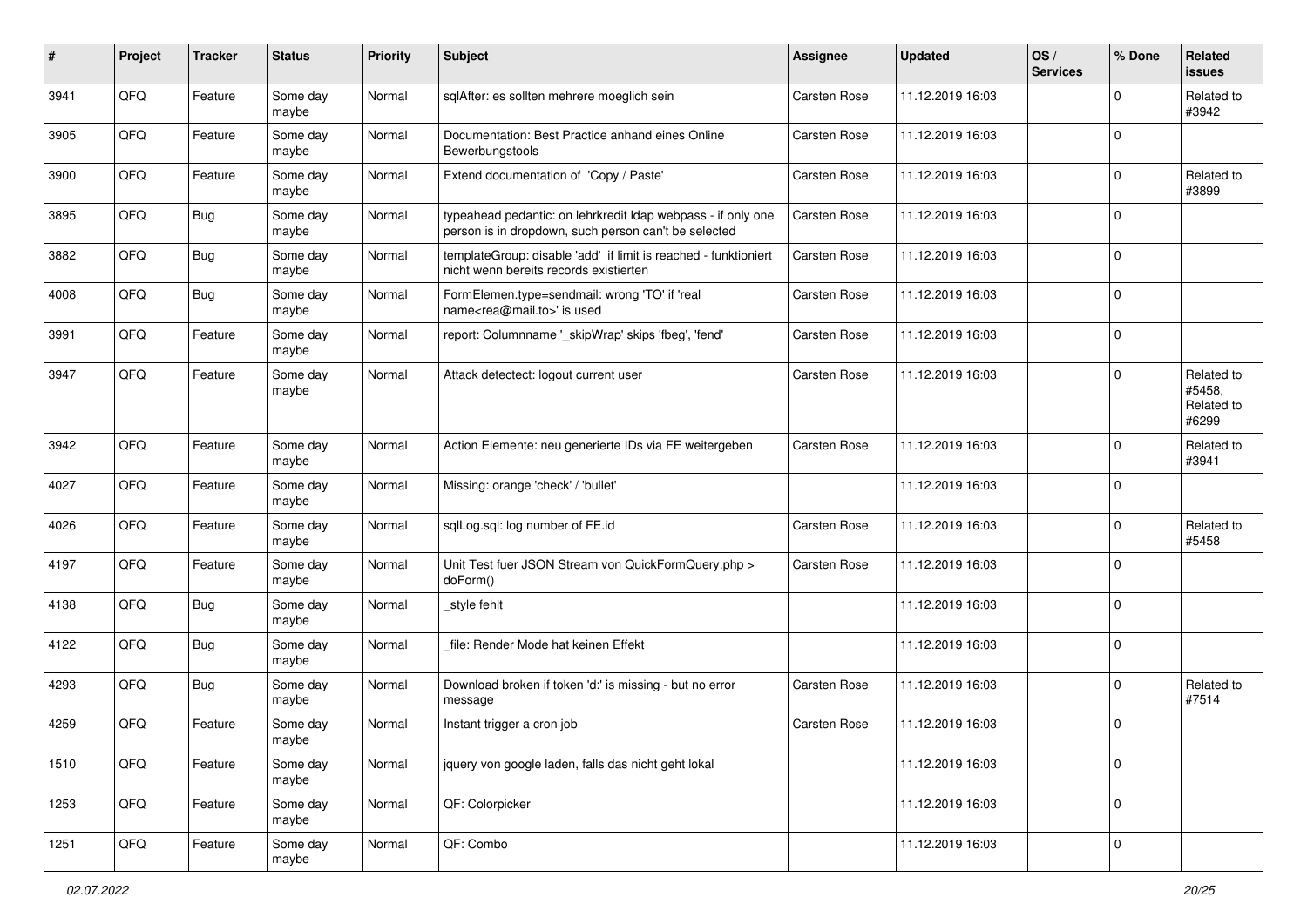| #    | Project | <b>Tracker</b> | <b>Status</b>     | <b>Priority</b> | <b>Subject</b>                                                                                                       | Assignee            | <b>Updated</b>   | OS/<br><b>Services</b> | % Done         | Related<br><b>issues</b>                    |
|------|---------|----------------|-------------------|-----------------|----------------------------------------------------------------------------------------------------------------------|---------------------|------------------|------------------------|----------------|---------------------------------------------|
| 3941 | QFQ     | Feature        | Some day<br>maybe | Normal          | sqlAfter: es sollten mehrere moeglich sein                                                                           | Carsten Rose        | 11.12.2019 16:03 |                        | $\Omega$       | Related to<br>#3942                         |
| 3905 | QFQ     | Feature        | Some day<br>maybe | Normal          | Documentation: Best Practice anhand eines Online<br>Bewerbungstools                                                  | Carsten Rose        | 11.12.2019 16:03 |                        | $\overline{0}$ |                                             |
| 3900 | QFQ     | Feature        | Some day<br>maybe | Normal          | Extend documentation of 'Copy / Paste'                                                                               | Carsten Rose        | 11.12.2019 16:03 |                        | $\Omega$       | Related to<br>#3899                         |
| 3895 | QFQ     | <b>Bug</b>     | Some day<br>maybe | Normal          | typeahead pedantic: on lehrkredit Idap webpass - if only one<br>person is in dropdown, such person can't be selected | Carsten Rose        | 11.12.2019 16:03 |                        | $\mathbf 0$    |                                             |
| 3882 | QFQ     | <b>Bug</b>     | Some day<br>maybe | Normal          | templateGroup: disable 'add' if limit is reached - funktioniert<br>nicht wenn bereits records existierten            | Carsten Rose        | 11.12.2019 16:03 |                        | $\mathbf 0$    |                                             |
| 4008 | QFQ     | <b>Bug</b>     | Some day<br>maybe | Normal          | FormElemen.type=sendmail: wrong 'TO' if 'real<br>name <rea@mail.to>' is used</rea@mail.to>                           | Carsten Rose        | 11.12.2019 16:03 |                        | $\Omega$       |                                             |
| 3991 | QFQ     | Feature        | Some day<br>maybe | Normal          | report: Columnname '_skipWrap' skips 'fbeg', 'fend'                                                                  | Carsten Rose        | 11.12.2019 16:03 |                        | $\Omega$       |                                             |
| 3947 | QFQ     | Feature        | Some day<br>maybe | Normal          | Attack detectect: logout current user                                                                                | Carsten Rose        | 11.12.2019 16:03 |                        | $\Omega$       | Related to<br>#5458,<br>Related to<br>#6299 |
| 3942 | QFQ     | Feature        | Some day<br>maybe | Normal          | Action Elemente: neu generierte IDs via FE weitergeben                                                               | Carsten Rose        | 11.12.2019 16:03 |                        | $\Omega$       | Related to<br>#3941                         |
| 4027 | QFQ     | Feature        | Some day<br>maybe | Normal          | Missing: orange 'check' / 'bullet'                                                                                   |                     | 11.12.2019 16:03 |                        | $\mathbf 0$    |                                             |
| 4026 | QFQ     | Feature        | Some day<br>maybe | Normal          | sqlLog.sql: log number of FE.id                                                                                      | Carsten Rose        | 11.12.2019 16:03 |                        | $\mathbf 0$    | Related to<br>#5458                         |
| 4197 | QFQ     | Feature        | Some day<br>maybe | Normal          | Unit Test fuer JSON Stream von QuickFormQuery.php ><br>doForm()                                                      | Carsten Rose        | 11.12.2019 16:03 |                        | $\Omega$       |                                             |
| 4138 | QFQ     | Bug            | Some day<br>maybe | Normal          | style fehlt                                                                                                          |                     | 11.12.2019 16:03 |                        | $\Omega$       |                                             |
| 4122 | QFQ     | Bug            | Some day<br>maybe | Normal          | file: Render Mode hat keinen Effekt                                                                                  |                     | 11.12.2019 16:03 |                        | $\Omega$       |                                             |
| 4293 | QFQ     | Bug            | Some day<br>maybe | Normal          | Download broken if token 'd:' is missing - but no error<br>message                                                   | <b>Carsten Rose</b> | 11.12.2019 16:03 |                        | $\mathbf 0$    | Related to<br>#7514                         |
| 4259 | QFQ     | Feature        | Some day<br>maybe | Normal          | Instant trigger a cron job                                                                                           | Carsten Rose        | 11.12.2019 16:03 |                        | $\Omega$       |                                             |
| 1510 | QFQ     | Feature        | Some day<br>maybe | Normal          | jquery von google laden, falls das nicht geht lokal                                                                  |                     | 11.12.2019 16:03 |                        | $\overline{0}$ |                                             |
| 1253 | QFQ     | Feature        | Some day<br>maybe | Normal          | QF: Colorpicker                                                                                                      |                     | 11.12.2019 16:03 |                        | $\overline{0}$ |                                             |
| 1251 | QFQ     | Feature        | Some day<br>maybe | Normal          | QF: Combo                                                                                                            |                     | 11.12.2019 16:03 |                        | $\overline{0}$ |                                             |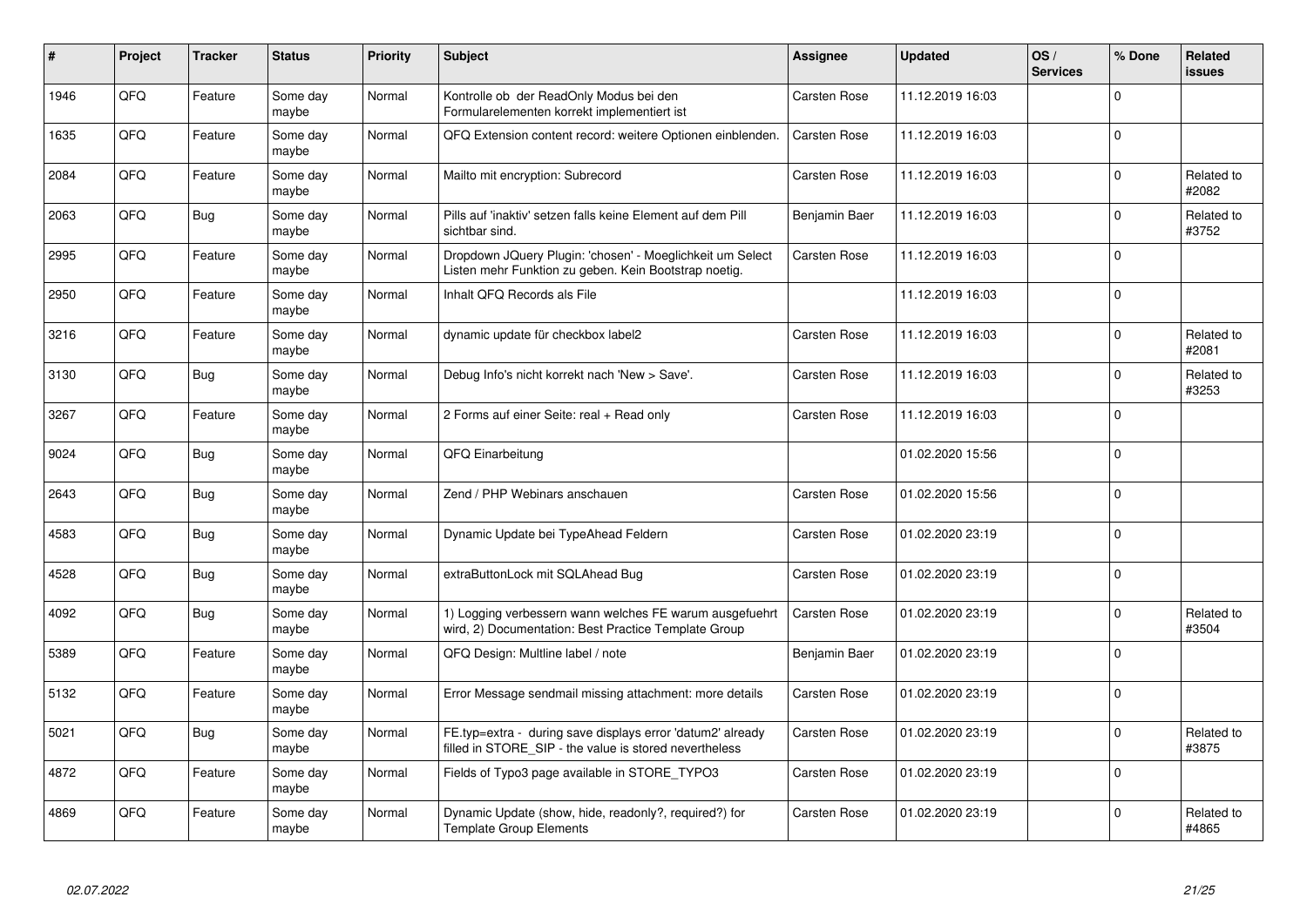| $\#$ | Project | <b>Tracker</b> | <b>Status</b>     | <b>Priority</b> | <b>Subject</b>                                                                                                       | Assignee            | <b>Updated</b>   | OS/<br><b>Services</b> | % Done       | <b>Related</b><br><b>issues</b> |
|------|---------|----------------|-------------------|-----------------|----------------------------------------------------------------------------------------------------------------------|---------------------|------------------|------------------------|--------------|---------------------------------|
| 1946 | QFQ     | Feature        | Some day<br>maybe | Normal          | Kontrolle ob der ReadOnly Modus bei den<br>Formularelementen korrekt implementiert ist                               | Carsten Rose        | 11.12.2019 16:03 |                        | $\mathbf{0}$ |                                 |
| 1635 | QFQ     | Feature        | Some day<br>maybe | Normal          | QFQ Extension content record: weitere Optionen einblenden.                                                           | Carsten Rose        | 11.12.2019 16:03 |                        | $\mathbf{0}$ |                                 |
| 2084 | QFQ     | Feature        | Some day<br>maybe | Normal          | Mailto mit encryption: Subrecord                                                                                     | Carsten Rose        | 11.12.2019 16:03 |                        | $\Omega$     | Related to<br>#2082             |
| 2063 | QFQ     | Bug            | Some day<br>maybe | Normal          | Pills auf 'inaktiv' setzen falls keine Element auf dem Pill<br>sichtbar sind.                                        | Benjamin Baer       | 11.12.2019 16:03 |                        | $\Omega$     | Related to<br>#3752             |
| 2995 | QFQ     | Feature        | Some day<br>maybe | Normal          | Dropdown JQuery Plugin: 'chosen' - Moeglichkeit um Select<br>Listen mehr Funktion zu geben. Kein Bootstrap noetig.   | <b>Carsten Rose</b> | 11.12.2019 16:03 |                        | $\Omega$     |                                 |
| 2950 | QFQ     | Feature        | Some day<br>maybe | Normal          | Inhalt QFQ Records als File                                                                                          |                     | 11.12.2019 16:03 |                        | $\Omega$     |                                 |
| 3216 | QFQ     | Feature        | Some day<br>maybe | Normal          | dynamic update für checkbox label2                                                                                   | <b>Carsten Rose</b> | 11.12.2019 16:03 |                        | $\mathbf{0}$ | Related to<br>#2081             |
| 3130 | QFQ     | Bug            | Some day<br>maybe | Normal          | Debug Info's nicht korrekt nach 'New > Save'.                                                                        | <b>Carsten Rose</b> | 11.12.2019 16:03 |                        | $\Omega$     | Related to<br>#3253             |
| 3267 | QFQ     | Feature        | Some day<br>maybe | Normal          | 2 Forms auf einer Seite: real + Read only                                                                            | Carsten Rose        | 11.12.2019 16:03 |                        | $\Omega$     |                                 |
| 9024 | QFQ     | Bug            | Some day<br>maybe | Normal          | QFQ Einarbeitung                                                                                                     |                     | 01.02.2020 15:56 |                        | $\Omega$     |                                 |
| 2643 | QFQ     | Bug            | Some day<br>maybe | Normal          | Zend / PHP Webinars anschauen                                                                                        | Carsten Rose        | 01.02.2020 15:56 |                        | $\Omega$     |                                 |
| 4583 | QFQ     | <b>Bug</b>     | Some day<br>maybe | Normal          | Dynamic Update bei TypeAhead Feldern                                                                                 | Carsten Rose        | 01.02.2020 23:19 |                        | $\Omega$     |                                 |
| 4528 | QFQ     | Bug            | Some day<br>maybe | Normal          | extraButtonLock mit SQLAhead Bug                                                                                     | <b>Carsten Rose</b> | 01.02.2020 23:19 |                        | $\Omega$     |                                 |
| 4092 | QFQ     | Bug            | Some day<br>maybe | Normal          | 1) Logging verbessern wann welches FE warum ausgefuehrt<br>wird, 2) Documentation: Best Practice Template Group      | <b>Carsten Rose</b> | 01.02.2020 23:19 |                        | $\mathbf 0$  | Related to<br>#3504             |
| 5389 | QFQ     | Feature        | Some day<br>maybe | Normal          | QFQ Design: Multline label / note                                                                                    | Benjamin Baer       | 01.02.2020 23:19 |                        | $\Omega$     |                                 |
| 5132 | QFQ     | Feature        | Some day<br>maybe | Normal          | Error Message sendmail missing attachment: more details                                                              | <b>Carsten Rose</b> | 01.02.2020 23:19 |                        | $\Omega$     |                                 |
| 5021 | QFQ     | Bug            | Some day<br>maybe | Normal          | FE.typ=extra - during save displays error 'datum2' already<br>filled in STORE SIP - the value is stored nevertheless | <b>Carsten Rose</b> | 01.02.2020 23:19 |                        | $\Omega$     | Related to<br>#3875             |
| 4872 | QFQ     | Feature        | Some day<br>maybe | Normal          | Fields of Typo3 page available in STORE_TYPO3                                                                        | <b>Carsten Rose</b> | 01.02.2020 23:19 |                        | $\Omega$     |                                 |
| 4869 | QFQ     | Feature        | Some day<br>maybe | Normal          | Dynamic Update (show, hide, readonly?, required?) for<br><b>Template Group Elements</b>                              | Carsten Rose        | 01.02.2020 23:19 |                        | $\Omega$     | Related to<br>#4865             |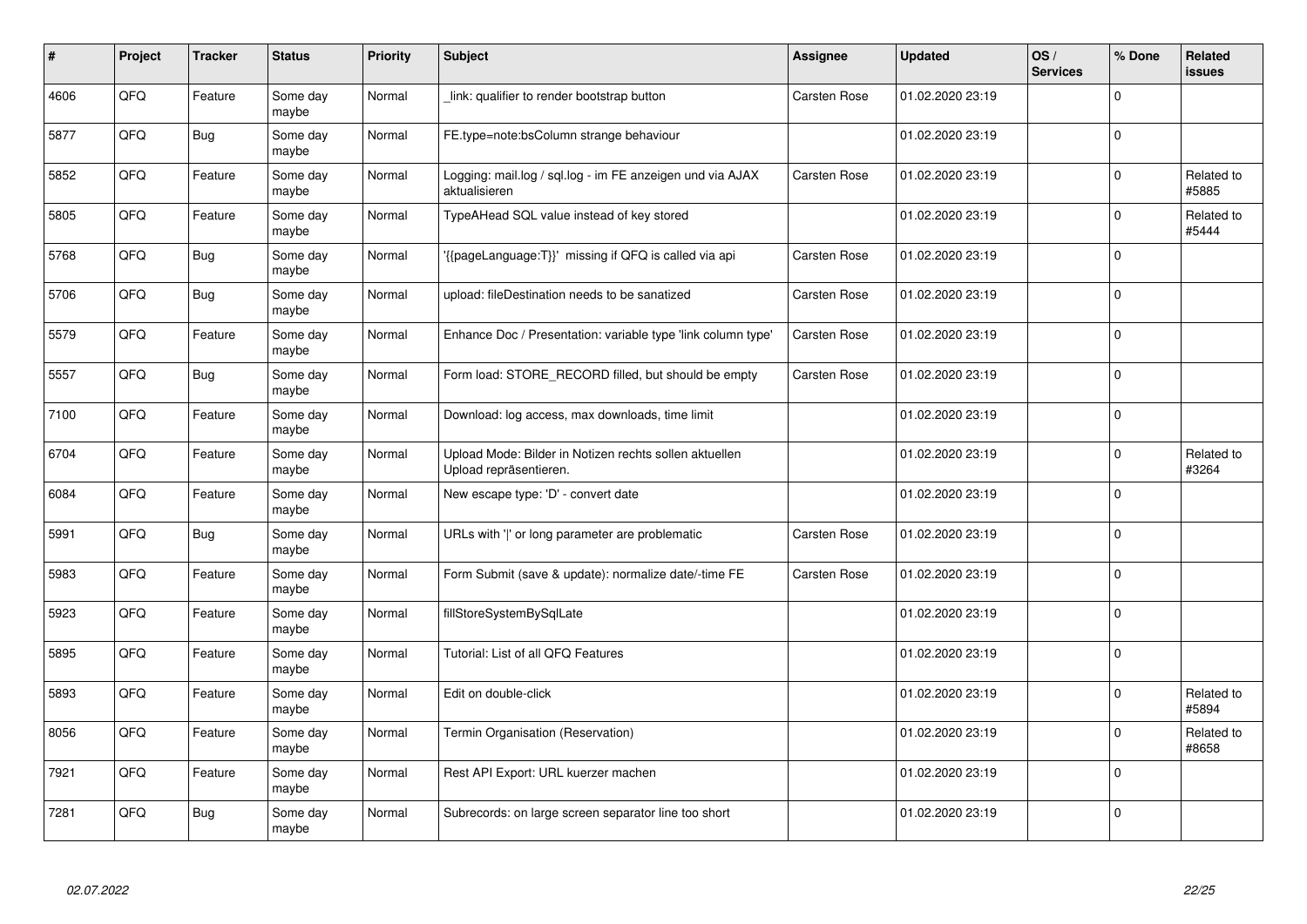| #    | Project | <b>Tracker</b> | <b>Status</b>     | <b>Priority</b> | <b>Subject</b>                                                                   | <b>Assignee</b>     | <b>Updated</b>   | OS/<br><b>Services</b> | % Done       | Related<br><b>issues</b> |
|------|---------|----------------|-------------------|-----------------|----------------------------------------------------------------------------------|---------------------|------------------|------------------------|--------------|--------------------------|
| 4606 | QFQ     | Feature        | Some day<br>maybe | Normal          | link: qualifier to render bootstrap button                                       | Carsten Rose        | 01.02.2020 23:19 |                        | $\Omega$     |                          |
| 5877 | QFQ     | Bug            | Some day<br>maybe | Normal          | FE.type=note:bsColumn strange behaviour                                          |                     | 01.02.2020 23:19 |                        | $\Omega$     |                          |
| 5852 | QFQ     | Feature        | Some day<br>maybe | Normal          | Logging: mail.log / sql.log - im FE anzeigen und via AJAX<br>aktualisieren       | <b>Carsten Rose</b> | 01.02.2020 23:19 |                        | $\Omega$     | Related to<br>#5885      |
| 5805 | QFQ     | Feature        | Some day<br>maybe | Normal          | TypeAHead SQL value instead of key stored                                        |                     | 01.02.2020 23:19 |                        | $\Omega$     | Related to<br>#5444      |
| 5768 | QFQ     | Bug            | Some day<br>maybe | Normal          | '{{pageLanguage:T}}' missing if QFQ is called via api                            | <b>Carsten Rose</b> | 01.02.2020 23:19 |                        | $\mathbf 0$  |                          |
| 5706 | QFQ     | Bug            | Some day<br>maybe | Normal          | upload: fileDestination needs to be sanatized                                    | Carsten Rose        | 01.02.2020 23:19 |                        | $\mathbf{0}$ |                          |
| 5579 | QFQ     | Feature        | Some day<br>maybe | Normal          | Enhance Doc / Presentation: variable type 'link column type'                     | Carsten Rose        | 01.02.2020 23:19 |                        | $\Omega$     |                          |
| 5557 | QFQ     | Bug            | Some day<br>maybe | Normal          | Form load: STORE RECORD filled, but should be empty                              | <b>Carsten Rose</b> | 01.02.2020 23:19 |                        | $\Omega$     |                          |
| 7100 | QFQ     | Feature        | Some day<br>maybe | Normal          | Download: log access, max downloads, time limit                                  |                     | 01.02.2020 23:19 |                        | $\Omega$     |                          |
| 6704 | QFQ     | Feature        | Some day<br>maybe | Normal          | Upload Mode: Bilder in Notizen rechts sollen aktuellen<br>Upload repräsentieren. |                     | 01.02.2020 23:19 |                        | $\Omega$     | Related to<br>#3264      |
| 6084 | QFQ     | Feature        | Some day<br>maybe | Normal          | New escape type: 'D' - convert date                                              |                     | 01.02.2020 23:19 |                        | $\mathbf{0}$ |                          |
| 5991 | QFQ     | Bug            | Some day<br>maybe | Normal          | URLs with ' ' or long parameter are problematic                                  | Carsten Rose        | 01.02.2020 23:19 |                        | $\mathbf 0$  |                          |
| 5983 | QFQ     | Feature        | Some day<br>maybe | Normal          | Form Submit (save & update): normalize date/-time FE                             | <b>Carsten Rose</b> | 01.02.2020 23:19 |                        | $\mathbf{0}$ |                          |
| 5923 | QFQ     | Feature        | Some day<br>maybe | Normal          | fillStoreSystemBySqlLate                                                         |                     | 01.02.2020 23:19 |                        | $\mathbf 0$  |                          |
| 5895 | QFQ     | Feature        | Some day<br>maybe | Normal          | Tutorial: List of all QFQ Features                                               |                     | 01.02.2020 23:19 |                        | $\Omega$     |                          |
| 5893 | QFQ     | Feature        | Some day<br>maybe | Normal          | Edit on double-click                                                             |                     | 01.02.2020 23:19 |                        | $\Omega$     | Related to<br>#5894      |
| 8056 | QFQ     | Feature        | Some day<br>maybe | Normal          | Termin Organisation (Reservation)                                                |                     | 01.02.2020 23:19 |                        | $\Omega$     | Related to<br>#8658      |
| 7921 | QFQ     | Feature        | Some day<br>maybe | Normal          | Rest API Export: URL kuerzer machen                                              |                     | 01.02.2020 23:19 |                        | $\mathbf 0$  |                          |
| 7281 | QFQ     | Bug            | Some day<br>maybe | Normal          | Subrecords: on large screen separator line too short                             |                     | 01.02.2020 23:19 |                        | $\Omega$     |                          |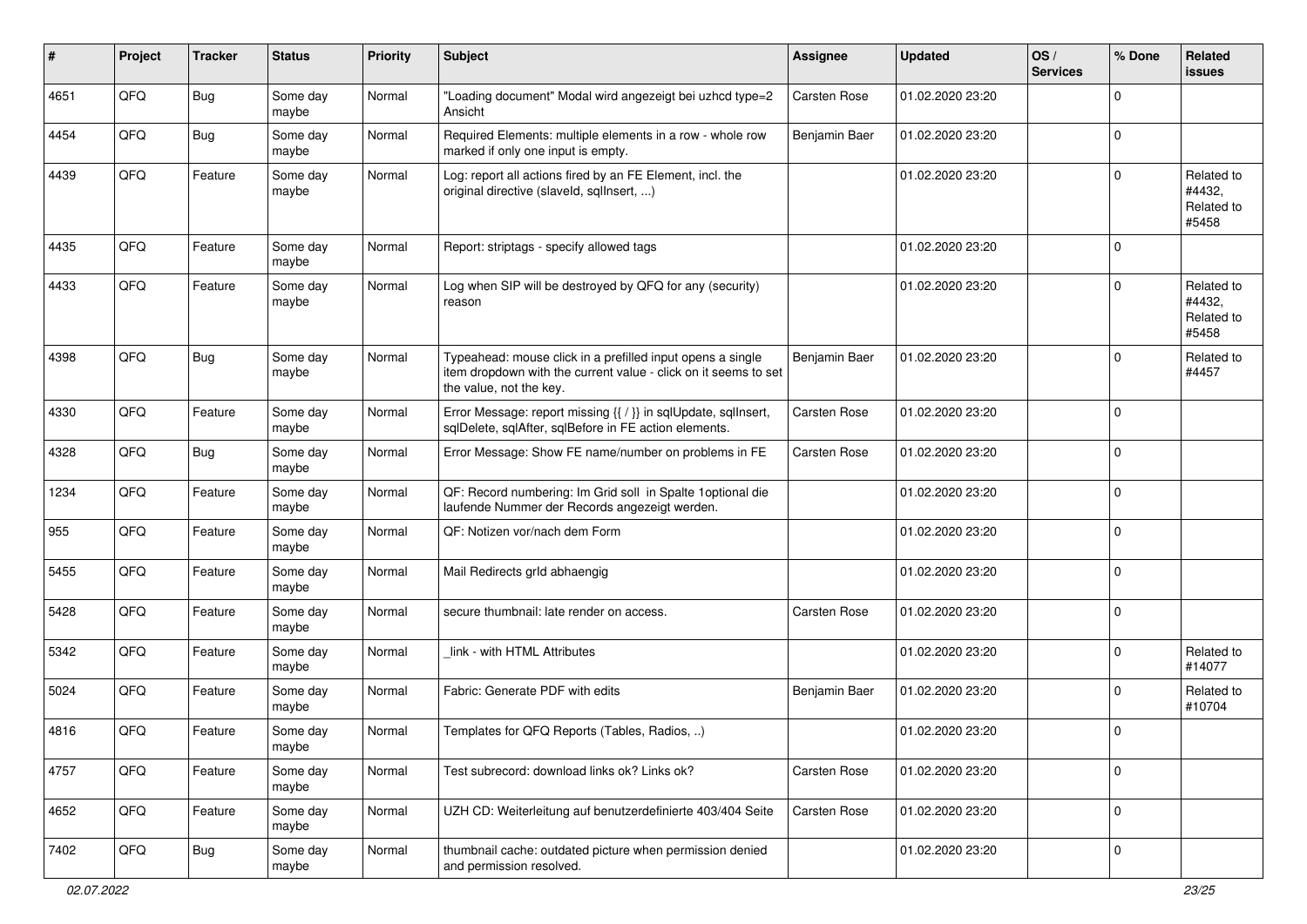| $\#$ | Project | <b>Tracker</b> | <b>Status</b>     | <b>Priority</b> | <b>Subject</b>                                                                                                                                           | Assignee            | <b>Updated</b>   | OS/<br><b>Services</b> | % Done         | Related<br><b>issues</b>                    |
|------|---------|----------------|-------------------|-----------------|----------------------------------------------------------------------------------------------------------------------------------------------------------|---------------------|------------------|------------------------|----------------|---------------------------------------------|
| 4651 | QFQ     | Bug            | Some day<br>maybe | Normal          | "Loading document" Modal wird angezeigt bei uzhcd type=2<br>Ansicht                                                                                      | Carsten Rose        | 01.02.2020 23:20 |                        | $\Omega$       |                                             |
| 4454 | QFQ     | Bug            | Some day<br>maybe | Normal          | Required Elements: multiple elements in a row - whole row<br>marked if only one input is empty.                                                          | Benjamin Baer       | 01.02.2020 23:20 |                        | $\overline{0}$ |                                             |
| 4439 | QFQ     | Feature        | Some day<br>maybe | Normal          | Log: report all actions fired by an FE Element, incl. the<br>original directive (slaveld, sqlInsert, )                                                   |                     | 01.02.2020 23:20 |                        | $\Omega$       | Related to<br>#4432,<br>Related to<br>#5458 |
| 4435 | QFQ     | Feature        | Some day<br>maybe | Normal          | Report: striptags - specify allowed tags                                                                                                                 |                     | 01.02.2020 23:20 |                        | $\mathbf 0$    |                                             |
| 4433 | QFQ     | Feature        | Some day<br>maybe | Normal          | Log when SIP will be destroyed by QFQ for any (security)<br>reason                                                                                       |                     | 01.02.2020 23:20 |                        | $\Omega$       | Related to<br>#4432,<br>Related to<br>#5458 |
| 4398 | QFQ     | Bug            | Some day<br>maybe | Normal          | Typeahead: mouse click in a prefilled input opens a single<br>item dropdown with the current value - click on it seems to set<br>the value, not the key. | Benjamin Baer       | 01.02.2020 23:20 |                        | $\mathbf 0$    | Related to<br>#4457                         |
| 4330 | QFQ     | Feature        | Some day<br>maybe | Normal          | Error Message: report missing {{ / }} in sqlUpdate, sqlInsert,<br>sqlDelete, sqlAfter, sqlBefore in FE action elements.                                  | <b>Carsten Rose</b> | 01.02.2020 23:20 |                        | $\overline{0}$ |                                             |
| 4328 | QFQ     | <b>Bug</b>     | Some day<br>maybe | Normal          | Error Message: Show FE name/number on problems in FE                                                                                                     | Carsten Rose        | 01.02.2020 23:20 |                        | $\overline{0}$ |                                             |
| 1234 | QFQ     | Feature        | Some day<br>maybe | Normal          | QF: Record numbering: Im Grid soll in Spalte 1 optional die<br>laufende Nummer der Records angezeigt werden.                                             |                     | 01.02.2020 23:20 |                        | $\Omega$       |                                             |
| 955  | QFQ     | Feature        | Some day<br>maybe | Normal          | QF: Notizen vor/nach dem Form                                                                                                                            |                     | 01.02.2020 23:20 |                        | $\Omega$       |                                             |
| 5455 | QFQ     | Feature        | Some day<br>maybe | Normal          | Mail Redirects grld abhaengig                                                                                                                            |                     | 01.02.2020 23:20 |                        | $\Omega$       |                                             |
| 5428 | QFQ     | Feature        | Some day<br>maybe | Normal          | secure thumbnail: late render on access.                                                                                                                 | Carsten Rose        | 01.02.2020 23:20 |                        | $\Omega$       |                                             |
| 5342 | QFQ     | Feature        | Some day<br>maybe | Normal          | link - with HTML Attributes                                                                                                                              |                     | 01.02.2020 23:20 |                        | $\Omega$       | Related to<br>#14077                        |
| 5024 | QFQ     | Feature        | Some day<br>maybe | Normal          | Fabric: Generate PDF with edits                                                                                                                          | Benjamin Baer       | 01.02.2020 23:20 |                        | $\Omega$       | Related to<br>#10704                        |
| 4816 | QFQ     | Feature        | Some day<br>maybe | Normal          | Templates for QFQ Reports (Tables, Radios, )                                                                                                             |                     | 01.02.2020 23:20 |                        | $\overline{0}$ |                                             |
| 4757 | QFQ     | Feature        | Some day<br>maybe | Normal          | Test subrecord: download links ok? Links ok?                                                                                                             | Carsten Rose        | 01.02.2020 23:20 |                        | $\Omega$       |                                             |
| 4652 | QFQ     | Feature        | Some day<br>maybe | Normal          | UZH CD: Weiterleitung auf benutzerdefinierte 403/404 Seite                                                                                               | Carsten Rose        | 01.02.2020 23:20 |                        | $\mathbf 0$    |                                             |
| 7402 | QFQ     | <b>Bug</b>     | Some day<br>maybe | Normal          | thumbnail cache: outdated picture when permission denied<br>and permission resolved.                                                                     |                     | 01.02.2020 23:20 |                        | $\overline{0}$ |                                             |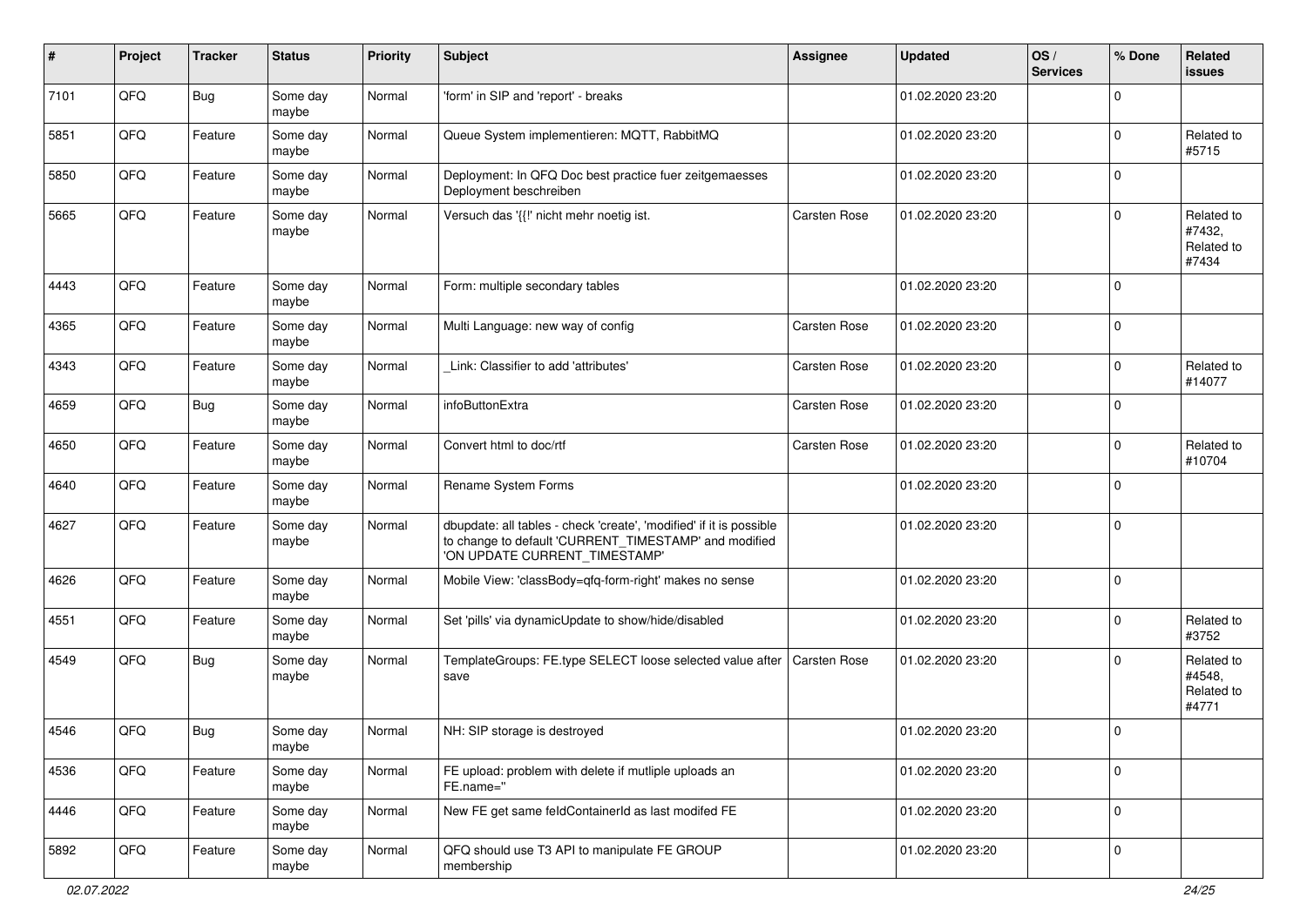| #    | Project | <b>Tracker</b> | <b>Status</b>     | <b>Priority</b> | <b>Subject</b>                                                                                                                                                | Assignee            | <b>Updated</b>   | OS/<br><b>Services</b> | % Done         | Related<br><b>issues</b>                    |
|------|---------|----------------|-------------------|-----------------|---------------------------------------------------------------------------------------------------------------------------------------------------------------|---------------------|------------------|------------------------|----------------|---------------------------------------------|
| 7101 | QFQ     | <b>Bug</b>     | Some day<br>maybe | Normal          | 'form' in SIP and 'report' - breaks                                                                                                                           |                     | 01.02.2020 23:20 |                        | $\mathbf 0$    |                                             |
| 5851 | QFQ     | Feature        | Some day<br>maybe | Normal          | Queue System implementieren: MQTT, RabbitMQ                                                                                                                   |                     | 01.02.2020 23:20 |                        | $\mathbf 0$    | Related to<br>#5715                         |
| 5850 | QFQ     | Feature        | Some day<br>maybe | Normal          | Deployment: In QFQ Doc best practice fuer zeitgemaesses<br>Deployment beschreiben                                                                             |                     | 01.02.2020 23:20 |                        | $\Omega$       |                                             |
| 5665 | QFQ     | Feature        | Some day<br>maybe | Normal          | Versuch das '{{!' nicht mehr noetig ist.                                                                                                                      | Carsten Rose        | 01.02.2020 23:20 |                        | $\mathbf 0$    | Related to<br>#7432,<br>Related to<br>#7434 |
| 4443 | QFQ     | Feature        | Some day<br>maybe | Normal          | Form: multiple secondary tables                                                                                                                               |                     | 01.02.2020 23:20 |                        | $\mathbf 0$    |                                             |
| 4365 | QFQ     | Feature        | Some day<br>maybe | Normal          | Multi Language: new way of config                                                                                                                             | Carsten Rose        | 01.02.2020 23:20 |                        | $\mathbf 0$    |                                             |
| 4343 | QFQ     | Feature        | Some day<br>maybe | Normal          | Link: Classifier to add 'attributes'                                                                                                                          | Carsten Rose        | 01.02.2020 23:20 |                        | $\mathbf 0$    | Related to<br>#14077                        |
| 4659 | QFQ     | Bug            | Some day<br>maybe | Normal          | infoButtonExtra                                                                                                                                               | Carsten Rose        | 01.02.2020 23:20 |                        | $\overline{0}$ |                                             |
| 4650 | QFQ     | Feature        | Some day<br>maybe | Normal          | Convert html to doc/rtf                                                                                                                                       | Carsten Rose        | 01.02.2020 23:20 |                        | $\Omega$       | Related to<br>#10704                        |
| 4640 | QFQ     | Feature        | Some day<br>maybe | Normal          | Rename System Forms                                                                                                                                           |                     | 01.02.2020 23:20 |                        | $\mathbf 0$    |                                             |
| 4627 | QFQ     | Feature        | Some day<br>maybe | Normal          | dbupdate: all tables - check 'create', 'modified' if it is possible<br>to change to default 'CURRENT_TIMESTAMP' and modified<br>'ON UPDATE CURRENT_TIMESTAMP' |                     | 01.02.2020 23:20 |                        | $\mathbf 0$    |                                             |
| 4626 | QFQ     | Feature        | Some day<br>maybe | Normal          | Mobile View: 'classBody=qfq-form-right' makes no sense                                                                                                        |                     | 01.02.2020 23:20 |                        | $\mathbf 0$    |                                             |
| 4551 | QFQ     | Feature        | Some day<br>maybe | Normal          | Set 'pills' via dynamicUpdate to show/hide/disabled                                                                                                           |                     | 01.02.2020 23:20 |                        | $\mathbf 0$    | Related to<br>#3752                         |
| 4549 | QFQ     | <b>Bug</b>     | Some day<br>maybe | Normal          | TemplateGroups: FE.type SELECT loose selected value after<br>save                                                                                             | <b>Carsten Rose</b> | 01.02.2020 23:20 |                        | $\Omega$       | Related to<br>#4548,<br>Related to<br>#4771 |
| 4546 | QFQ     | Bug            | Some day<br>maybe | Normal          | NH: SIP storage is destroyed                                                                                                                                  |                     | 01.02.2020 23:20 |                        | $\overline{0}$ |                                             |
| 4536 | QFO     | Feature        | Some day<br>maybe | Normal          | FE upload: problem with delete if mutliple uploads an<br>FE.name="                                                                                            |                     | 01.02.2020 23:20 |                        | $\mathbf 0$    |                                             |
| 4446 | QFG     | Feature        | Some day<br>maybe | Normal          | New FE get same feldContainerId as last modifed FE                                                                                                            |                     | 01.02.2020 23:20 |                        | $\mathbf 0$    |                                             |
| 5892 | QFO     | Feature        | Some day<br>maybe | Normal          | QFQ should use T3 API to manipulate FE GROUP<br>membership                                                                                                    |                     | 01.02.2020 23:20 |                        | $\mathbf 0$    |                                             |